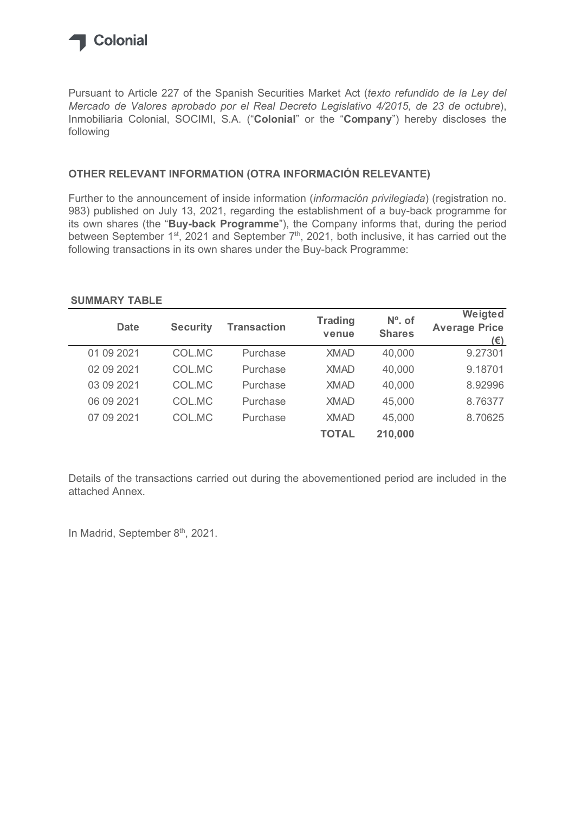

## OTHER RELEVANT INFORMATION (OTRA INFORMACIÓN RELEVANTE)

## SUMMARY TABLE

| following                                                                                                                                                                                                                                                                            |                 |                    |                |               | Mercado de Valores aprobado por el Real Decreto Legislativo 4/2015, de 23 de octubre),<br>Inmobiliaria Colonial, SOCIMI, S.A. ("Colonial" or the "Company") hereby discloses the |
|--------------------------------------------------------------------------------------------------------------------------------------------------------------------------------------------------------------------------------------------------------------------------------------|-----------------|--------------------|----------------|---------------|----------------------------------------------------------------------------------------------------------------------------------------------------------------------------------|
| OTHER RELEVANT INFORMATION (OTRA INFORMACIÓN RELEVANTE)                                                                                                                                                                                                                              |                 |                    |                |               |                                                                                                                                                                                  |
| Further to the announcement of inside information (información privilegiada) (registration no.<br>983) published on July 13, 2021, regarding the establishment of a buy-back programme for<br>its own shares (the "Buy-back Programme"), the Company informs that, during the period |                 |                    |                |               | between September 1 <sup>st</sup> , 2021 and September 7 <sup>th</sup> , 2021, both inclusive, it has carried out the                                                            |
| following transactions in its own shares under the Buy-back Programme:<br><b>SUMMARY TABLE</b><br><b>Date</b>                                                                                                                                                                        | <b>Security</b> | <b>Transaction</b> | <b>Trading</b> | $No$ . of     | Weigted                                                                                                                                                                          |
|                                                                                                                                                                                                                                                                                      |                 |                    | venue          | <b>Shares</b> | <b>Average Price</b><br>$(\epsilon)$                                                                                                                                             |
| 01 09 2021                                                                                                                                                                                                                                                                           | COL.MC          | Purchase           | <b>XMAD</b>    | 40,000        | 9.27301                                                                                                                                                                          |
| 02 09 2021                                                                                                                                                                                                                                                                           | COL.MC          | Purchase           | <b>XMAD</b>    | 40,000        | 9.18701                                                                                                                                                                          |
| 03 09 2021                                                                                                                                                                                                                                                                           | COL.MC          | Purchase           | <b>XMAD</b>    | 40,000        | 8.92996                                                                                                                                                                          |
| 06 09 2021                                                                                                                                                                                                                                                                           | COL.MC          | Purchase           | <b>XMAD</b>    | 45,000        | 8.76377                                                                                                                                                                          |
| 07 09 2021                                                                                                                                                                                                                                                                           | COL.MC          | Purchase           | <b>XMAD</b>    | 45,000        | 8.70625                                                                                                                                                                          |

Details of the transactions carried out during the abovementioned period are included in the attached Annex.

In Madrid, September 8th, 2021.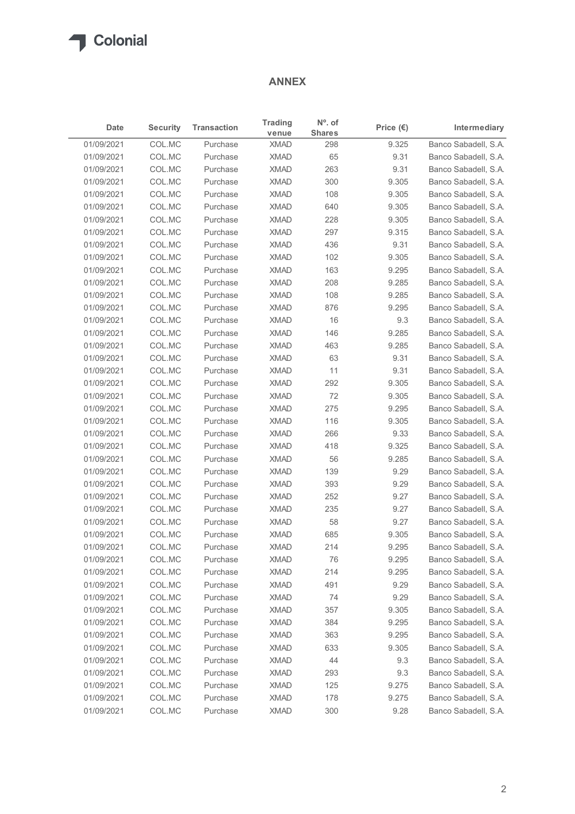

## ANNEX

|            |                 |                    | <b>ANNEX</b>         |                            |                    |                      |
|------------|-----------------|--------------------|----------------------|----------------------------|--------------------|----------------------|
| Date       | <b>Security</b> | <b>Transaction</b> | <b>Trading</b>       | $No$ . of<br><b>Shares</b> | Price $(\epsilon)$ | Intermediary         |
| 01/09/2021 | COL.MC          | Purchase           | venue<br><b>XMAD</b> | 298                        | 9.325              | Banco Sabadell, S.A. |
| 01/09/2021 | COL.MC          | Purchase           | <b>XMAD</b>          | 65                         | 9.31               | Banco Sabadell, S.A. |
| 01/09/2021 | COL.MC          | Purchase           | <b>XMAD</b>          | 263                        | 9.31               | Banco Sabadell, S.A. |
| 01/09/2021 | COL.MC          | Purchase           | <b>XMAD</b>          | 300                        | 9.305              | Banco Sabadell, S.A. |
| 01/09/2021 | COL.MC          | Purchase           | <b>XMAD</b>          | 108                        | 9.305              | Banco Sabadell, S.A. |
| 01/09/2021 | COL.MC          | Purchase           | <b>XMAD</b>          | 640                        | 9.305              | Banco Sabadell, S.A. |
| 01/09/2021 | COL.MC          | Purchase           | <b>XMAD</b>          | 228                        | 9.305              | Banco Sabadell, S.A. |
| 01/09/2021 | COL.MC          | Purchase           | <b>XMAD</b>          | 297                        | 9.315              | Banco Sabadell, S.A. |
| 01/09/2021 | COL.MC          | Purchase           | <b>XMAD</b>          | 436                        | 9.31               | Banco Sabadell, S.A. |
| 01/09/2021 | COL.MC          | Purchase           | <b>XMAD</b>          | 102                        | 9.305              | Banco Sabadell, S.A. |
| 01/09/2021 | COL.MC          | Purchase           | <b>XMAD</b>          | 163                        | 9.295              | Banco Sabadell, S.A. |
| 01/09/2021 | COL.MC          | Purchase           | <b>XMAD</b>          | 208                        | 9.285              | Banco Sabadell, S.A. |
| 01/09/2021 | COL.MC          | Purchase           | <b>XMAD</b>          | 108                        | 9.285              | Banco Sabadell, S.A. |
| 01/09/2021 | COL.MC          | Purchase           | <b>XMAD</b>          | 876                        | 9.295              | Banco Sabadell, S.A. |
| 01/09/2021 | COL.MC          | Purchase           | <b>XMAD</b>          | 16                         | 9.3                | Banco Sabadell, S.A. |
| 01/09/2021 | COL.MC          | Purchase           | <b>XMAD</b>          | 146                        | 9.285              | Banco Sabadell, S.A. |
| 01/09/2021 | COL.MC          | Purchase           | <b>XMAD</b>          | 463                        | 9.285              | Banco Sabadell, S.A. |
| 01/09/2021 | COL.MC          | Purchase           | <b>XMAD</b>          | 63                         | 9.31               | Banco Sabadell, S.A. |
| 01/09/2021 | COL.MC          | Purchase           | <b>XMAD</b>          | 11                         | 9.31               | Banco Sabadell, S.A. |
| 01/09/2021 | COL.MC          | Purchase           | <b>XMAD</b>          | 292                        | 9.305              | Banco Sabadell, S.A. |
| 01/09/2021 | COL.MC          | Purchase           | <b>XMAD</b>          | 72                         | 9.305              | Banco Sabadell, S.A. |
| 01/09/2021 | COL.MC          | Purchase           | <b>XMAD</b>          | 275                        | 9.295              | Banco Sabadell, S.A. |
| 01/09/2021 | COL.MC          | Purchase           | <b>XMAD</b>          | 116                        | 9.305              | Banco Sabadell, S.A. |
| 01/09/2021 | COL.MC          | Purchase           | <b>XMAD</b>          | 266                        | 9.33               | Banco Sabadell, S.A. |
| 01/09/2021 | COL.MC          | Purchase           | <b>XMAD</b>          | 418                        | 9.325              | Banco Sabadell, S.A. |
| 01/09/2021 | COL.MC          | Purchase           | <b>XMAD</b>          | 56                         | 9.285              | Banco Sabadell, S.A. |
| 01/09/2021 | COL.MC          | Purchase           | <b>XMAD</b>          | 139                        | 9.29               | Banco Sabadell, S.A. |
| 01/09/2021 | COL.MC          | Purchase           | <b>XMAD</b>          | 393                        | 9.29               | Banco Sabadell, S.A. |
| 01/09/2021 | COL.MC          | Purchase           | <b>XMAD</b>          | 252                        | 9.27               | Banco Sabadell, S.A. |
| 01/09/2021 | COL.MC          | Purchase           | <b>XMAD</b>          | 235                        | 9.27               | Banco Sabadell, S.A. |
| 01/09/2021 | COL.MC          | Purchase           | <b>XMAD</b>          | 58                         | 9.27               | Banco Sabadell, S.A. |
| 01/09/2021 | COL.MC          | Purchase           | <b>XMAD</b>          | 685                        | 9.305              | Banco Sabadell, S.A. |
| 01/09/2021 | COL.MC          | Purchase           | <b>XMAD</b>          | 214                        | 9.295              | Banco Sabadell, S.A. |
| 01/09/2021 | COL.MC          | Purchase           | <b>XMAD</b>          | 76                         | 9.295              | Banco Sabadell, S.A. |
| 01/09/2021 | COL.MC          | Purchase           | <b>XMAD</b>          | 214                        | 9.295              | Banco Sabadell, S.A. |
| 01/09/2021 | COL.MC          | Purchase           | <b>XMAD</b>          | 491                        | 9.29               | Banco Sabadell, S.A. |
| 01/09/2021 | COL.MC          | Purchase           | <b>XMAD</b>          | 74                         | 9.29               | Banco Sabadell, S.A. |
| 01/09/2021 | COL.MC          | Purchase           | <b>XMAD</b>          | 357                        | 9.305              | Banco Sabadell, S.A. |
| 01/09/2021 | COL.MC          | Purchase           | <b>XMAD</b>          | 384                        | 9.295              | Banco Sabadell, S.A. |
| 01/09/2021 | COL.MC          | Purchase           | <b>XMAD</b>          | 363                        | 9.295              | Banco Sabadell, S.A. |
| 01/09/2021 | COL.MC          | Purchase           | <b>XMAD</b>          | 633                        | 9.305              | Banco Sabadell, S.A. |
| 01/09/2021 | COL.MC          | Purchase           | <b>XMAD</b>          | 44                         | 9.3                | Banco Sabadell, S.A. |
| 01/09/2021 | COL.MC          | Purchase           | <b>XMAD</b>          | 293                        | 9.3                | Banco Sabadell, S.A. |
| 01/09/2021 | COL.MC          | Purchase           | <b>XMAD</b>          | 125                        | 9.275              | Banco Sabadell, S.A. |
|            | COL.MC          | Purchase           | <b>XMAD</b>          | 178                        | 9.275              | Banco Sabadell, S.A. |
| 01/09/2021 |                 |                    |                      |                            |                    |                      |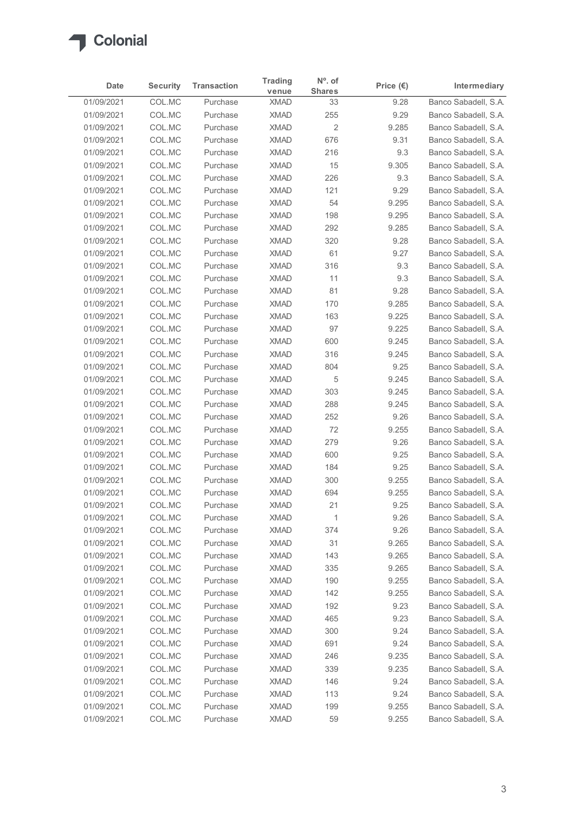

| COL.MC<br>Banco Sabadell, S.A.<br>01/09/2021<br>9.28<br>Purchase<br><b>XMAD</b><br>33<br>01/09/2021<br>COL.MC<br>255<br>9.29<br>Purchase<br><b>XMAD</b><br>$\sqrt{2}$<br>COL.MC<br><b>XMAD</b><br>01/09/2021<br>Purchase<br>9.285<br>676<br>01/09/2021<br>COL.MC<br>Purchase<br><b>XMAD</b><br>9.31<br>COL.MC<br><b>XMAD</b><br>216<br>01/09/2021<br>Purchase<br>9.3<br>01/09/2021<br>COL.MC<br><b>XMAD</b><br>15<br>Purchase<br>9.305<br>01/09/2021<br>COL.MC<br><b>XMAD</b><br>226<br>Purchase<br>9.3<br>COL.MC<br>121<br>01/09/2021<br>Purchase<br><b>XMAD</b><br>9.29<br>01/09/2021<br>COL.MC<br><b>XMAD</b><br>54<br>9.295<br>Purchase<br>COL.MC<br><b>XMAD</b><br>198<br>01/09/2021<br>Purchase<br>9.295<br>COL.MC<br>292<br>01/09/2021<br>Purchase<br><b>XMAD</b><br>9.285<br>COL.MC<br><b>XMAD</b><br>320<br>01/09/2021<br>Purchase<br>9.28<br><b>XMAD</b><br>61<br>01/09/2021<br>COL.MC<br>Purchase<br>9.27<br>316<br>01/09/2021<br>COL.MC<br>XMAD<br>9.3<br>Purchase<br>01/09/2021<br>COL.MC<br>Purchase<br><b>XMAD</b><br>11<br>9.3<br>COL.MC<br><b>XMAD</b><br>81<br>9.28<br>01/09/2021<br>Purchase<br>01/09/2021<br>COL.MC<br>Purchase<br><b>XMAD</b><br>170<br>9.285<br>COL.MC<br>01/09/2021<br><b>XMAD</b><br>163<br>9.225<br>Purchase<br>COL.MC<br>97<br>9.225<br>01/09/2021<br>Purchase<br><b>XMAD</b><br>600<br>01/09/2021<br>COL.MC<br>Purchase<br><b>XMAD</b><br>9.245<br>01/09/2021<br>COL.MC<br><b>XMAD</b><br>316<br>9.245<br>Purchase<br><b>XMAD</b><br>804<br>9.25<br>01/09/2021<br>COL.MC<br>Purchase<br>COL.MC<br>5<br>01/09/2021<br>Purchase<br><b>XMAD</b><br>9.245<br>303<br>01/09/2021<br>COL.MC<br><b>XMAD</b><br>9.245<br>Purchase<br>288<br>01/09/2021<br>COL.MC<br><b>XMAD</b><br>9.245<br>Purchase<br>252<br>01/09/2021<br>COL.MC<br><b>XMAD</b><br>9.26<br>Purchase<br>01/09/2021<br>COL.MC<br>Purchase<br><b>XMAD</b><br>72<br>9.255<br><b>XMAD</b><br>279<br>9.26<br>01/09/2021<br>COL.MC<br>Purchase<br>01/09/2021<br>COL.MC<br><b>XMAD</b><br>600<br>9.25<br>Purchase<br>COL.MC<br>01/09/2021<br>Purchase<br><b>XMAD</b><br>184<br>9.25<br>300<br>01/09/2021<br>COL.MC<br>Purchase<br><b>XMAD</b><br>9.255<br>01/09/2021<br>COL.MC<br>Purchase<br><b>XMAD</b><br>694<br>9.255<br>01/09/2021<br>COL.MC<br>Purchase<br><b>XMAD</b><br>21<br>9.25<br><b>XMAD</b><br>9.26<br>01/09/2021<br>COL.MC<br>Purchase<br>$\overline{1}$<br>COL.MC<br>374<br>01/09/2021<br><b>XMAD</b><br>9.26<br>Purchase<br>COL.MC<br>31<br>01/09/2021<br>Purchase<br><b>XMAD</b><br>9.265<br>01/09/2021<br>COL.MC<br><b>XMAD</b><br>143<br>9.265<br>Purchase<br>01/09/2021<br>COL.MC<br><b>XMAD</b><br>335<br>9.265<br>Purchase<br><b>XMAD</b><br>9.255<br>01/09/2021<br>COL.MC<br>Purchase<br>190<br>9.255<br>01/09/2021<br>COL.MC<br><b>XMAD</b><br>142<br>Purchase<br>COL.MC<br>9.23<br>01/09/2021<br><b>XMAD</b><br>192<br>Purchase<br>COL.MC<br>9.23<br>01/09/2021<br>Purchase<br><b>XMAD</b><br>465<br>01/09/2021<br>COL.MC<br>Purchase<br><b>XMAD</b><br>300<br>9.24<br>01/09/2021<br>COL.MC<br><b>XMAD</b><br>691<br>9.24<br>Purchase<br>01/09/2021<br>COL.MC<br>Purchase<br><b>XMAD</b><br>246<br>9.235<br>9.235<br>01/09/2021<br>COL.MC<br>Purchase<br><b>XMAD</b><br>339<br>01/09/2021<br>COL.MC<br><b>XMAD</b><br>146<br>9.24<br>Purchase<br>9.24<br>01/09/2021<br>COL.MC<br>Purchase<br><b>XMAD</b><br>113<br>COL.MC<br>01/09/2021<br>Purchase<br><b>XMAD</b><br>199<br>9.255 | Date | <b>Security</b> | <b>Transaction</b> | <b>Trading</b><br>venue | N°. of<br><b>Shares</b> | Price $(\epsilon)$ | Intermediary |
|-----------------------------------------------------------------------------------------------------------------------------------------------------------------------------------------------------------------------------------------------------------------------------------------------------------------------------------------------------------------------------------------------------------------------------------------------------------------------------------------------------------------------------------------------------------------------------------------------------------------------------------------------------------------------------------------------------------------------------------------------------------------------------------------------------------------------------------------------------------------------------------------------------------------------------------------------------------------------------------------------------------------------------------------------------------------------------------------------------------------------------------------------------------------------------------------------------------------------------------------------------------------------------------------------------------------------------------------------------------------------------------------------------------------------------------------------------------------------------------------------------------------------------------------------------------------------------------------------------------------------------------------------------------------------------------------------------------------------------------------------------------------------------------------------------------------------------------------------------------------------------------------------------------------------------------------------------------------------------------------------------------------------------------------------------------------------------------------------------------------------------------------------------------------------------------------------------------------------------------------------------------------------------------------------------------------------------------------------------------------------------------------------------------------------------------------------------------------------------------------------------------------------------------------------------------------------------------------------------------------------------------------------------------------------------------------------------------------------------------------------------------------------------------------------------------------------------------------------------------------------------------------------------------------------------------------------------------------------------------------------------------------------------------------------------------------------------------------------------------------------------------------------------------------------------------------------------------------------------------------------------------------------------------------------------------------------------------------------------------------------------------------------------------|------|-----------------|--------------------|-------------------------|-------------------------|--------------------|--------------|
| Banco Sabadell, S.A.<br>Banco Sabadell, S.A.<br>Banco Sabadell, S.A.<br>Banco Sabadell, S.A.<br>Banco Sabadell, S.A.<br>Banco Sabadell, S.A.<br>Banco Sabadell, S.A.<br>Banco Sabadell, S.A.<br>Banco Sabadell, S.A.<br>Banco Sabadell, S.A.<br>Banco Sabadell, S.A.<br>Banco Sabadell, S.A.<br>Banco Sabadell, S.A.<br>Banco Sabadell, S.A.<br>Banco Sabadell, S.A.<br>Banco Sabadell, S.A.<br>Banco Sabadell, S.A.<br>Banco Sabadell, S.A.<br>Banco Sabadell, S.A.<br>Banco Sabadell, S.A.<br>Banco Sabadell, S.A.<br>Banco Sabadell, S.A.<br>Banco Sabadell, S.A.<br>Banco Sabadell, S.A.<br>Banco Sabadell, S.A.<br>Banco Sabadell, S.A.<br>Banco Sabadell, S.A.<br>Banco Sabadell, S.A.<br>Banco Sabadell, S.A.<br>Banco Sabadell, S.A.<br>Banco Sabadell, S.A.<br>Banco Sabadell, S.A.<br>Banco Sabadell, S.A.<br>Banco Sabadell, S.A.<br>Banco Sabadell, S.A.<br>Banco Sabadell, S.A.<br>Banco Sabadell, S.A.<br>Banco Sabadell, S.A.<br>Banco Sabadell, S.A.<br>Banco Sabadell, S.A.<br>Banco Sabadell, S.A.<br>Banco Sabadell, S.A.<br>Banco Sabadell, S.A.<br>Banco Sabadell, S.A.<br>Banco Sabadell, S.A.<br>Banco Sabadell, S.A.<br>Banco Sabadell, S.A.<br>Banco Sabadell, S.A.                                                                                                                                                                                                                                                                                                                                                                                                                                                                                                                                                                                                                                                                                                                                                                                                                                                                                                                                                                                                                                                                                                                                                                                                                                                                                                                                                                                                                                                                                                                                                                                                                                                                                                                                                                                                                                                                                                                                                                                                                                                                                                                                                                                                              |      |                 |                    |                         |                         |                    |              |
|                                                                                                                                                                                                                                                                                                                                                                                                                                                                                                                                                                                                                                                                                                                                                                                                                                                                                                                                                                                                                                                                                                                                                                                                                                                                                                                                                                                                                                                                                                                                                                                                                                                                                                                                                                                                                                                                                                                                                                                                                                                                                                                                                                                                                                                                                                                                                                                                                                                                                                                                                                                                                                                                                                                                                                                                                                                                                                                                                                                                                                                                                                                                                                                                                                                                                                                                                                                                           |      |                 |                    |                         |                         |                    |              |
|                                                                                                                                                                                                                                                                                                                                                                                                                                                                                                                                                                                                                                                                                                                                                                                                                                                                                                                                                                                                                                                                                                                                                                                                                                                                                                                                                                                                                                                                                                                                                                                                                                                                                                                                                                                                                                                                                                                                                                                                                                                                                                                                                                                                                                                                                                                                                                                                                                                                                                                                                                                                                                                                                                                                                                                                                                                                                                                                                                                                                                                                                                                                                                                                                                                                                                                                                                                                           |      |                 |                    |                         |                         |                    |              |
|                                                                                                                                                                                                                                                                                                                                                                                                                                                                                                                                                                                                                                                                                                                                                                                                                                                                                                                                                                                                                                                                                                                                                                                                                                                                                                                                                                                                                                                                                                                                                                                                                                                                                                                                                                                                                                                                                                                                                                                                                                                                                                                                                                                                                                                                                                                                                                                                                                                                                                                                                                                                                                                                                                                                                                                                                                                                                                                                                                                                                                                                                                                                                                                                                                                                                                                                                                                                           |      |                 |                    |                         |                         |                    |              |
|                                                                                                                                                                                                                                                                                                                                                                                                                                                                                                                                                                                                                                                                                                                                                                                                                                                                                                                                                                                                                                                                                                                                                                                                                                                                                                                                                                                                                                                                                                                                                                                                                                                                                                                                                                                                                                                                                                                                                                                                                                                                                                                                                                                                                                                                                                                                                                                                                                                                                                                                                                                                                                                                                                                                                                                                                                                                                                                                                                                                                                                                                                                                                                                                                                                                                                                                                                                                           |      |                 |                    |                         |                         |                    |              |
|                                                                                                                                                                                                                                                                                                                                                                                                                                                                                                                                                                                                                                                                                                                                                                                                                                                                                                                                                                                                                                                                                                                                                                                                                                                                                                                                                                                                                                                                                                                                                                                                                                                                                                                                                                                                                                                                                                                                                                                                                                                                                                                                                                                                                                                                                                                                                                                                                                                                                                                                                                                                                                                                                                                                                                                                                                                                                                                                                                                                                                                                                                                                                                                                                                                                                                                                                                                                           |      |                 |                    |                         |                         |                    |              |
|                                                                                                                                                                                                                                                                                                                                                                                                                                                                                                                                                                                                                                                                                                                                                                                                                                                                                                                                                                                                                                                                                                                                                                                                                                                                                                                                                                                                                                                                                                                                                                                                                                                                                                                                                                                                                                                                                                                                                                                                                                                                                                                                                                                                                                                                                                                                                                                                                                                                                                                                                                                                                                                                                                                                                                                                                                                                                                                                                                                                                                                                                                                                                                                                                                                                                                                                                                                                           |      |                 |                    |                         |                         |                    |              |
|                                                                                                                                                                                                                                                                                                                                                                                                                                                                                                                                                                                                                                                                                                                                                                                                                                                                                                                                                                                                                                                                                                                                                                                                                                                                                                                                                                                                                                                                                                                                                                                                                                                                                                                                                                                                                                                                                                                                                                                                                                                                                                                                                                                                                                                                                                                                                                                                                                                                                                                                                                                                                                                                                                                                                                                                                                                                                                                                                                                                                                                                                                                                                                                                                                                                                                                                                                                                           |      |                 |                    |                         |                         |                    |              |
|                                                                                                                                                                                                                                                                                                                                                                                                                                                                                                                                                                                                                                                                                                                                                                                                                                                                                                                                                                                                                                                                                                                                                                                                                                                                                                                                                                                                                                                                                                                                                                                                                                                                                                                                                                                                                                                                                                                                                                                                                                                                                                                                                                                                                                                                                                                                                                                                                                                                                                                                                                                                                                                                                                                                                                                                                                                                                                                                                                                                                                                                                                                                                                                                                                                                                                                                                                                                           |      |                 |                    |                         |                         |                    |              |
|                                                                                                                                                                                                                                                                                                                                                                                                                                                                                                                                                                                                                                                                                                                                                                                                                                                                                                                                                                                                                                                                                                                                                                                                                                                                                                                                                                                                                                                                                                                                                                                                                                                                                                                                                                                                                                                                                                                                                                                                                                                                                                                                                                                                                                                                                                                                                                                                                                                                                                                                                                                                                                                                                                                                                                                                                                                                                                                                                                                                                                                                                                                                                                                                                                                                                                                                                                                                           |      |                 |                    |                         |                         |                    |              |
|                                                                                                                                                                                                                                                                                                                                                                                                                                                                                                                                                                                                                                                                                                                                                                                                                                                                                                                                                                                                                                                                                                                                                                                                                                                                                                                                                                                                                                                                                                                                                                                                                                                                                                                                                                                                                                                                                                                                                                                                                                                                                                                                                                                                                                                                                                                                                                                                                                                                                                                                                                                                                                                                                                                                                                                                                                                                                                                                                                                                                                                                                                                                                                                                                                                                                                                                                                                                           |      |                 |                    |                         |                         |                    |              |
|                                                                                                                                                                                                                                                                                                                                                                                                                                                                                                                                                                                                                                                                                                                                                                                                                                                                                                                                                                                                                                                                                                                                                                                                                                                                                                                                                                                                                                                                                                                                                                                                                                                                                                                                                                                                                                                                                                                                                                                                                                                                                                                                                                                                                                                                                                                                                                                                                                                                                                                                                                                                                                                                                                                                                                                                                                                                                                                                                                                                                                                                                                                                                                                                                                                                                                                                                                                                           |      |                 |                    |                         |                         |                    |              |
|                                                                                                                                                                                                                                                                                                                                                                                                                                                                                                                                                                                                                                                                                                                                                                                                                                                                                                                                                                                                                                                                                                                                                                                                                                                                                                                                                                                                                                                                                                                                                                                                                                                                                                                                                                                                                                                                                                                                                                                                                                                                                                                                                                                                                                                                                                                                                                                                                                                                                                                                                                                                                                                                                                                                                                                                                                                                                                                                                                                                                                                                                                                                                                                                                                                                                                                                                                                                           |      |                 |                    |                         |                         |                    |              |
|                                                                                                                                                                                                                                                                                                                                                                                                                                                                                                                                                                                                                                                                                                                                                                                                                                                                                                                                                                                                                                                                                                                                                                                                                                                                                                                                                                                                                                                                                                                                                                                                                                                                                                                                                                                                                                                                                                                                                                                                                                                                                                                                                                                                                                                                                                                                                                                                                                                                                                                                                                                                                                                                                                                                                                                                                                                                                                                                                                                                                                                                                                                                                                                                                                                                                                                                                                                                           |      |                 |                    |                         |                         |                    |              |
|                                                                                                                                                                                                                                                                                                                                                                                                                                                                                                                                                                                                                                                                                                                                                                                                                                                                                                                                                                                                                                                                                                                                                                                                                                                                                                                                                                                                                                                                                                                                                                                                                                                                                                                                                                                                                                                                                                                                                                                                                                                                                                                                                                                                                                                                                                                                                                                                                                                                                                                                                                                                                                                                                                                                                                                                                                                                                                                                                                                                                                                                                                                                                                                                                                                                                                                                                                                                           |      |                 |                    |                         |                         |                    |              |
|                                                                                                                                                                                                                                                                                                                                                                                                                                                                                                                                                                                                                                                                                                                                                                                                                                                                                                                                                                                                                                                                                                                                                                                                                                                                                                                                                                                                                                                                                                                                                                                                                                                                                                                                                                                                                                                                                                                                                                                                                                                                                                                                                                                                                                                                                                                                                                                                                                                                                                                                                                                                                                                                                                                                                                                                                                                                                                                                                                                                                                                                                                                                                                                                                                                                                                                                                                                                           |      |                 |                    |                         |                         |                    |              |
|                                                                                                                                                                                                                                                                                                                                                                                                                                                                                                                                                                                                                                                                                                                                                                                                                                                                                                                                                                                                                                                                                                                                                                                                                                                                                                                                                                                                                                                                                                                                                                                                                                                                                                                                                                                                                                                                                                                                                                                                                                                                                                                                                                                                                                                                                                                                                                                                                                                                                                                                                                                                                                                                                                                                                                                                                                                                                                                                                                                                                                                                                                                                                                                                                                                                                                                                                                                                           |      |                 |                    |                         |                         |                    |              |
|                                                                                                                                                                                                                                                                                                                                                                                                                                                                                                                                                                                                                                                                                                                                                                                                                                                                                                                                                                                                                                                                                                                                                                                                                                                                                                                                                                                                                                                                                                                                                                                                                                                                                                                                                                                                                                                                                                                                                                                                                                                                                                                                                                                                                                                                                                                                                                                                                                                                                                                                                                                                                                                                                                                                                                                                                                                                                                                                                                                                                                                                                                                                                                                                                                                                                                                                                                                                           |      |                 |                    |                         |                         |                    |              |
|                                                                                                                                                                                                                                                                                                                                                                                                                                                                                                                                                                                                                                                                                                                                                                                                                                                                                                                                                                                                                                                                                                                                                                                                                                                                                                                                                                                                                                                                                                                                                                                                                                                                                                                                                                                                                                                                                                                                                                                                                                                                                                                                                                                                                                                                                                                                                                                                                                                                                                                                                                                                                                                                                                                                                                                                                                                                                                                                                                                                                                                                                                                                                                                                                                                                                                                                                                                                           |      |                 |                    |                         |                         |                    |              |
|                                                                                                                                                                                                                                                                                                                                                                                                                                                                                                                                                                                                                                                                                                                                                                                                                                                                                                                                                                                                                                                                                                                                                                                                                                                                                                                                                                                                                                                                                                                                                                                                                                                                                                                                                                                                                                                                                                                                                                                                                                                                                                                                                                                                                                                                                                                                                                                                                                                                                                                                                                                                                                                                                                                                                                                                                                                                                                                                                                                                                                                                                                                                                                                                                                                                                                                                                                                                           |      |                 |                    |                         |                         |                    |              |
|                                                                                                                                                                                                                                                                                                                                                                                                                                                                                                                                                                                                                                                                                                                                                                                                                                                                                                                                                                                                                                                                                                                                                                                                                                                                                                                                                                                                                                                                                                                                                                                                                                                                                                                                                                                                                                                                                                                                                                                                                                                                                                                                                                                                                                                                                                                                                                                                                                                                                                                                                                                                                                                                                                                                                                                                                                                                                                                                                                                                                                                                                                                                                                                                                                                                                                                                                                                                           |      |                 |                    |                         |                         |                    |              |
|                                                                                                                                                                                                                                                                                                                                                                                                                                                                                                                                                                                                                                                                                                                                                                                                                                                                                                                                                                                                                                                                                                                                                                                                                                                                                                                                                                                                                                                                                                                                                                                                                                                                                                                                                                                                                                                                                                                                                                                                                                                                                                                                                                                                                                                                                                                                                                                                                                                                                                                                                                                                                                                                                                                                                                                                                                                                                                                                                                                                                                                                                                                                                                                                                                                                                                                                                                                                           |      |                 |                    |                         |                         |                    |              |
|                                                                                                                                                                                                                                                                                                                                                                                                                                                                                                                                                                                                                                                                                                                                                                                                                                                                                                                                                                                                                                                                                                                                                                                                                                                                                                                                                                                                                                                                                                                                                                                                                                                                                                                                                                                                                                                                                                                                                                                                                                                                                                                                                                                                                                                                                                                                                                                                                                                                                                                                                                                                                                                                                                                                                                                                                                                                                                                                                                                                                                                                                                                                                                                                                                                                                                                                                                                                           |      |                 |                    |                         |                         |                    |              |
|                                                                                                                                                                                                                                                                                                                                                                                                                                                                                                                                                                                                                                                                                                                                                                                                                                                                                                                                                                                                                                                                                                                                                                                                                                                                                                                                                                                                                                                                                                                                                                                                                                                                                                                                                                                                                                                                                                                                                                                                                                                                                                                                                                                                                                                                                                                                                                                                                                                                                                                                                                                                                                                                                                                                                                                                                                                                                                                                                                                                                                                                                                                                                                                                                                                                                                                                                                                                           |      |                 |                    |                         |                         |                    |              |
|                                                                                                                                                                                                                                                                                                                                                                                                                                                                                                                                                                                                                                                                                                                                                                                                                                                                                                                                                                                                                                                                                                                                                                                                                                                                                                                                                                                                                                                                                                                                                                                                                                                                                                                                                                                                                                                                                                                                                                                                                                                                                                                                                                                                                                                                                                                                                                                                                                                                                                                                                                                                                                                                                                                                                                                                                                                                                                                                                                                                                                                                                                                                                                                                                                                                                                                                                                                                           |      |                 |                    |                         |                         |                    |              |
|                                                                                                                                                                                                                                                                                                                                                                                                                                                                                                                                                                                                                                                                                                                                                                                                                                                                                                                                                                                                                                                                                                                                                                                                                                                                                                                                                                                                                                                                                                                                                                                                                                                                                                                                                                                                                                                                                                                                                                                                                                                                                                                                                                                                                                                                                                                                                                                                                                                                                                                                                                                                                                                                                                                                                                                                                                                                                                                                                                                                                                                                                                                                                                                                                                                                                                                                                                                                           |      |                 |                    |                         |                         |                    |              |
|                                                                                                                                                                                                                                                                                                                                                                                                                                                                                                                                                                                                                                                                                                                                                                                                                                                                                                                                                                                                                                                                                                                                                                                                                                                                                                                                                                                                                                                                                                                                                                                                                                                                                                                                                                                                                                                                                                                                                                                                                                                                                                                                                                                                                                                                                                                                                                                                                                                                                                                                                                                                                                                                                                                                                                                                                                                                                                                                                                                                                                                                                                                                                                                                                                                                                                                                                                                                           |      |                 |                    |                         |                         |                    |              |
|                                                                                                                                                                                                                                                                                                                                                                                                                                                                                                                                                                                                                                                                                                                                                                                                                                                                                                                                                                                                                                                                                                                                                                                                                                                                                                                                                                                                                                                                                                                                                                                                                                                                                                                                                                                                                                                                                                                                                                                                                                                                                                                                                                                                                                                                                                                                                                                                                                                                                                                                                                                                                                                                                                                                                                                                                                                                                                                                                                                                                                                                                                                                                                                                                                                                                                                                                                                                           |      |                 |                    |                         |                         |                    |              |
|                                                                                                                                                                                                                                                                                                                                                                                                                                                                                                                                                                                                                                                                                                                                                                                                                                                                                                                                                                                                                                                                                                                                                                                                                                                                                                                                                                                                                                                                                                                                                                                                                                                                                                                                                                                                                                                                                                                                                                                                                                                                                                                                                                                                                                                                                                                                                                                                                                                                                                                                                                                                                                                                                                                                                                                                                                                                                                                                                                                                                                                                                                                                                                                                                                                                                                                                                                                                           |      |                 |                    |                         |                         |                    |              |
|                                                                                                                                                                                                                                                                                                                                                                                                                                                                                                                                                                                                                                                                                                                                                                                                                                                                                                                                                                                                                                                                                                                                                                                                                                                                                                                                                                                                                                                                                                                                                                                                                                                                                                                                                                                                                                                                                                                                                                                                                                                                                                                                                                                                                                                                                                                                                                                                                                                                                                                                                                                                                                                                                                                                                                                                                                                                                                                                                                                                                                                                                                                                                                                                                                                                                                                                                                                                           |      |                 |                    |                         |                         |                    |              |
|                                                                                                                                                                                                                                                                                                                                                                                                                                                                                                                                                                                                                                                                                                                                                                                                                                                                                                                                                                                                                                                                                                                                                                                                                                                                                                                                                                                                                                                                                                                                                                                                                                                                                                                                                                                                                                                                                                                                                                                                                                                                                                                                                                                                                                                                                                                                                                                                                                                                                                                                                                                                                                                                                                                                                                                                                                                                                                                                                                                                                                                                                                                                                                                                                                                                                                                                                                                                           |      |                 |                    |                         |                         |                    |              |
|                                                                                                                                                                                                                                                                                                                                                                                                                                                                                                                                                                                                                                                                                                                                                                                                                                                                                                                                                                                                                                                                                                                                                                                                                                                                                                                                                                                                                                                                                                                                                                                                                                                                                                                                                                                                                                                                                                                                                                                                                                                                                                                                                                                                                                                                                                                                                                                                                                                                                                                                                                                                                                                                                                                                                                                                                                                                                                                                                                                                                                                                                                                                                                                                                                                                                                                                                                                                           |      |                 |                    |                         |                         |                    |              |
|                                                                                                                                                                                                                                                                                                                                                                                                                                                                                                                                                                                                                                                                                                                                                                                                                                                                                                                                                                                                                                                                                                                                                                                                                                                                                                                                                                                                                                                                                                                                                                                                                                                                                                                                                                                                                                                                                                                                                                                                                                                                                                                                                                                                                                                                                                                                                                                                                                                                                                                                                                                                                                                                                                                                                                                                                                                                                                                                                                                                                                                                                                                                                                                                                                                                                                                                                                                                           |      |                 |                    |                         |                         |                    |              |
|                                                                                                                                                                                                                                                                                                                                                                                                                                                                                                                                                                                                                                                                                                                                                                                                                                                                                                                                                                                                                                                                                                                                                                                                                                                                                                                                                                                                                                                                                                                                                                                                                                                                                                                                                                                                                                                                                                                                                                                                                                                                                                                                                                                                                                                                                                                                                                                                                                                                                                                                                                                                                                                                                                                                                                                                                                                                                                                                                                                                                                                                                                                                                                                                                                                                                                                                                                                                           |      |                 |                    |                         |                         |                    |              |
|                                                                                                                                                                                                                                                                                                                                                                                                                                                                                                                                                                                                                                                                                                                                                                                                                                                                                                                                                                                                                                                                                                                                                                                                                                                                                                                                                                                                                                                                                                                                                                                                                                                                                                                                                                                                                                                                                                                                                                                                                                                                                                                                                                                                                                                                                                                                                                                                                                                                                                                                                                                                                                                                                                                                                                                                                                                                                                                                                                                                                                                                                                                                                                                                                                                                                                                                                                                                           |      |                 |                    |                         |                         |                    |              |
|                                                                                                                                                                                                                                                                                                                                                                                                                                                                                                                                                                                                                                                                                                                                                                                                                                                                                                                                                                                                                                                                                                                                                                                                                                                                                                                                                                                                                                                                                                                                                                                                                                                                                                                                                                                                                                                                                                                                                                                                                                                                                                                                                                                                                                                                                                                                                                                                                                                                                                                                                                                                                                                                                                                                                                                                                                                                                                                                                                                                                                                                                                                                                                                                                                                                                                                                                                                                           |      |                 |                    |                         |                         |                    |              |
|                                                                                                                                                                                                                                                                                                                                                                                                                                                                                                                                                                                                                                                                                                                                                                                                                                                                                                                                                                                                                                                                                                                                                                                                                                                                                                                                                                                                                                                                                                                                                                                                                                                                                                                                                                                                                                                                                                                                                                                                                                                                                                                                                                                                                                                                                                                                                                                                                                                                                                                                                                                                                                                                                                                                                                                                                                                                                                                                                                                                                                                                                                                                                                                                                                                                                                                                                                                                           |      |                 |                    |                         |                         |                    |              |
|                                                                                                                                                                                                                                                                                                                                                                                                                                                                                                                                                                                                                                                                                                                                                                                                                                                                                                                                                                                                                                                                                                                                                                                                                                                                                                                                                                                                                                                                                                                                                                                                                                                                                                                                                                                                                                                                                                                                                                                                                                                                                                                                                                                                                                                                                                                                                                                                                                                                                                                                                                                                                                                                                                                                                                                                                                                                                                                                                                                                                                                                                                                                                                                                                                                                                                                                                                                                           |      |                 |                    |                         |                         |                    |              |
|                                                                                                                                                                                                                                                                                                                                                                                                                                                                                                                                                                                                                                                                                                                                                                                                                                                                                                                                                                                                                                                                                                                                                                                                                                                                                                                                                                                                                                                                                                                                                                                                                                                                                                                                                                                                                                                                                                                                                                                                                                                                                                                                                                                                                                                                                                                                                                                                                                                                                                                                                                                                                                                                                                                                                                                                                                                                                                                                                                                                                                                                                                                                                                                                                                                                                                                                                                                                           |      |                 |                    |                         |                         |                    |              |
|                                                                                                                                                                                                                                                                                                                                                                                                                                                                                                                                                                                                                                                                                                                                                                                                                                                                                                                                                                                                                                                                                                                                                                                                                                                                                                                                                                                                                                                                                                                                                                                                                                                                                                                                                                                                                                                                                                                                                                                                                                                                                                                                                                                                                                                                                                                                                                                                                                                                                                                                                                                                                                                                                                                                                                                                                                                                                                                                                                                                                                                                                                                                                                                                                                                                                                                                                                                                           |      |                 |                    |                         |                         |                    |              |
|                                                                                                                                                                                                                                                                                                                                                                                                                                                                                                                                                                                                                                                                                                                                                                                                                                                                                                                                                                                                                                                                                                                                                                                                                                                                                                                                                                                                                                                                                                                                                                                                                                                                                                                                                                                                                                                                                                                                                                                                                                                                                                                                                                                                                                                                                                                                                                                                                                                                                                                                                                                                                                                                                                                                                                                                                                                                                                                                                                                                                                                                                                                                                                                                                                                                                                                                                                                                           |      |                 |                    |                         |                         |                    |              |
|                                                                                                                                                                                                                                                                                                                                                                                                                                                                                                                                                                                                                                                                                                                                                                                                                                                                                                                                                                                                                                                                                                                                                                                                                                                                                                                                                                                                                                                                                                                                                                                                                                                                                                                                                                                                                                                                                                                                                                                                                                                                                                                                                                                                                                                                                                                                                                                                                                                                                                                                                                                                                                                                                                                                                                                                                                                                                                                                                                                                                                                                                                                                                                                                                                                                                                                                                                                                           |      |                 |                    |                         |                         |                    |              |
|                                                                                                                                                                                                                                                                                                                                                                                                                                                                                                                                                                                                                                                                                                                                                                                                                                                                                                                                                                                                                                                                                                                                                                                                                                                                                                                                                                                                                                                                                                                                                                                                                                                                                                                                                                                                                                                                                                                                                                                                                                                                                                                                                                                                                                                                                                                                                                                                                                                                                                                                                                                                                                                                                                                                                                                                                                                                                                                                                                                                                                                                                                                                                                                                                                                                                                                                                                                                           |      |                 |                    |                         |                         |                    |              |
|                                                                                                                                                                                                                                                                                                                                                                                                                                                                                                                                                                                                                                                                                                                                                                                                                                                                                                                                                                                                                                                                                                                                                                                                                                                                                                                                                                                                                                                                                                                                                                                                                                                                                                                                                                                                                                                                                                                                                                                                                                                                                                                                                                                                                                                                                                                                                                                                                                                                                                                                                                                                                                                                                                                                                                                                                                                                                                                                                                                                                                                                                                                                                                                                                                                                                                                                                                                                           |      |                 |                    |                         |                         |                    |              |
|                                                                                                                                                                                                                                                                                                                                                                                                                                                                                                                                                                                                                                                                                                                                                                                                                                                                                                                                                                                                                                                                                                                                                                                                                                                                                                                                                                                                                                                                                                                                                                                                                                                                                                                                                                                                                                                                                                                                                                                                                                                                                                                                                                                                                                                                                                                                                                                                                                                                                                                                                                                                                                                                                                                                                                                                                                                                                                                                                                                                                                                                                                                                                                                                                                                                                                                                                                                                           |      |                 |                    |                         |                         |                    |              |
|                                                                                                                                                                                                                                                                                                                                                                                                                                                                                                                                                                                                                                                                                                                                                                                                                                                                                                                                                                                                                                                                                                                                                                                                                                                                                                                                                                                                                                                                                                                                                                                                                                                                                                                                                                                                                                                                                                                                                                                                                                                                                                                                                                                                                                                                                                                                                                                                                                                                                                                                                                                                                                                                                                                                                                                                                                                                                                                                                                                                                                                                                                                                                                                                                                                                                                                                                                                                           |      |                 |                    |                         |                         |                    |              |
|                                                                                                                                                                                                                                                                                                                                                                                                                                                                                                                                                                                                                                                                                                                                                                                                                                                                                                                                                                                                                                                                                                                                                                                                                                                                                                                                                                                                                                                                                                                                                                                                                                                                                                                                                                                                                                                                                                                                                                                                                                                                                                                                                                                                                                                                                                                                                                                                                                                                                                                                                                                                                                                                                                                                                                                                                                                                                                                                                                                                                                                                                                                                                                                                                                                                                                                                                                                                           |      |                 |                    |                         |                         |                    |              |
| 01/09/2021<br><b>XMAD</b><br>9.255<br>Banco Sabadell, S.A.<br>Purchase                                                                                                                                                                                                                                                                                                                                                                                                                                                                                                                                                                                                                                                                                                                                                                                                                                                                                                                                                                                                                                                                                                                                                                                                                                                                                                                                                                                                                                                                                                                                                                                                                                                                                                                                                                                                                                                                                                                                                                                                                                                                                                                                                                                                                                                                                                                                                                                                                                                                                                                                                                                                                                                                                                                                                                                                                                                                                                                                                                                                                                                                                                                                                                                                                                                                                                                                    |      | COL.MC          |                    |                         | 59                      |                    |              |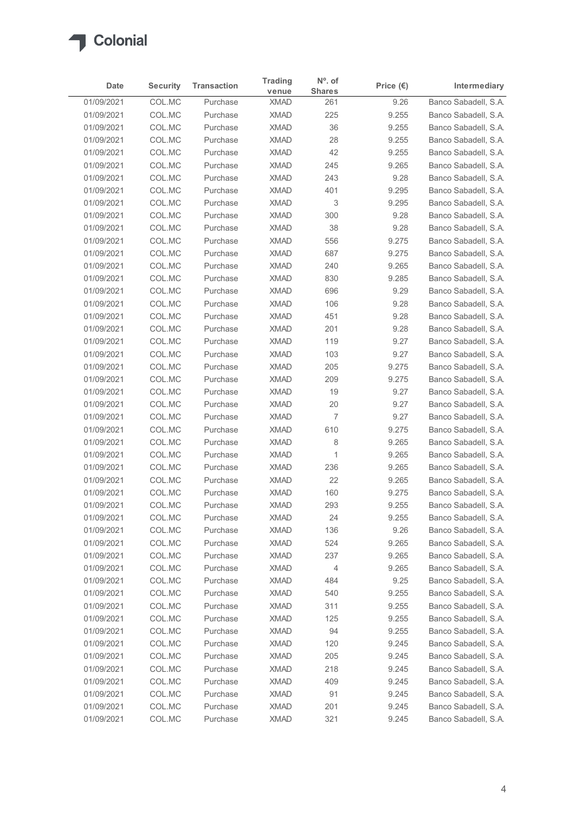

| Date                     | <b>Security</b>  | <b>Transaction</b>   | <b>Trading</b>             | $N^{\circ}$ . of     | Price $(\epsilon)$ | Intermediary                                 |
|--------------------------|------------------|----------------------|----------------------------|----------------------|--------------------|----------------------------------------------|
| 01/09/2021               | COL.MC           | Purchase             | venue<br><b>XMAD</b>       | <b>Shares</b><br>261 | 9.26               | Banco Sabadell, S.A.                         |
| 01/09/2021               | COL.MC           | Purchase             | <b>XMAD</b>                | 225                  | 9.255              | Banco Sabadell, S.A.                         |
| 01/09/2021               | COL.MC           | Purchase             | <b>XMAD</b>                | 36                   | 9.255              | Banco Sabadell, S.A.                         |
| 01/09/2021               | COL.MC           | Purchase             | <b>XMAD</b>                | 28                   | 9.255              | Banco Sabadell, S.A.                         |
| 01/09/2021               | COL.MC           | Purchase             | <b>XMAD</b>                | 42                   | 9.255              | Banco Sabadell, S.A.                         |
| 01/09/2021               | COL.MC           | Purchase             | <b>XMAD</b>                | 245                  | 9.265              | Banco Sabadell, S.A.                         |
| 01/09/2021               | COL.MC           | Purchase             | <b>XMAD</b>                | 243                  | 9.28               | Banco Sabadell, S.A.                         |
| 01/09/2021<br>01/09/2021 | COL.MC<br>COL.MC | Purchase<br>Purchase | <b>XMAD</b><br><b>XMAD</b> | 401<br>3             | 9.295<br>9.295     | Banco Sabadell, S.A.<br>Banco Sabadell, S.A. |
| 01/09/2021               | COL.MC           | Purchase             | <b>XMAD</b>                | 300                  | 9.28               | Banco Sabadell, S.A.                         |
| 01/09/2021               | COL.MC           | Purchase             | <b>XMAD</b>                | 38                   | 9.28               | Banco Sabadell, S.A.                         |
| 01/09/2021               | COL.MC           | Purchase             | <b>XMAD</b>                | 556                  | 9.275              | Banco Sabadell, S.A.                         |
| 01/09/2021               | COL.MC           | Purchase             | <b>XMAD</b>                | 687                  | 9.275              | Banco Sabadell, S.A.                         |
| 01/09/2021               | COL.MC           | Purchase             | <b>XMAD</b>                | 240                  | 9.265              | Banco Sabadell, S.A.                         |
| 01/09/2021               | COL.MC           | Purchase             | <b>XMAD</b>                | 830                  | 9.285              | Banco Sabadell, S.A.                         |
| 01/09/2021               | COL.MC           | Purchase             | <b>XMAD</b>                | 696                  | 9.29               | Banco Sabadell, S.A.                         |
| 01/09/2021               | COL.MC           | Purchase             | <b>XMAD</b>                | 106                  | 9.28               | Banco Sabadell, S.A.                         |
| 01/09/2021<br>01/09/2021 | COL.MC           | Purchase             | <b>XMAD</b>                | 451                  | 9.28               | Banco Sabadell, S.A.<br>Banco Sabadell, S.A. |
| 01/09/2021               | COL.MC<br>COL.MC | Purchase<br>Purchase | <b>XMAD</b><br><b>XMAD</b> | 201<br>119           | 9.28<br>9.27       | Banco Sabadell, S.A.                         |
| 01/09/2021               | COL.MC           | Purchase             | <b>XMAD</b>                | 103                  | 9.27               | Banco Sabadell, S.A.                         |
| 01/09/2021               | COL.MC           | Purchase             | XMAD                       | 205                  | 9.275              | Banco Sabadell, S.A.                         |
| 01/09/2021               | COL.MC           | Purchase             | <b>XMAD</b>                | 209                  | 9.275              | Banco Sabadell, S.A.                         |
| 01/09/2021               | COL.MC           | Purchase             | <b>XMAD</b>                | 19                   | 9.27               | Banco Sabadell, S.A.                         |
| 01/09/2021               | COL.MC           | Purchase             | <b>XMAD</b>                | 20                   | 9.27               | Banco Sabadell, S.A.                         |
| 01/09/2021               | COL.MC           | Purchase             | <b>XMAD</b>                | $\overline{7}$       | 9.27               | Banco Sabadell, S.A.                         |
| 01/09/2021               | COL.MC           | Purchase             | <b>XMAD</b>                | 610                  | 9.275              | Banco Sabadell, S.A.                         |
| 01/09/2021               | COL.MC           | Purchase             | <b>XMAD</b>                | 8                    | 9.265              | Banco Sabadell, S.A.                         |
| 01/09/2021<br>01/09/2021 | COL.MC<br>COL.MC | Purchase<br>Purchase | <b>XMAD</b><br><b>XMAD</b> | $\mathbf{1}$<br>236  | 9.265<br>9.265     | Banco Sabadell, S.A.<br>Banco Sabadell, S.A. |
| 01/09/2021               | COL.MC           | Purchase             | <b>XMAD</b>                | 22                   | 9.265              | Banco Sabadell, S.A.                         |
| 01/09/2021               | COL.MC           | Purchase             | <b>XMAD</b>                | 160                  | 9.275              | Banco Sabadell, S.A.                         |
| 01/09/2021               | COL.MC           | Purchase             | <b>XMAD</b>                | 293                  | 9.255              | Banco Sabadell, S.A.                         |
| 01/09/2021               | COL.MC           | Purchase             | <b>XMAD</b>                | 24                   | 9.255              | Banco Sabadell, S.A.                         |
| 01/09/2021               | COL.MC           | Purchase             | <b>XMAD</b>                | 136                  | 9.26               | Banco Sabadell, S.A.                         |
| 01/09/2021               | COL.MC           | Purchase             | <b>XMAD</b>                | 524                  | 9.265              | Banco Sabadell, S.A.                         |
| 01/09/2021               | COL.MC           | Purchase             | <b>XMAD</b>                | 237                  | 9.265              | Banco Sabadell, S.A.                         |
| 01/09/2021               | COL.MC           | Purchase             | <b>XMAD</b>                | 4                    | 9.265              | Banco Sabadell, S.A.                         |
| 01/09/2021<br>01/09/2021 | COL.MC<br>COL.MC | Purchase<br>Purchase | <b>XMAD</b><br><b>XMAD</b> | 484<br>540           | 9.25<br>9.255      | Banco Sabadell, S.A.<br>Banco Sabadell, S.A. |
| 01/09/2021               | COL.MC           | Purchase             | <b>XMAD</b>                | 311                  | 9.255              | Banco Sabadell, S.A.                         |
| 01/09/2021               | COL.MC           | Purchase             | <b>XMAD</b>                | 125                  | 9.255              | Banco Sabadell, S.A.                         |
| 01/09/2021               | COL.MC           | Purchase             | <b>XMAD</b>                | 94                   | 9.255              | Banco Sabadell, S.A.                         |
| 01/09/2021               | COL.MC           | Purchase             | <b>XMAD</b>                | 120                  | 9.245              | Banco Sabadell, S.A.                         |
| 01/09/2021               | COL.MC           | Purchase             | <b>XMAD</b>                | 205                  | 9.245              | Banco Sabadell, S.A.                         |
| 01/09/2021               | COL.MC           | Purchase             | <b>XMAD</b>                | 218                  | 9.245              | Banco Sabadell, S.A.                         |
| 01/09/2021               | COL.MC           | Purchase             | <b>XMAD</b>                | 409                  | 9.245              | Banco Sabadell, S.A.                         |
| 01/09/2021               | COL.MC           | Purchase             | <b>XMAD</b>                | 91                   | 9.245              | Banco Sabadell, S.A.                         |
| 01/09/2021               | COL.MC           | Purchase             | <b>XMAD</b>                | 201                  | 9.245              | Banco Sabadell, S.A.                         |
| 01/09/2021               | COL.MC           | Purchase             | <b>XMAD</b>                | 321                  | 9.245              | Banco Sabadell, S.A.                         |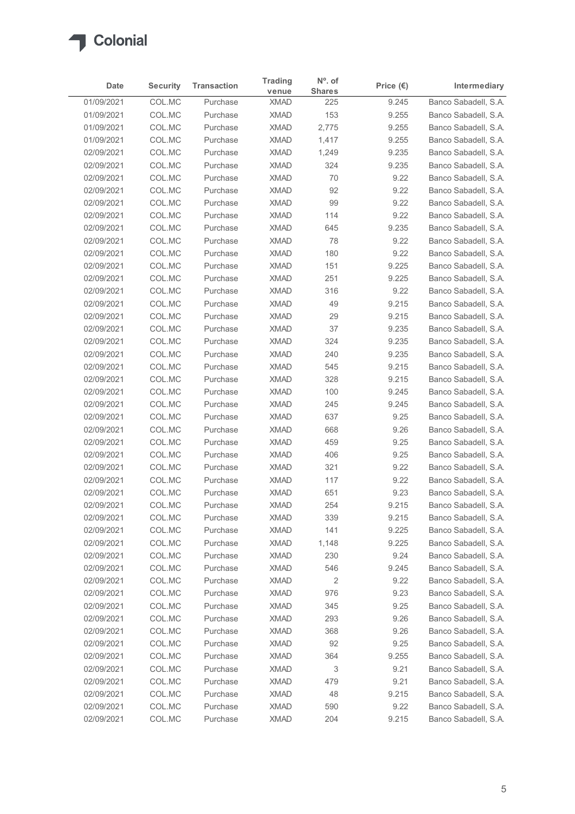

|                          | <b>Security</b>  | <b>Transaction</b>   | <b>Trading</b>             | $N^{\circ}$ . of     | Price $(\epsilon)$ | Intermediary                                 |
|--------------------------|------------------|----------------------|----------------------------|----------------------|--------------------|----------------------------------------------|
| Date<br>01/09/2021       | COL.MC           | Purchase             | venue<br><b>XMAD</b>       | <b>Shares</b><br>225 | 9.245              | Banco Sabadell, S.A.                         |
| 01/09/2021               | COL.MC           | Purchase             | <b>XMAD</b>                | 153                  | 9.255              | Banco Sabadell, S.A.                         |
| 01/09/2021               | COL.MC           | Purchase             | <b>XMAD</b>                | 2,775                | 9.255              | Banco Sabadell, S.A.                         |
| 01/09/2021               | COL.MC           | Purchase             | <b>XMAD</b>                | 1,417                | 9.255              | Banco Sabadell, S.A.                         |
| 02/09/2021               | COL.MC           | Purchase             | <b>XMAD</b>                | 1,249                | 9.235              | Banco Sabadell, S.A.                         |
| 02/09/2021               | COL.MC           | Purchase             | <b>XMAD</b>                | 324                  | 9.235              | Banco Sabadell, S.A.                         |
| 02/09/2021<br>02/09/2021 | COL.MC<br>COL.MC | Purchase<br>Purchase | <b>XMAD</b><br><b>XMAD</b> | 70                   | 9.22<br>9.22       | Banco Sabadell, S.A.<br>Banco Sabadell, S.A. |
| 02/09/2021               | COL.MC           | Purchase             | <b>XMAD</b>                | 92<br>99             | 9.22               | Banco Sabadell, S.A.                         |
| 02/09/2021               | COL.MC           | Purchase             | <b>XMAD</b>                | 114                  | 9.22               | Banco Sabadell, S.A.                         |
| 02/09/2021               | COL.MC           | Purchase             | <b>XMAD</b>                | 645                  | 9.235              | Banco Sabadell, S.A.                         |
| 02/09/2021               | COL.MC           | Purchase             | <b>XMAD</b>                | 78                   | 9.22               | Banco Sabadell, S.A.                         |
| 02/09/2021               | COL.MC           | Purchase             | <b>XMAD</b>                | 180                  | 9.22               | Banco Sabadell, S.A.                         |
| 02/09/2021               | COL.MC           | Purchase             | <b>XMAD</b>                | 151                  | 9.225              | Banco Sabadell, S.A.                         |
| 02/09/2021               | COL.MC           | Purchase             | <b>XMAD</b>                | 251                  | 9.225              | Banco Sabadell, S.A.                         |
| 02/09/2021<br>02/09/2021 | COL.MC<br>COL.MC | Purchase<br>Purchase | XMAD<br><b>XMAD</b>        | 316<br>49            | 9.22<br>9.215      | Banco Sabadell, S.A.<br>Banco Sabadell, S.A. |
| 02/09/2021               | COL.MC           | Purchase             | <b>XMAD</b>                | 29                   | 9.215              | Banco Sabadell, S.A.                         |
| 02/09/2021               | COL.MC           | Purchase             | <b>XMAD</b>                | 37                   | 9.235              | Banco Sabadell, S.A.                         |
| 02/09/2021               | COL.MC           | Purchase             | <b>XMAD</b>                | 324                  | 9.235              | Banco Sabadell, S.A.                         |
| 02/09/2021               | COL.MC           | Purchase             | <b>XMAD</b>                | 240                  | 9.235              | Banco Sabadell, S.A.                         |
| 02/09/2021               | COL.MC           | Purchase             | XMAD                       | 545                  | 9.215              | Banco Sabadell, S.A.                         |
| 02/09/2021               | COL.MC           | Purchase             | <b>XMAD</b>                | 328                  | 9.215              | Banco Sabadell, S.A.                         |
| 02/09/2021               | COL.MC           | Purchase             | <b>XMAD</b>                | 100                  | 9.245              | Banco Sabadell, S.A.                         |
| 02/09/2021               | COL.MC           | Purchase             | <b>XMAD</b>                | 245                  | 9.245              | Banco Sabadell, S.A.                         |
| 02/09/2021               | COL.MC           | Purchase             | <b>XMAD</b>                | 637                  | 9.25               | Banco Sabadell, S.A.                         |
| 02/09/2021<br>02/09/2021 | COL.MC<br>COL.MC | Purchase<br>Purchase | <b>XMAD</b><br><b>XMAD</b> | 668<br>459           | 9.26<br>9.25       | Banco Sabadell, S.A.<br>Banco Sabadell, S.A. |
| 02/09/2021               | COL.MC           | Purchase             | <b>XMAD</b>                | 406                  | 9.25               | Banco Sabadell, S.A.                         |
| 02/09/2021               | COL.MC           | Purchase             | <b>XMAD</b>                | 321                  | 9.22               | Banco Sabadell, S.A.                         |
| 02/09/2021               | COL.MC           | Purchase             | <b>XMAD</b>                | 117                  | 9.22               | Banco Sabadell, S.A.                         |
| 02/09/2021               | COL.MC           | Purchase             | <b>XMAD</b>                | 651                  | 9.23               | Banco Sabadell, S.A.                         |
| 02/09/2021               | COL.MC           | Purchase             | <b>XMAD</b>                | 254                  | 9.215              | Banco Sabadell, S.A.                         |
| 02/09/2021               | COL.MC           | Purchase             | <b>XMAD</b>                | 339                  | 9.215              | Banco Sabadell, S.A.                         |
| 02/09/2021               | COL.MC           | Purchase             | <b>XMAD</b>                | 141                  | 9.225              | Banco Sabadell, S.A.                         |
| 02/09/2021               | COL.MC           | Purchase             | <b>XMAD</b>                | 1,148                | 9.225              | Banco Sabadell, S.A.                         |
| 02/09/2021<br>02/09/2021 | COL.MC<br>COL.MC | Purchase<br>Purchase | <b>XMAD</b><br><b>XMAD</b> | 230<br>546           | 9.24<br>9.245      | Banco Sabadell, S.A.<br>Banco Sabadell, S.A. |
| 02/09/2021               | COL.MC           | Purchase             | <b>XMAD</b>                | 2                    | 9.22               | Banco Sabadell, S.A.                         |
| 02/09/2021               | COL.MC           | Purchase             | <b>XMAD</b>                | 976                  | 9.23               | Banco Sabadell, S.A.                         |
| 02/09/2021               | COL.MC           | Purchase             | <b>XMAD</b>                | 345                  | 9.25               | Banco Sabadell, S.A.                         |
| 02/09/2021               | COL.MC           | Purchase             | <b>XMAD</b>                | 293                  | 9.26               | Banco Sabadell, S.A.                         |
| 02/09/2021               | COL.MC           | Purchase             | <b>XMAD</b>                | 368                  | 9.26               | Banco Sabadell, S.A.                         |
| 02/09/2021               | COL.MC           | Purchase             | <b>XMAD</b>                | 92                   | 9.25               | Banco Sabadell, S.A.                         |
| 02/09/2021               | COL.MC           | Purchase             | <b>XMAD</b>                | 364                  | 9.255              | Banco Sabadell, S.A.                         |
| 02/09/2021               | COL.MC           | Purchase             | <b>XMAD</b><br><b>XMAD</b> | 3<br>479             | 9.21<br>9.21       | Banco Sabadell, S.A.<br>Banco Sabadell, S.A. |
| 02/09/2021<br>02/09/2021 | COL.MC<br>COL.MC | Purchase<br>Purchase | <b>XMAD</b>                | 48                   | 9.215              | Banco Sabadell, S.A.                         |
| 02/09/2021               | COL.MC           | Purchase             | <b>XMAD</b>                | 590                  | 9.22               | Banco Sabadell, S.A.                         |
|                          | COL.MC           | Purchase             | <b>XMAD</b>                | 204                  | 9.215              | Banco Sabadell, S.A.                         |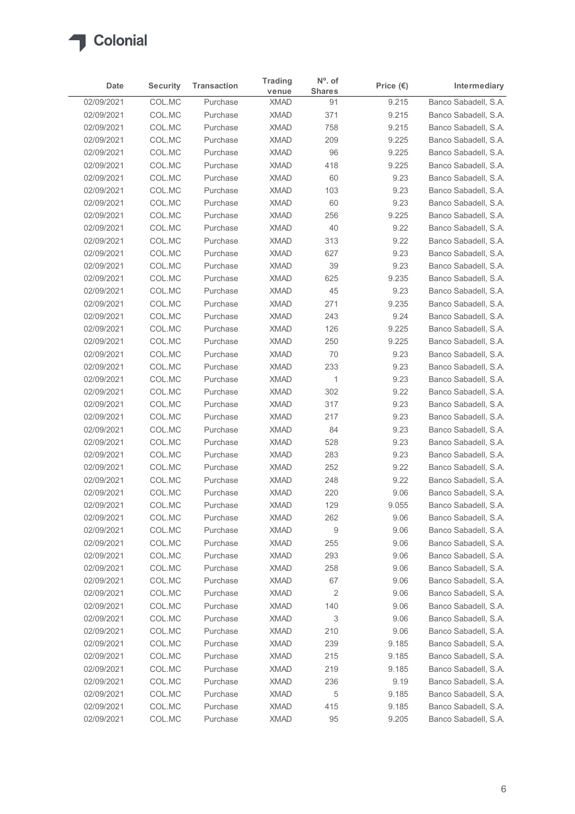

|                          | <b>Security</b>  | <b>Transaction</b>   | <b>Trading</b>             | $N^{\circ}$ . of    | Price $(\epsilon)$ | Intermediary                                 |
|--------------------------|------------------|----------------------|----------------------------|---------------------|--------------------|----------------------------------------------|
| Date<br>02/09/2021       | COL.MC           | Purchase             | venue<br><b>XMAD</b>       | <b>Shares</b><br>91 | 9.215              | Banco Sabadell, S.A.                         |
| 02/09/2021               | COL.MC           | Purchase             | <b>XMAD</b>                | 371                 | 9.215              | Banco Sabadell, S.A.                         |
| 02/09/2021               | COL.MC           | Purchase             | <b>XMAD</b>                | 758                 | 9.215              | Banco Sabadell, S.A.                         |
| 02/09/2021               | COL.MC           | Purchase             | <b>XMAD</b>                | 209                 | 9.225              | Banco Sabadell, S.A.                         |
| 02/09/2021               | COL.MC           | Purchase             | <b>XMAD</b>                | 96                  | 9.225              | Banco Sabadell, S.A.                         |
| 02/09/2021               | COL.MC           | Purchase             | <b>XMAD</b>                | 418                 | 9.225              | Banco Sabadell, S.A.                         |
| 02/09/2021<br>02/09/2021 | COL.MC<br>COL.MC | Purchase<br>Purchase | <b>XMAD</b><br><b>XMAD</b> | 60                  | 9.23               | Banco Sabadell, S.A.<br>Banco Sabadell, S.A. |
| 02/09/2021               | COL.MC           | Purchase             | <b>XMAD</b>                | 103<br>60           | 9.23<br>9.23       | Banco Sabadell, S.A.                         |
| 02/09/2021               | COL.MC           | Purchase             | <b>XMAD</b>                | 256                 | 9.225              | Banco Sabadell, S.A.                         |
| 02/09/2021               | COL.MC           | Purchase             | <b>XMAD</b>                | 40                  | 9.22               | Banco Sabadell, S.A.                         |
| 02/09/2021               | COL.MC           | Purchase             | <b>XMAD</b>                | 313                 | 9.22               | Banco Sabadell, S.A.                         |
| 02/09/2021               | COL.MC           | Purchase             | <b>XMAD</b>                | 627                 | 9.23               | Banco Sabadell, S.A.                         |
| 02/09/2021               | COL.MC           | Purchase             | <b>XMAD</b>                | 39                  | 9.23               | Banco Sabadell, S.A.                         |
| 02/09/2021<br>02/09/2021 | COL.MC<br>COL.MC | Purchase<br>Purchase | <b>XMAD</b><br><b>XMAD</b> | 625<br>45           | 9.235<br>9.23      | Banco Sabadell, S.A.<br>Banco Sabadell, S.A. |
| 02/09/2021               | COL.MC           | Purchase             | <b>XMAD</b>                | 271                 | 9.235              | Banco Sabadell, S.A.                         |
| 02/09/2021               | COL.MC           | Purchase             | <b>XMAD</b>                | 243                 | 9.24               | Banco Sabadell, S.A.                         |
| 02/09/2021               | COL.MC           | Purchase             | <b>XMAD</b>                | 126                 | 9.225              | Banco Sabadell, S.A.                         |
| 02/09/2021               | COL.MC           | Purchase             | <b>XMAD</b>                | 250                 | 9.225              | Banco Sabadell, S.A.                         |
| 02/09/2021               | COL.MC           | Purchase             | <b>XMAD</b>                | 70                  | 9.23               | Banco Sabadell, S.A.                         |
| 02/09/2021               | COL.MC           | Purchase             | <b>XMAD</b>                | 233                 | 9.23               | Banco Sabadell, S.A.                         |
| 02/09/2021               | COL.MC           | Purchase             | <b>XMAD</b>                | $\mathbf{1}$        | 9.23               | Banco Sabadell, S.A.                         |
| 02/09/2021<br>02/09/2021 | COL.MC<br>COL.MC | Purchase<br>Purchase | <b>XMAD</b><br><b>XMAD</b> | 302<br>317          | 9.22<br>9.23       | Banco Sabadell, S.A.<br>Banco Sabadell, S.A. |
| 02/09/2021               | COL.MC           | Purchase             | <b>XMAD</b>                | 217                 | 9.23               | Banco Sabadell, S.A.                         |
| 02/09/2021               | COL.MC           | Purchase             | <b>XMAD</b>                | 84                  | 9.23               | Banco Sabadell, S.A.                         |
| 02/09/2021               | COL.MC           | Purchase             | <b>XMAD</b>                | 528                 | 9.23               | Banco Sabadell, S.A.                         |
| 02/09/2021               | COL.MC           | Purchase             | <b>XMAD</b>                | 283                 | 9.23               | Banco Sabadell, S.A.                         |
| 02/09/2021               | COL.MC           | Purchase             | <b>XMAD</b>                | 252                 | 9.22               | Banco Sabadell, S.A.                         |
| 02/09/2021               | COL.MC           | Purchase             | <b>XMAD</b>                | 248                 | 9.22               | Banco Sabadell, S.A.                         |
| 02/09/2021               | COL.MC           | Purchase             | <b>XMAD</b>                | 220                 | 9.06               | Banco Sabadell, S.A.                         |
| 02/09/2021               | COL.MC           | Purchase             | <b>XMAD</b>                | 129                 | 9.055              | Banco Sabadell, S.A.                         |
| 02/09/2021<br>02/09/2021 | COL.MC<br>COL.MC | Purchase<br>Purchase | <b>XMAD</b><br><b>XMAD</b> | 262<br>9            | 9.06<br>9.06       | Banco Sabadell, S.A.<br>Banco Sabadell, S.A. |
| 02/09/2021               | COL.MC           | Purchase             | <b>XMAD</b>                | 255                 | 9.06               | Banco Sabadell, S.A.                         |
| 02/09/2021               | COL.MC           | Purchase             | <b>XMAD</b>                | 293                 | 9.06               | Banco Sabadell, S.A.                         |
| 02/09/2021               | COL.MC           | Purchase             | <b>XMAD</b>                | 258                 | 9.06               | Banco Sabadell, S.A.                         |
| 02/09/2021               | COL.MC           | Purchase             | <b>XMAD</b>                | 67                  | 9.06               | Banco Sabadell, S.A.                         |
| 02/09/2021               | COL.MC           | Purchase             | <b>XMAD</b>                | $\overline{c}$      | 9.06               | Banco Sabadell, S.A.                         |
| 02/09/2021               | COL.MC           | Purchase             | <b>XMAD</b>                | 140                 | 9.06               | Banco Sabadell, S.A.                         |
| 02/09/2021               | COL.MC           | Purchase             | <b>XMAD</b>                | 3                   | 9.06               | Banco Sabadell, S.A.                         |
| 02/09/2021               | COL.MC           | Purchase             | <b>XMAD</b>                | 210                 | 9.06               | Banco Sabadell, S.A.                         |
| 02/09/2021               | COL.MC           | Purchase<br>Purchase | <b>XMAD</b>                | 239                 | 9.185              | Banco Sabadell, S.A.                         |
| 02/09/2021<br>02/09/2021 | COL.MC<br>COL.MC | Purchase             | <b>XMAD</b><br><b>XMAD</b> | 215<br>219          | 9.185<br>9.185     | Banco Sabadell, S.A.<br>Banco Sabadell, S.A. |
| 02/09/2021               | COL.MC           | Purchase             | <b>XMAD</b>                | 236                 | 9.19               | Banco Sabadell, S.A.                         |
| 02/09/2021               | COL.MC           | Purchase             | <b>XMAD</b>                | 5                   | 9.185              | Banco Sabadell, S.A.                         |
| 02/09/2021               | COL.MC           | Purchase             | <b>XMAD</b>                | 415                 | 9.185              | Banco Sabadell, S.A.                         |
|                          | COL.MC           | Purchase             | <b>XMAD</b>                | 95                  | 9.205              | Banco Sabadell, S.A.                         |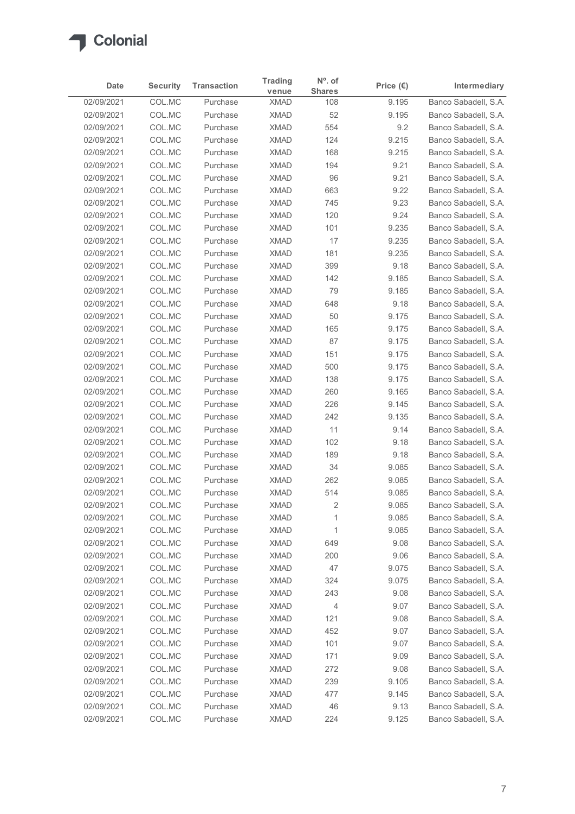

|                          | <b>Security</b>                                                    | <b>Transaction</b>   | <b>Trading</b>             | $N^{\circ}$ . of     | Price $(\epsilon)$ | Intermediary                                 |
|--------------------------|--------------------------------------------------------------------|----------------------|----------------------------|----------------------|--------------------|----------------------------------------------|
| Date<br>02/09/2021       | COL.MC                                                             | Purchase             | venue<br><b>XMAD</b>       | <b>Shares</b><br>108 | 9.195              | Banco Sabadell, S.A.                         |
| 02/09/2021               | COL.MC                                                             | Purchase             | <b>XMAD</b>                | 52                   | 9.195              | Banco Sabadell, S.A.                         |
| 02/09/2021               | COL.MC                                                             | Purchase             | <b>XMAD</b>                | 554                  | 9.2                | Banco Sabadell, S.A.                         |
| 02/09/2021               | COL.MC                                                             | Purchase             | <b>XMAD</b>                | 124                  | 9.215              | Banco Sabadell, S.A.                         |
| 02/09/2021               | COL.MC                                                             | Purchase             | <b>XMAD</b>                | 168                  | 9.215              | Banco Sabadell, S.A.                         |
| 02/09/2021               | COL.MC                                                             | Purchase             | <b>XMAD</b>                | 194                  | 9.21               | Banco Sabadell, S.A.                         |
| 02/09/2021               | COL.MC                                                             | Purchase             | <b>XMAD</b>                | 96                   | 9.21               | Banco Sabadell, S.A.                         |
| 02/09/2021<br>02/09/2021 | COL.MC<br>COL.MC                                                   | Purchase<br>Purchase | <b>XMAD</b><br><b>XMAD</b> | 663<br>745           | 9.22<br>9.23       | Banco Sabadell, S.A.<br>Banco Sabadell, S.A. |
| 02/09/2021               | COL.MC                                                             | Purchase             | <b>XMAD</b>                | 120                  | 9.24               | Banco Sabadell, S.A.                         |
| 02/09/2021               | COL.MC                                                             | Purchase             | <b>XMAD</b>                | 101                  | 9.235              | Banco Sabadell, S.A.                         |
| 02/09/2021               | COL.MC                                                             | Purchase             | <b>XMAD</b>                | 17                   | 9.235              | Banco Sabadell, S.A.                         |
| 02/09/2021               | COL.MC                                                             | Purchase             | <b>XMAD</b>                | 181                  | 9.235              | Banco Sabadell, S.A.                         |
| 02/09/2021               | COL.MC                                                             | Purchase             | XMAD                       | 399                  | 9.18               | Banco Sabadell, S.A.                         |
| 02/09/2021               | COL.MC                                                             | Purchase             | <b>XMAD</b>                | 142                  | 9.185              | Banco Sabadell, S.A.                         |
| 02/09/2021<br>02/09/2021 | COL.MC<br>COL.MC                                                   | Purchase<br>Purchase | <b>XMAD</b><br><b>XMAD</b> | 79<br>648            | 9.185<br>9.18      | Banco Sabadell, S.A.<br>Banco Sabadell, S.A. |
| 02/09/2021               | COL.MC                                                             | Purchase             | <b>XMAD</b>                | 50                   | 9.175              | Banco Sabadell, S.A.                         |
| 02/09/2021               | COL.MC                                                             | Purchase             | <b>XMAD</b>                | 165                  | 9.175              | Banco Sabadell, S.A.                         |
| 02/09/2021               | COL.MC                                                             | Purchase             | <b>XMAD</b>                | 87                   | 9.175              | Banco Sabadell, S.A.                         |
| 02/09/2021               | COL.MC                                                             | Purchase             | <b>XMAD</b>                | 151                  | 9.175              | Banco Sabadell, S.A.                         |
| 02/09/2021               | COL.MC                                                             | Purchase             | <b>XMAD</b>                | 500                  | 9.175              | Banco Sabadell, S.A.                         |
| 02/09/2021               | $\ensuremath{\mathsf{COL}}\xspace.\ensuremath{\mathsf{MC}}\xspace$ | Purchase             | <b>XMAD</b>                | 138                  | 9.175              | Banco Sabadell, S.A.                         |
| 02/09/2021               | COL.MC                                                             | Purchase             | <b>XMAD</b>                | 260                  | 9.165              | Banco Sabadell, S.A.                         |
| 02/09/2021               | COL.MC<br>COL.MC                                                   | Purchase             | <b>XMAD</b><br><b>XMAD</b> | 226                  | 9.145              | Banco Sabadell, S.A.<br>Banco Sabadell, S.A. |
| 02/09/2021<br>02/09/2021 | COL.MC                                                             | Purchase<br>Purchase | XMAD                       | 242<br>11            | 9.135<br>9.14      | Banco Sabadell, S.A.                         |
| 02/09/2021               | COL.MC                                                             | Purchase             | <b>XMAD</b>                | 102                  | 9.18               | Banco Sabadell, S.A.                         |
| 02/09/2021               | COL.MC                                                             | Purchase             | <b>XMAD</b>                | 189                  | 9.18               | Banco Sabadell, S.A.                         |
| 02/09/2021               | COL.MC                                                             | Purchase             | <b>XMAD</b>                | 34                   | 9.085              | Banco Sabadell, S.A.                         |
| 02/09/2021               | COL.MC                                                             | Purchase             | <b>XMAD</b>                | 262                  | 9.085              | Banco Sabadell, S.A.                         |
| 02/09/2021               | COL.MC                                                             | Purchase             | <b>XMAD</b>                | 514                  | 9.085              | Banco Sabadell, S.A.                         |
| 02/09/2021               | COL.MC                                                             | Purchase             | <b>XMAD</b>                | 2                    | 9.085              | Banco Sabadell, S.A.                         |
| 02/09/2021               | COL.MC                                                             | Purchase             | <b>XMAD</b>                |                      | 9.085              | Banco Sabadell, S.A.                         |
| 02/09/2021<br>02/09/2021 | COL.MC<br>COL.MC                                                   | Purchase<br>Purchase | <b>XMAD</b><br><b>XMAD</b> | 1<br>649             | 9.085<br>9.08      | Banco Sabadell, S.A.<br>Banco Sabadell, S.A. |
| 02/09/2021               | COL.MC                                                             | Purchase             | <b>XMAD</b>                | 200                  | 9.06               | Banco Sabadell, S.A.                         |
| 02/09/2021               | COL.MC                                                             | Purchase             | <b>XMAD</b>                | 47                   | 9.075              | Banco Sabadell, S.A.                         |
| 02/09/2021               | COL.MC                                                             | Purchase             | <b>XMAD</b>                | 324                  | 9.075              | Banco Sabadell, S.A.                         |
| 02/09/2021               | COL.MC                                                             | Purchase             | <b>XMAD</b>                | 243                  | 9.08               | Banco Sabadell, S.A.                         |
| 02/09/2021               | COL.MC                                                             | Purchase             | <b>XMAD</b>                | 4                    | 9.07               | Banco Sabadell, S.A.                         |
| 02/09/2021               | COL.MC                                                             | Purchase             | <b>XMAD</b>                | 121                  | 9.08               | Banco Sabadell, S.A.                         |
| 02/09/2021               | COL.MC                                                             | Purchase             | <b>XMAD</b>                | 452                  | 9.07               | Banco Sabadell, S.A.                         |
| 02/09/2021               | COL.MC                                                             | Purchase             | <b>XMAD</b>                | 101                  | 9.07               | Banco Sabadell, S.A.                         |
| 02/09/2021               | COL.MC                                                             | Purchase             | <b>XMAD</b>                | 171                  | 9.09               | Banco Sabadell, S.A.                         |
| 02/09/2021<br>02/09/2021 | COL.MC<br>COL.MC                                                   | Purchase<br>Purchase | <b>XMAD</b><br><b>XMAD</b> | 272<br>239           | 9.08<br>9.105      | Banco Sabadell, S.A.<br>Banco Sabadell, S.A. |
| 02/09/2021               | COL.MC                                                             | Purchase             | <b>XMAD</b>                | 477                  | 9.145              | Banco Sabadell, S.A.                         |
| 02/09/2021               | COL.MC                                                             | Purchase             | <b>XMAD</b>                | 46                   | 9.13               | Banco Sabadell, S.A.                         |
|                          | COL.MC                                                             | Purchase             | <b>XMAD</b>                | 224                  | 9.125              | Banco Sabadell, S.A.                         |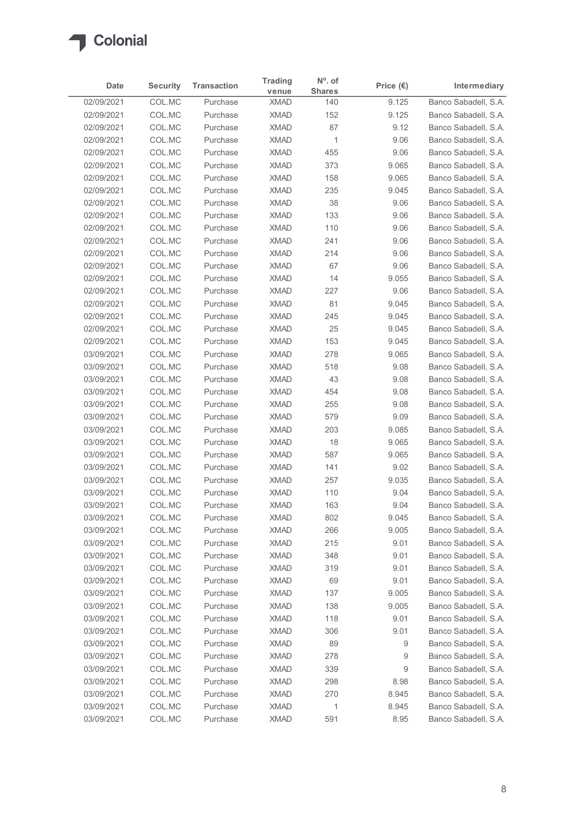

|                          | <b>Security</b>  | <b>Transaction</b>   | <b>Trading</b>             | $N^{\circ}$ . of     | Price $(\epsilon)$ | Intermediary                                 |
|--------------------------|------------------|----------------------|----------------------------|----------------------|--------------------|----------------------------------------------|
| Date<br>02/09/2021       | COL.MC           | Purchase             | venue<br><b>XMAD</b>       | <b>Shares</b><br>140 | 9.125              | Banco Sabadell, S.A.                         |
| 02/09/2021               | COL.MC           | Purchase             | <b>XMAD</b>                | 152                  | 9.125              | Banco Sabadell, S.A.                         |
| 02/09/2021               | COL.MC           | Purchase             | <b>XMAD</b>                | 87                   | 9.12               | Banco Sabadell, S.A.                         |
| 02/09/2021               | COL.MC           | Purchase             | <b>XMAD</b>                | $\mathbf 1$          | 9.06               | Banco Sabadell, S.A.                         |
| 02/09/2021               | COL.MC           | Purchase             | <b>XMAD</b>                | 455                  | 9.06               | Banco Sabadell, S.A.                         |
| 02/09/2021               | COL.MC           | Purchase             | <b>XMAD</b>                | 373                  | 9.065              | Banco Sabadell, S.A.                         |
| 02/09/2021               | COL.MC           | Purchase             | <b>XMAD</b>                | 158                  | 9.065              | Banco Sabadell, S.A.                         |
| 02/09/2021               | COL.MC           | Purchase             | <b>XMAD</b>                | 235                  | 9.045              | Banco Sabadell, S.A.                         |
| 02/09/2021               | COL.MC           | Purchase             | <b>XMAD</b>                | 38                   | 9.06               | Banco Sabadell, S.A.                         |
| 02/09/2021<br>02/09/2021 | COL.MC           | Purchase             | <b>XMAD</b>                | 133                  | 9.06               | Banco Sabadell, S.A.                         |
| 02/09/2021               | COL.MC<br>COL.MC | Purchase<br>Purchase | <b>XMAD</b><br><b>XMAD</b> | 110<br>241           | 9.06<br>9.06       | Banco Sabadell, S.A.<br>Banco Sabadell, S.A. |
| 02/09/2021               | COL.MC           | Purchase             | <b>XMAD</b>                | 214                  | 9.06               | Banco Sabadell, S.A.                         |
| 02/09/2021               | COL.MC           | Purchase             | XMAD                       | 67                   | 9.06               | Banco Sabadell, S.A.                         |
| 02/09/2021               | COL.MC           | Purchase             | <b>XMAD</b>                | 14                   | 9.055              | Banco Sabadell, S.A.                         |
| 02/09/2021               | COL.MC           | Purchase             | <b>XMAD</b>                | 227                  | 9.06               | Banco Sabadell, S.A.                         |
| 02/09/2021               | COL.MC           | Purchase             | <b>XMAD</b>                | 81                   | 9.045              | Banco Sabadell, S.A.                         |
| 02/09/2021               | COL.MC           | Purchase             | <b>XMAD</b>                | 245                  | 9.045              | Banco Sabadell, S.A.                         |
| 02/09/2021               | COL.MC           | Purchase             | <b>XMAD</b>                | 25                   | 9.045              | Banco Sabadell, S.A.                         |
| 02/09/2021               | COL.MC           | Purchase             | <b>XMAD</b>                | 153                  | 9.045              | Banco Sabadell, S.A.                         |
| 03/09/2021               | COL.MC           | Purchase             | <b>XMAD</b>                | 278                  | 9.065              | Banco Sabadell, S.A.                         |
| 03/09/2021               | COL.MC           | Purchase             | <b>XMAD</b>                | 518                  | 9.08               | Banco Sabadell, S.A.                         |
| 03/09/2021<br>03/09/2021 | COL.MC           | Purchase             | <b>XMAD</b>                | 43                   | 9.08               | Banco Sabadell, S.A.                         |
| 03/09/2021               | COL.MC<br>COL.MC | Purchase<br>Purchase | <b>XMAD</b><br><b>XMAD</b> | 454<br>255           | 9.08<br>9.08       | Banco Sabadell, S.A.<br>Banco Sabadell, S.A. |
| 03/09/2021               | COL.MC           | Purchase             | <b>XMAD</b>                | 579                  | 9.09               | Banco Sabadell, S.A.                         |
| 03/09/2021               | COL.MC           | Purchase             | <b>XMAD</b>                | 203                  | 9.085              | Banco Sabadell, S.A.                         |
| 03/09/2021               | COL.MC           | Purchase             | <b>XMAD</b>                | 18                   | 9.065              | Banco Sabadell, S.A.                         |
| 03/09/2021               | COL.MC           | Purchase             | <b>XMAD</b>                | 587                  | 9.065              | Banco Sabadell, S.A.                         |
| 03/09/2021               | COL.MC           | Purchase             | <b>XMAD</b>                | 141                  | 9.02               | Banco Sabadell, S.A.                         |
| 03/09/2021               | COL.MC           | Purchase             | <b>XMAD</b>                | 257                  | 9.035              | Banco Sabadell, S.A.                         |
| 03/09/2021               | COL.MC           | Purchase             | <b>XMAD</b>                | 110                  | 9.04               | Banco Sabadell, S.A.                         |
| 03/09/2021               | COL.MC           | Purchase             | <b>XMAD</b>                | 163                  | 9.04               | Banco Sabadell, S.A.                         |
| 03/09/2021               | COL.MC           | Purchase             | <b>XMAD</b>                | 802                  | 9.045              | Banco Sabadell, S.A.                         |
| 03/09/2021               | COL.MC           | Purchase             | <b>XMAD</b>                | 266                  | 9.005              | Banco Sabadell, S.A.                         |
| 03/09/2021               | COL.MC           | Purchase             | <b>XMAD</b>                | 215                  | 9.01               | Banco Sabadell, S.A.                         |
| 03/09/2021               | COL.MC           | Purchase             | <b>XMAD</b>                | 348                  | 9.01               | Banco Sabadell, S.A.                         |
| 03/09/2021               | COL.MC           | Purchase             | <b>XMAD</b>                | 319                  | 9.01               | Banco Sabadell, S.A.                         |
| 03/09/2021               | COL.MC           | Purchase             | <b>XMAD</b>                | 69                   | 9.01               | Banco Sabadell, S.A.                         |
| 03/09/2021<br>03/09/2021 | COL.MC<br>COL.MC | Purchase<br>Purchase | <b>XMAD</b><br><b>XMAD</b> | 137<br>138           | 9.005<br>9.005     | Banco Sabadell, S.A.<br>Banco Sabadell, S.A. |
| 03/09/2021               | COL.MC           | Purchase             | <b>XMAD</b>                | 118                  | 9.01               | Banco Sabadell, S.A.                         |
| 03/09/2021               | COL.MC           | Purchase             | <b>XMAD</b>                | 306                  | 9.01               | Banco Sabadell, S.A.                         |
| 03/09/2021               | COL.MC           | Purchase             | <b>XMAD</b>                | 89                   | 9                  | Banco Sabadell, S.A.                         |
| 03/09/2021               | COL.MC           | Purchase             | <b>XMAD</b>                | 278                  | 9                  | Banco Sabadell, S.A.                         |
| 03/09/2021               | COL.MC           | Purchase             | <b>XMAD</b>                | 339                  | 9                  | Banco Sabadell, S.A.                         |
| 03/09/2021               | COL.MC           | Purchase             | <b>XMAD</b>                | 298                  | 8.98               | Banco Sabadell, S.A.                         |
| 03/09/2021               | COL.MC           | Purchase             | <b>XMAD</b>                | 270                  | 8.945              | Banco Sabadell, S.A.                         |
| 03/09/2021               | COL.MC           | Purchase             | <b>XMAD</b>                | $\mathbf{1}$         | 8.945              | Banco Sabadell, S.A.                         |
|                          | COL.MC           | Purchase             | <b>XMAD</b>                | 591                  | 8.95               | Banco Sabadell, S.A.                         |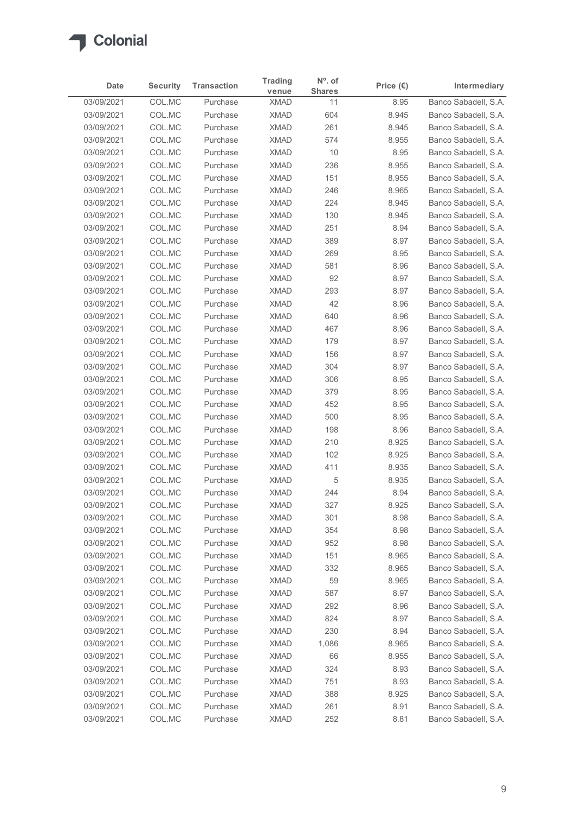

|                          | <b>Security</b>  | <b>Transaction</b>   | <b>Trading</b>             | $N^{\circ}$ . of    | Price $(\epsilon)$ | Intermediary                                 |
|--------------------------|------------------|----------------------|----------------------------|---------------------|--------------------|----------------------------------------------|
| Date<br>03/09/2021       | COL.MC           | Purchase             | venue<br><b>XMAD</b>       | <b>Shares</b><br>11 | 8.95               | Banco Sabadell, S.A.                         |
| 03/09/2021               | COL.MC           | Purchase             | <b>XMAD</b>                | 604                 | 8.945              | Banco Sabadell, S.A.                         |
| 03/09/2021               | COL.MC           | Purchase             | <b>XMAD</b>                | 261                 | 8.945              | Banco Sabadell, S.A.                         |
| 03/09/2021               | COL.MC           | Purchase             | <b>XMAD</b>                | 574                 | 8.955              | Banco Sabadell, S.A.                         |
| 03/09/2021               | COL.MC           | Purchase             | <b>XMAD</b>                | 10                  | 8.95               | Banco Sabadell, S.A.                         |
| 03/09/2021               | COL.MC           | Purchase             | <b>XMAD</b>                | 236                 | 8.955              | Banco Sabadell, S.A.                         |
| 03/09/2021<br>03/09/2021 | COL.MC<br>COL.MC | Purchase<br>Purchase | <b>XMAD</b><br><b>XMAD</b> | 151                 | 8.955<br>8.965     | Banco Sabadell, S.A.<br>Banco Sabadell, S.A. |
| 03/09/2021               | COL.MC           | Purchase             | <b>XMAD</b>                | 246<br>224          | 8.945              | Banco Sabadell, S.A.                         |
| 03/09/2021               | COL.MC           | Purchase             | <b>XMAD</b>                | 130                 | 8.945              | Banco Sabadell, S.A.                         |
| 03/09/2021               | COL.MC           | Purchase             | <b>XMAD</b>                | 251                 | 8.94               | Banco Sabadell, S.A.                         |
| 03/09/2021               | COL.MC           | Purchase             | <b>XMAD</b>                | 389                 | 8.97               | Banco Sabadell, S.A.                         |
| 03/09/2021               | COL.MC           | Purchase             | <b>XMAD</b>                | 269                 | 8.95               | Banco Sabadell, S.A.                         |
| 03/09/2021               | COL.MC           | Purchase             | <b>XMAD</b>                | 581                 | 8.96               | Banco Sabadell, S.A.                         |
| 03/09/2021<br>03/09/2021 | COL.MC<br>COL.MC | Purchase<br>Purchase | <b>XMAD</b><br>XMAD        | 92<br>293           | 8.97<br>8.97       | Banco Sabadell, S.A.<br>Banco Sabadell, S.A. |
| 03/09/2021               | COL.MC           | Purchase             | <b>XMAD</b>                | 42                  | 8.96               | Banco Sabadell, S.A.                         |
| 03/09/2021               | COL.MC           | Purchase             | <b>XMAD</b>                | 640                 | 8.96               | Banco Sabadell, S.A.                         |
| 03/09/2021               | COL.MC           | Purchase             | <b>XMAD</b>                | 467                 | 8.96               | Banco Sabadell, S.A.                         |
| 03/09/2021               | COL.MC           | Purchase             | <b>XMAD</b>                | 179                 | 8.97               | Banco Sabadell, S.A.                         |
| 03/09/2021               | COL.MC           | Purchase             | <b>XMAD</b>                | 156                 | 8.97               | Banco Sabadell, S.A.                         |
| 03/09/2021               | COL.MC           | Purchase             | XMAD                       | 304                 | 8.97               | Banco Sabadell, S.A.                         |
| 03/09/2021               | COL.MC           | Purchase             | <b>XMAD</b>                | 306                 | 8.95               | Banco Sabadell, S.A.                         |
| 03/09/2021<br>03/09/2021 | COL.MC<br>COL.MC | Purchase<br>Purchase | <b>XMAD</b><br><b>XMAD</b> | 379<br>452          | 8.95<br>8.95       | Banco Sabadell, S.A.<br>Banco Sabadell, S.A. |
| 03/09/2021               | COL.MC           | Purchase             | <b>XMAD</b>                | 500                 | 8.95               | Banco Sabadell, S.A.                         |
| 03/09/2021               | COL.MC           | Purchase             | <b>XMAD</b>                | 198                 | 8.96               | Banco Sabadell, S.A.                         |
| 03/09/2021               | COL.MC           | Purchase             | <b>XMAD</b>                | 210                 | 8.925              | Banco Sabadell, S.A.                         |
| 03/09/2021               | COL.MC           | Purchase             | <b>XMAD</b>                | 102                 | 8.925              | Banco Sabadell, S.A.                         |
| 03/09/2021               | COL.MC           | Purchase             | <b>XMAD</b>                | 411                 | 8.935              | Banco Sabadell, S.A.                         |
| 03/09/2021               | COL.MC           | Purchase             | <b>XMAD</b>                | 5                   | 8.935              | Banco Sabadell, S.A.                         |
| 03/09/2021               | COL.MC           | Purchase             | <b>XMAD</b>                | 244                 | 8.94               | Banco Sabadell, S.A.                         |
| 03/09/2021<br>03/09/2021 | COL.MC<br>COL.MC | Purchase<br>Purchase | <b>XMAD</b><br><b>XMAD</b> | 327<br>301          | 8.925<br>8.98      | Banco Sabadell, S.A.<br>Banco Sabadell, S.A. |
| 03/09/2021               | COL.MC           | Purchase             | <b>XMAD</b>                | 354                 | 8.98               | Banco Sabadell, S.A.                         |
| 03/09/2021               | COL.MC           | Purchase             | <b>XMAD</b>                | 952                 | 8.98               | Banco Sabadell, S.A.                         |
| 03/09/2021               | COL.MC           | Purchase             | <b>XMAD</b>                | 151                 | 8.965              | Banco Sabadell, S.A.                         |
| 03/09/2021               | COL.MC           | Purchase             | <b>XMAD</b>                | 332                 | 8.965              | Banco Sabadell, S.A.                         |
| 03/09/2021               | COL.MC           | Purchase             | <b>XMAD</b>                | 59                  | 8.965              | Banco Sabadell, S.A.                         |
| 03/09/2021               | COL.MC           | Purchase             | <b>XMAD</b>                | 587                 | 8.97               | Banco Sabadell, S.A.                         |
| 03/09/2021               | COL.MC           | Purchase             | <b>XMAD</b>                | 292                 | 8.96               | Banco Sabadell, S.A.                         |
| 03/09/2021<br>03/09/2021 | COL.MC<br>COL.MC | Purchase<br>Purchase | <b>XMAD</b><br><b>XMAD</b> | 824<br>230          | 8.97<br>8.94       | Banco Sabadell, S.A.<br>Banco Sabadell, S.A. |
| 03/09/2021               | COL.MC           | Purchase             | <b>XMAD</b>                | 1,086               | 8.965              | Banco Sabadell, S.A.                         |
| 03/09/2021               | COL.MC           | Purchase             | <b>XMAD</b>                | 66                  | 8.955              | Banco Sabadell, S.A.                         |
| 03/09/2021               | COL.MC           | Purchase             | <b>XMAD</b>                | 324                 | 8.93               | Banco Sabadell, S.A.                         |
| 03/09/2021               | COL.MC           | Purchase             | <b>XMAD</b>                | 751                 | 8.93               | Banco Sabadell, S.A.                         |
| 03/09/2021               | COL.MC           | Purchase             | <b>XMAD</b>                | 388                 | 8.925              | Banco Sabadell, S.A.                         |
| 03/09/2021<br>03/09/2021 | COL.MC           | Purchase             | <b>XMAD</b>                | 261                 | 8.91               | Banco Sabadell, S.A.                         |
|                          | COL.MC           | Purchase             | <b>XMAD</b>                | 252                 | 8.81               | Banco Sabadell, S.A.                         |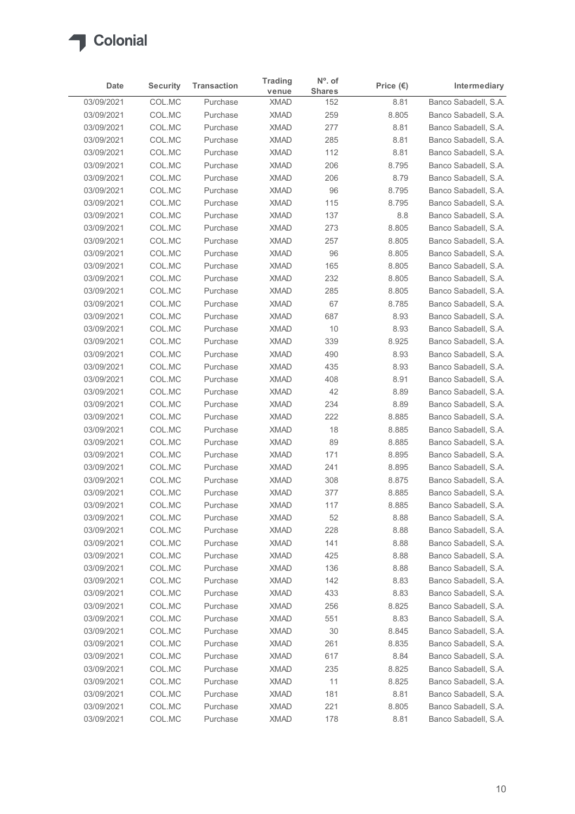

| COL.MC<br>Banco Sabadell, S.A.<br>03/09/2021<br>8.81<br>Purchase<br><b>XMAD</b><br>152<br>COL.MC<br>259<br>Banco Sabadell, S.A.<br>03/09/2021<br>Purchase<br><b>XMAD</b><br>8.805<br>COL.MC<br>277<br>Banco Sabadell, S.A.<br>03/09/2021<br>Purchase<br><b>XMAD</b><br>8.81<br>03/09/2021<br>COL.MC<br>Purchase<br><b>XMAD</b><br>285<br>8.81<br>Banco Sabadell, S.A.<br>COL.MC<br>112<br>03/09/2021<br>Purchase<br><b>XMAD</b><br>8.81<br>Banco Sabadell, S.A.<br>03/09/2021<br>COL.MC<br>206<br>Purchase<br><b>XMAD</b><br>8.795<br>COL.MC<br>206<br>03/09/2021<br>Purchase<br><b>XMAD</b><br>8.79<br>COL.MC<br>96<br>03/09/2021<br>Purchase<br><b>XMAD</b><br>8.795<br>Banco Sabadell, S.A.<br>03/09/2021<br>COL.MC<br><b>XMAD</b><br>115<br>8.795<br>Banco Sabadell, S.A.<br>Purchase<br>COL.MC<br>137<br>03/09/2021<br>Purchase<br><b>XMAD</b><br>8.8<br>Banco Sabadell, S.A.<br>COL.MC<br>273<br>03/09/2021<br>Purchase<br><b>XMAD</b><br>8.805<br>Banco Sabadell, S.A.<br>COL.MC<br>257<br>Banco Sabadell, S.A.<br>03/09/2021<br>Purchase<br><b>XMAD</b><br>8.805<br>96<br>03/09/2021<br>COL.MC<br>Purchase<br><b>XMAD</b><br>8.805<br>Banco Sabadell, S.A.<br>165<br>03/09/2021<br>COL.MC<br><b>XMAD</b><br>8.805<br>Purchase<br>03/09/2021<br>COL.MC<br>Purchase<br><b>XMAD</b><br>232<br>8.805<br>COL.MC<br>285<br>8.805<br>03/09/2021<br><b>XMAD</b><br>Purchase<br>67<br>03/09/2021<br>COL.MC<br><b>XMAD</b><br>8.785<br>Purchase<br>03/09/2021<br>COL.MC<br><b>XMAD</b><br>687<br>8.93<br>Purchase<br>COL.MC<br>10<br>8.93<br>03/09/2021<br>Purchase<br><b>XMAD</b><br>03/09/2021<br>COL.MC<br>Purchase<br><b>XMAD</b><br>339<br>8.925<br>COL.MC<br>490<br>8.93<br>03/09/2021<br>Purchase<br><b>XMAD</b><br>03/09/2021<br>COL.MC<br>Purchase<br><b>XMAD</b><br>435<br>8.93<br>COL.MC<br>03/09/2021<br>Purchase<br><b>XMAD</b><br>408<br>8.91<br>42<br>03/09/2021<br>COL.MC<br><b>XMAD</b><br>8.89<br>Purchase<br>03/09/2021<br>COL.MC<br><b>XMAD</b><br>234<br>8.89<br>Purchase<br>03/09/2021<br>COL.MC<br><b>XMAD</b><br>222<br>8.885<br>Purchase<br>03/09/2021<br>COL.MC<br><b>XMAD</b><br>18<br>8.885<br>Purchase<br>89<br>03/09/2021<br>COL.MC<br><b>XMAD</b><br>8.885<br>Purchase<br>03/09/2021<br>COL.MC<br><b>XMAD</b><br>171<br>8.895<br>Purchase<br>03/09/2021<br>COL.MC<br>Purchase<br><b>XMAD</b><br>241<br>8.895<br>03/09/2021<br>COL.MC<br>Purchase<br><b>XMAD</b><br>308<br>8.875<br>03/09/2021<br>COL.MC<br>377<br>8.885<br>Purchase<br><b>XMAD</b><br>COL.MC<br><b>XMAD</b><br>117<br>8.885<br>03/09/2021<br>Purchase<br>52<br>03/09/2021<br>COL.MC<br><b>XMAD</b><br>8.88<br>Purchase<br>COL.MC<br>03/09/2021<br><b>XMAD</b><br>228<br>8.88<br>Purchase<br>COL.MC<br>03/09/2021<br>Purchase<br><b>XMAD</b><br>141<br>8.88<br>03/09/2021<br>COL.MC<br>425<br>8.88<br>Purchase<br><b>XMAD</b><br>03/09/2021<br>COL.MC<br><b>XMAD</b><br>136<br>8.88<br>Purchase<br>03/09/2021<br>COL.MC<br>Purchase<br><b>XMAD</b><br>142<br>8.83<br>COL.MC<br><b>XMAD</b><br>433<br>8.83<br>03/09/2021<br>Purchase<br>03/09/2021<br>COL.MC<br><b>XMAD</b><br>256<br>8.825<br>Purchase<br>COL.MC<br>03/09/2021<br>Purchase<br><b>XMAD</b><br>551<br>8.83<br>03/09/2021<br>COL.MC<br>Purchase<br><b>XMAD</b><br>30<br>8.845<br>COL.MC<br>261<br>8.835<br>03/09/2021<br>Purchase<br><b>XMAD</b><br>03/09/2021<br>COL.MC<br>Purchase<br><b>XMAD</b><br>617<br>8.84<br>03/09/2021<br>COL.MC<br>Purchase<br><b>XMAD</b><br>235<br>8.825<br>03/09/2021<br>COL.MC<br><b>XMAD</b><br>11<br>8.825<br>Purchase<br>03/09/2021<br>COL.MC<br>Purchase<br><b>XMAD</b><br>181<br>8.81<br>COLMC<br>221<br>03/09/2021<br>Purchase<br><b>XMAD</b><br>8.805<br>Banco Sabadell, S.A.<br>03/09/2021 | Date | <b>Security</b> | <b>Transaction</b> | <b>Trading</b><br>venue | $No$ . of<br><b>Shares</b> | Price $(\epsilon)$ | Intermediary         |
|--------------------------------------------------------------------------------------------------------------------------------------------------------------------------------------------------------------------------------------------------------------------------------------------------------------------------------------------------------------------------------------------------------------------------------------------------------------------------------------------------------------------------------------------------------------------------------------------------------------------------------------------------------------------------------------------------------------------------------------------------------------------------------------------------------------------------------------------------------------------------------------------------------------------------------------------------------------------------------------------------------------------------------------------------------------------------------------------------------------------------------------------------------------------------------------------------------------------------------------------------------------------------------------------------------------------------------------------------------------------------------------------------------------------------------------------------------------------------------------------------------------------------------------------------------------------------------------------------------------------------------------------------------------------------------------------------------------------------------------------------------------------------------------------------------------------------------------------------------------------------------------------------------------------------------------------------------------------------------------------------------------------------------------------------------------------------------------------------------------------------------------------------------------------------------------------------------------------------------------------------------------------------------------------------------------------------------------------------------------------------------------------------------------------------------------------------------------------------------------------------------------------------------------------------------------------------------------------------------------------------------------------------------------------------------------------------------------------------------------------------------------------------------------------------------------------------------------------------------------------------------------------------------------------------------------------------------------------------------------------------------------------------------------------------------------------------------------------------------------------------------------------------------------------------------------------------------------------------------------------------------------------------------------------------------------------------------------------------------------------------------------------------------------------------------------------------------------------------------------------------------------------------------------------------------------------------------------------------------------------------------------------------------------------------------------------|------|-----------------|--------------------|-------------------------|----------------------------|--------------------|----------------------|
| Banco Sabadell, S.A.<br>Banco Sabadell, S.A.<br>Banco Sabadell, S.A.<br>Banco Sabadell, S.A.<br>Banco Sabadell, S.A.<br>Banco Sabadell, S.A.<br>Banco Sabadell, S.A.<br>Banco Sabadell, S.A.<br>Banco Sabadell, S.A.<br>Banco Sabadell, S.A.<br>Banco Sabadell, S.A.<br>Banco Sabadell, S.A.<br>Banco Sabadell, S.A.<br>Banco Sabadell, S.A.<br>Banco Sabadell, S.A.<br>Banco Sabadell, S.A.<br>Banco Sabadell, S.A.<br>Banco Sabadell, S.A.<br>Banco Sabadell, S.A.<br>Banco Sabadell, S.A.<br>Banco Sabadell, S.A.<br>Banco Sabadell, S.A.<br>Banco Sabadell, S.A.<br>Banco Sabadell, S.A.<br>Banco Sabadell, S.A.<br>Banco Sabadell, S.A.<br>Banco Sabadell, S.A.<br>Banco Sabadell, S.A.<br>Banco Sabadell, S.A.<br>Banco Sabadell, S.A.<br>Banco Sabadell, S.A.<br>Banco Sabadell, S.A.<br>Banco Sabadell, S.A.<br>Banco Sabadell, S.A.<br>Banco Sabadell, S.A.<br>Banco Sabadell, S.A.<br>Banco Sabadell, S.A.                                                                                                                                                                                                                                                                                                                                                                                                                                                                                                                                                                                                                                                                                                                                                                                                                                                                                                                                                                                                                                                                                                                                                                                                                                                                                                                                                                                                                                                                                                                                                                                                                                                                                                                                                                                                                                                                                                                                                                                                                                                                                                                                                                                                                                                                                                                                                                                                                                                                                                                                                                                                                                                                                                                                                                       |      |                 |                    |                         |                            |                    |                      |
|                                                                                                                                                                                                                                                                                                                                                                                                                                                                                                                                                                                                                                                                                                                                                                                                                                                                                                                                                                                                                                                                                                                                                                                                                                                                                                                                                                                                                                                                                                                                                                                                                                                                                                                                                                                                                                                                                                                                                                                                                                                                                                                                                                                                                                                                                                                                                                                                                                                                                                                                                                                                                                                                                                                                                                                                                                                                                                                                                                                                                                                                                                                                                                                                                                                                                                                                                                                                                                                                                                                                                                                                                                                                                            |      |                 |                    |                         |                            |                    |                      |
|                                                                                                                                                                                                                                                                                                                                                                                                                                                                                                                                                                                                                                                                                                                                                                                                                                                                                                                                                                                                                                                                                                                                                                                                                                                                                                                                                                                                                                                                                                                                                                                                                                                                                                                                                                                                                                                                                                                                                                                                                                                                                                                                                                                                                                                                                                                                                                                                                                                                                                                                                                                                                                                                                                                                                                                                                                                                                                                                                                                                                                                                                                                                                                                                                                                                                                                                                                                                                                                                                                                                                                                                                                                                                            |      |                 |                    |                         |                            |                    |                      |
|                                                                                                                                                                                                                                                                                                                                                                                                                                                                                                                                                                                                                                                                                                                                                                                                                                                                                                                                                                                                                                                                                                                                                                                                                                                                                                                                                                                                                                                                                                                                                                                                                                                                                                                                                                                                                                                                                                                                                                                                                                                                                                                                                                                                                                                                                                                                                                                                                                                                                                                                                                                                                                                                                                                                                                                                                                                                                                                                                                                                                                                                                                                                                                                                                                                                                                                                                                                                                                                                                                                                                                                                                                                                                            |      |                 |                    |                         |                            |                    |                      |
|                                                                                                                                                                                                                                                                                                                                                                                                                                                                                                                                                                                                                                                                                                                                                                                                                                                                                                                                                                                                                                                                                                                                                                                                                                                                                                                                                                                                                                                                                                                                                                                                                                                                                                                                                                                                                                                                                                                                                                                                                                                                                                                                                                                                                                                                                                                                                                                                                                                                                                                                                                                                                                                                                                                                                                                                                                                                                                                                                                                                                                                                                                                                                                                                                                                                                                                                                                                                                                                                                                                                                                                                                                                                                            |      |                 |                    |                         |                            |                    |                      |
|                                                                                                                                                                                                                                                                                                                                                                                                                                                                                                                                                                                                                                                                                                                                                                                                                                                                                                                                                                                                                                                                                                                                                                                                                                                                                                                                                                                                                                                                                                                                                                                                                                                                                                                                                                                                                                                                                                                                                                                                                                                                                                                                                                                                                                                                                                                                                                                                                                                                                                                                                                                                                                                                                                                                                                                                                                                                                                                                                                                                                                                                                                                                                                                                                                                                                                                                                                                                                                                                                                                                                                                                                                                                                            |      |                 |                    |                         |                            |                    |                      |
|                                                                                                                                                                                                                                                                                                                                                                                                                                                                                                                                                                                                                                                                                                                                                                                                                                                                                                                                                                                                                                                                                                                                                                                                                                                                                                                                                                                                                                                                                                                                                                                                                                                                                                                                                                                                                                                                                                                                                                                                                                                                                                                                                                                                                                                                                                                                                                                                                                                                                                                                                                                                                                                                                                                                                                                                                                                                                                                                                                                                                                                                                                                                                                                                                                                                                                                                                                                                                                                                                                                                                                                                                                                                                            |      |                 |                    |                         |                            |                    |                      |
|                                                                                                                                                                                                                                                                                                                                                                                                                                                                                                                                                                                                                                                                                                                                                                                                                                                                                                                                                                                                                                                                                                                                                                                                                                                                                                                                                                                                                                                                                                                                                                                                                                                                                                                                                                                                                                                                                                                                                                                                                                                                                                                                                                                                                                                                                                                                                                                                                                                                                                                                                                                                                                                                                                                                                                                                                                                                                                                                                                                                                                                                                                                                                                                                                                                                                                                                                                                                                                                                                                                                                                                                                                                                                            |      |                 |                    |                         |                            |                    |                      |
|                                                                                                                                                                                                                                                                                                                                                                                                                                                                                                                                                                                                                                                                                                                                                                                                                                                                                                                                                                                                                                                                                                                                                                                                                                                                                                                                                                                                                                                                                                                                                                                                                                                                                                                                                                                                                                                                                                                                                                                                                                                                                                                                                                                                                                                                                                                                                                                                                                                                                                                                                                                                                                                                                                                                                                                                                                                                                                                                                                                                                                                                                                                                                                                                                                                                                                                                                                                                                                                                                                                                                                                                                                                                                            |      |                 |                    |                         |                            |                    |                      |
|                                                                                                                                                                                                                                                                                                                                                                                                                                                                                                                                                                                                                                                                                                                                                                                                                                                                                                                                                                                                                                                                                                                                                                                                                                                                                                                                                                                                                                                                                                                                                                                                                                                                                                                                                                                                                                                                                                                                                                                                                                                                                                                                                                                                                                                                                                                                                                                                                                                                                                                                                                                                                                                                                                                                                                                                                                                                                                                                                                                                                                                                                                                                                                                                                                                                                                                                                                                                                                                                                                                                                                                                                                                                                            |      |                 |                    |                         |                            |                    |                      |
|                                                                                                                                                                                                                                                                                                                                                                                                                                                                                                                                                                                                                                                                                                                                                                                                                                                                                                                                                                                                                                                                                                                                                                                                                                                                                                                                                                                                                                                                                                                                                                                                                                                                                                                                                                                                                                                                                                                                                                                                                                                                                                                                                                                                                                                                                                                                                                                                                                                                                                                                                                                                                                                                                                                                                                                                                                                                                                                                                                                                                                                                                                                                                                                                                                                                                                                                                                                                                                                                                                                                                                                                                                                                                            |      |                 |                    |                         |                            |                    |                      |
|                                                                                                                                                                                                                                                                                                                                                                                                                                                                                                                                                                                                                                                                                                                                                                                                                                                                                                                                                                                                                                                                                                                                                                                                                                                                                                                                                                                                                                                                                                                                                                                                                                                                                                                                                                                                                                                                                                                                                                                                                                                                                                                                                                                                                                                                                                                                                                                                                                                                                                                                                                                                                                                                                                                                                                                                                                                                                                                                                                                                                                                                                                                                                                                                                                                                                                                                                                                                                                                                                                                                                                                                                                                                                            |      |                 |                    |                         |                            |                    |                      |
|                                                                                                                                                                                                                                                                                                                                                                                                                                                                                                                                                                                                                                                                                                                                                                                                                                                                                                                                                                                                                                                                                                                                                                                                                                                                                                                                                                                                                                                                                                                                                                                                                                                                                                                                                                                                                                                                                                                                                                                                                                                                                                                                                                                                                                                                                                                                                                                                                                                                                                                                                                                                                                                                                                                                                                                                                                                                                                                                                                                                                                                                                                                                                                                                                                                                                                                                                                                                                                                                                                                                                                                                                                                                                            |      |                 |                    |                         |                            |                    |                      |
|                                                                                                                                                                                                                                                                                                                                                                                                                                                                                                                                                                                                                                                                                                                                                                                                                                                                                                                                                                                                                                                                                                                                                                                                                                                                                                                                                                                                                                                                                                                                                                                                                                                                                                                                                                                                                                                                                                                                                                                                                                                                                                                                                                                                                                                                                                                                                                                                                                                                                                                                                                                                                                                                                                                                                                                                                                                                                                                                                                                                                                                                                                                                                                                                                                                                                                                                                                                                                                                                                                                                                                                                                                                                                            |      |                 |                    |                         |                            |                    |                      |
|                                                                                                                                                                                                                                                                                                                                                                                                                                                                                                                                                                                                                                                                                                                                                                                                                                                                                                                                                                                                                                                                                                                                                                                                                                                                                                                                                                                                                                                                                                                                                                                                                                                                                                                                                                                                                                                                                                                                                                                                                                                                                                                                                                                                                                                                                                                                                                                                                                                                                                                                                                                                                                                                                                                                                                                                                                                                                                                                                                                                                                                                                                                                                                                                                                                                                                                                                                                                                                                                                                                                                                                                                                                                                            |      |                 |                    |                         |                            |                    |                      |
|                                                                                                                                                                                                                                                                                                                                                                                                                                                                                                                                                                                                                                                                                                                                                                                                                                                                                                                                                                                                                                                                                                                                                                                                                                                                                                                                                                                                                                                                                                                                                                                                                                                                                                                                                                                                                                                                                                                                                                                                                                                                                                                                                                                                                                                                                                                                                                                                                                                                                                                                                                                                                                                                                                                                                                                                                                                                                                                                                                                                                                                                                                                                                                                                                                                                                                                                                                                                                                                                                                                                                                                                                                                                                            |      |                 |                    |                         |                            |                    |                      |
|                                                                                                                                                                                                                                                                                                                                                                                                                                                                                                                                                                                                                                                                                                                                                                                                                                                                                                                                                                                                                                                                                                                                                                                                                                                                                                                                                                                                                                                                                                                                                                                                                                                                                                                                                                                                                                                                                                                                                                                                                                                                                                                                                                                                                                                                                                                                                                                                                                                                                                                                                                                                                                                                                                                                                                                                                                                                                                                                                                                                                                                                                                                                                                                                                                                                                                                                                                                                                                                                                                                                                                                                                                                                                            |      |                 |                    |                         |                            |                    |                      |
|                                                                                                                                                                                                                                                                                                                                                                                                                                                                                                                                                                                                                                                                                                                                                                                                                                                                                                                                                                                                                                                                                                                                                                                                                                                                                                                                                                                                                                                                                                                                                                                                                                                                                                                                                                                                                                                                                                                                                                                                                                                                                                                                                                                                                                                                                                                                                                                                                                                                                                                                                                                                                                                                                                                                                                                                                                                                                                                                                                                                                                                                                                                                                                                                                                                                                                                                                                                                                                                                                                                                                                                                                                                                                            |      |                 |                    |                         |                            |                    |                      |
|                                                                                                                                                                                                                                                                                                                                                                                                                                                                                                                                                                                                                                                                                                                                                                                                                                                                                                                                                                                                                                                                                                                                                                                                                                                                                                                                                                                                                                                                                                                                                                                                                                                                                                                                                                                                                                                                                                                                                                                                                                                                                                                                                                                                                                                                                                                                                                                                                                                                                                                                                                                                                                                                                                                                                                                                                                                                                                                                                                                                                                                                                                                                                                                                                                                                                                                                                                                                                                                                                                                                                                                                                                                                                            |      |                 |                    |                         |                            |                    |                      |
|                                                                                                                                                                                                                                                                                                                                                                                                                                                                                                                                                                                                                                                                                                                                                                                                                                                                                                                                                                                                                                                                                                                                                                                                                                                                                                                                                                                                                                                                                                                                                                                                                                                                                                                                                                                                                                                                                                                                                                                                                                                                                                                                                                                                                                                                                                                                                                                                                                                                                                                                                                                                                                                                                                                                                                                                                                                                                                                                                                                                                                                                                                                                                                                                                                                                                                                                                                                                                                                                                                                                                                                                                                                                                            |      |                 |                    |                         |                            |                    |                      |
|                                                                                                                                                                                                                                                                                                                                                                                                                                                                                                                                                                                                                                                                                                                                                                                                                                                                                                                                                                                                                                                                                                                                                                                                                                                                                                                                                                                                                                                                                                                                                                                                                                                                                                                                                                                                                                                                                                                                                                                                                                                                                                                                                                                                                                                                                                                                                                                                                                                                                                                                                                                                                                                                                                                                                                                                                                                                                                                                                                                                                                                                                                                                                                                                                                                                                                                                                                                                                                                                                                                                                                                                                                                                                            |      |                 |                    |                         |                            |                    |                      |
|                                                                                                                                                                                                                                                                                                                                                                                                                                                                                                                                                                                                                                                                                                                                                                                                                                                                                                                                                                                                                                                                                                                                                                                                                                                                                                                                                                                                                                                                                                                                                                                                                                                                                                                                                                                                                                                                                                                                                                                                                                                                                                                                                                                                                                                                                                                                                                                                                                                                                                                                                                                                                                                                                                                                                                                                                                                                                                                                                                                                                                                                                                                                                                                                                                                                                                                                                                                                                                                                                                                                                                                                                                                                                            |      |                 |                    |                         |                            |                    |                      |
|                                                                                                                                                                                                                                                                                                                                                                                                                                                                                                                                                                                                                                                                                                                                                                                                                                                                                                                                                                                                                                                                                                                                                                                                                                                                                                                                                                                                                                                                                                                                                                                                                                                                                                                                                                                                                                                                                                                                                                                                                                                                                                                                                                                                                                                                                                                                                                                                                                                                                                                                                                                                                                                                                                                                                                                                                                                                                                                                                                                                                                                                                                                                                                                                                                                                                                                                                                                                                                                                                                                                                                                                                                                                                            |      |                 |                    |                         |                            |                    |                      |
|                                                                                                                                                                                                                                                                                                                                                                                                                                                                                                                                                                                                                                                                                                                                                                                                                                                                                                                                                                                                                                                                                                                                                                                                                                                                                                                                                                                                                                                                                                                                                                                                                                                                                                                                                                                                                                                                                                                                                                                                                                                                                                                                                                                                                                                                                                                                                                                                                                                                                                                                                                                                                                                                                                                                                                                                                                                                                                                                                                                                                                                                                                                                                                                                                                                                                                                                                                                                                                                                                                                                                                                                                                                                                            |      |                 |                    |                         |                            |                    |                      |
|                                                                                                                                                                                                                                                                                                                                                                                                                                                                                                                                                                                                                                                                                                                                                                                                                                                                                                                                                                                                                                                                                                                                                                                                                                                                                                                                                                                                                                                                                                                                                                                                                                                                                                                                                                                                                                                                                                                                                                                                                                                                                                                                                                                                                                                                                                                                                                                                                                                                                                                                                                                                                                                                                                                                                                                                                                                                                                                                                                                                                                                                                                                                                                                                                                                                                                                                                                                                                                                                                                                                                                                                                                                                                            |      |                 |                    |                         |                            |                    |                      |
|                                                                                                                                                                                                                                                                                                                                                                                                                                                                                                                                                                                                                                                                                                                                                                                                                                                                                                                                                                                                                                                                                                                                                                                                                                                                                                                                                                                                                                                                                                                                                                                                                                                                                                                                                                                                                                                                                                                                                                                                                                                                                                                                                                                                                                                                                                                                                                                                                                                                                                                                                                                                                                                                                                                                                                                                                                                                                                                                                                                                                                                                                                                                                                                                                                                                                                                                                                                                                                                                                                                                                                                                                                                                                            |      |                 |                    |                         |                            |                    |                      |
|                                                                                                                                                                                                                                                                                                                                                                                                                                                                                                                                                                                                                                                                                                                                                                                                                                                                                                                                                                                                                                                                                                                                                                                                                                                                                                                                                                                                                                                                                                                                                                                                                                                                                                                                                                                                                                                                                                                                                                                                                                                                                                                                                                                                                                                                                                                                                                                                                                                                                                                                                                                                                                                                                                                                                                                                                                                                                                                                                                                                                                                                                                                                                                                                                                                                                                                                                                                                                                                                                                                                                                                                                                                                                            |      |                 |                    |                         |                            |                    |                      |
|                                                                                                                                                                                                                                                                                                                                                                                                                                                                                                                                                                                                                                                                                                                                                                                                                                                                                                                                                                                                                                                                                                                                                                                                                                                                                                                                                                                                                                                                                                                                                                                                                                                                                                                                                                                                                                                                                                                                                                                                                                                                                                                                                                                                                                                                                                                                                                                                                                                                                                                                                                                                                                                                                                                                                                                                                                                                                                                                                                                                                                                                                                                                                                                                                                                                                                                                                                                                                                                                                                                                                                                                                                                                                            |      |                 |                    |                         |                            |                    |                      |
|                                                                                                                                                                                                                                                                                                                                                                                                                                                                                                                                                                                                                                                                                                                                                                                                                                                                                                                                                                                                                                                                                                                                                                                                                                                                                                                                                                                                                                                                                                                                                                                                                                                                                                                                                                                                                                                                                                                                                                                                                                                                                                                                                                                                                                                                                                                                                                                                                                                                                                                                                                                                                                                                                                                                                                                                                                                                                                                                                                                                                                                                                                                                                                                                                                                                                                                                                                                                                                                                                                                                                                                                                                                                                            |      |                 |                    |                         |                            |                    |                      |
|                                                                                                                                                                                                                                                                                                                                                                                                                                                                                                                                                                                                                                                                                                                                                                                                                                                                                                                                                                                                                                                                                                                                                                                                                                                                                                                                                                                                                                                                                                                                                                                                                                                                                                                                                                                                                                                                                                                                                                                                                                                                                                                                                                                                                                                                                                                                                                                                                                                                                                                                                                                                                                                                                                                                                                                                                                                                                                                                                                                                                                                                                                                                                                                                                                                                                                                                                                                                                                                                                                                                                                                                                                                                                            |      |                 |                    |                         |                            |                    |                      |
|                                                                                                                                                                                                                                                                                                                                                                                                                                                                                                                                                                                                                                                                                                                                                                                                                                                                                                                                                                                                                                                                                                                                                                                                                                                                                                                                                                                                                                                                                                                                                                                                                                                                                                                                                                                                                                                                                                                                                                                                                                                                                                                                                                                                                                                                                                                                                                                                                                                                                                                                                                                                                                                                                                                                                                                                                                                                                                                                                                                                                                                                                                                                                                                                                                                                                                                                                                                                                                                                                                                                                                                                                                                                                            |      |                 |                    |                         |                            |                    |                      |
|                                                                                                                                                                                                                                                                                                                                                                                                                                                                                                                                                                                                                                                                                                                                                                                                                                                                                                                                                                                                                                                                                                                                                                                                                                                                                                                                                                                                                                                                                                                                                                                                                                                                                                                                                                                                                                                                                                                                                                                                                                                                                                                                                                                                                                                                                                                                                                                                                                                                                                                                                                                                                                                                                                                                                                                                                                                                                                                                                                                                                                                                                                                                                                                                                                                                                                                                                                                                                                                                                                                                                                                                                                                                                            |      |                 |                    |                         |                            |                    |                      |
|                                                                                                                                                                                                                                                                                                                                                                                                                                                                                                                                                                                                                                                                                                                                                                                                                                                                                                                                                                                                                                                                                                                                                                                                                                                                                                                                                                                                                                                                                                                                                                                                                                                                                                                                                                                                                                                                                                                                                                                                                                                                                                                                                                                                                                                                                                                                                                                                                                                                                                                                                                                                                                                                                                                                                                                                                                                                                                                                                                                                                                                                                                                                                                                                                                                                                                                                                                                                                                                                                                                                                                                                                                                                                            |      |                 |                    |                         |                            |                    |                      |
|                                                                                                                                                                                                                                                                                                                                                                                                                                                                                                                                                                                                                                                                                                                                                                                                                                                                                                                                                                                                                                                                                                                                                                                                                                                                                                                                                                                                                                                                                                                                                                                                                                                                                                                                                                                                                                                                                                                                                                                                                                                                                                                                                                                                                                                                                                                                                                                                                                                                                                                                                                                                                                                                                                                                                                                                                                                                                                                                                                                                                                                                                                                                                                                                                                                                                                                                                                                                                                                                                                                                                                                                                                                                                            |      |                 |                    |                         |                            |                    |                      |
|                                                                                                                                                                                                                                                                                                                                                                                                                                                                                                                                                                                                                                                                                                                                                                                                                                                                                                                                                                                                                                                                                                                                                                                                                                                                                                                                                                                                                                                                                                                                                                                                                                                                                                                                                                                                                                                                                                                                                                                                                                                                                                                                                                                                                                                                                                                                                                                                                                                                                                                                                                                                                                                                                                                                                                                                                                                                                                                                                                                                                                                                                                                                                                                                                                                                                                                                                                                                                                                                                                                                                                                                                                                                                            |      |                 |                    |                         |                            |                    |                      |
|                                                                                                                                                                                                                                                                                                                                                                                                                                                                                                                                                                                                                                                                                                                                                                                                                                                                                                                                                                                                                                                                                                                                                                                                                                                                                                                                                                                                                                                                                                                                                                                                                                                                                                                                                                                                                                                                                                                                                                                                                                                                                                                                                                                                                                                                                                                                                                                                                                                                                                                                                                                                                                                                                                                                                                                                                                                                                                                                                                                                                                                                                                                                                                                                                                                                                                                                                                                                                                                                                                                                                                                                                                                                                            |      |                 |                    |                         |                            |                    |                      |
|                                                                                                                                                                                                                                                                                                                                                                                                                                                                                                                                                                                                                                                                                                                                                                                                                                                                                                                                                                                                                                                                                                                                                                                                                                                                                                                                                                                                                                                                                                                                                                                                                                                                                                                                                                                                                                                                                                                                                                                                                                                                                                                                                                                                                                                                                                                                                                                                                                                                                                                                                                                                                                                                                                                                                                                                                                                                                                                                                                                                                                                                                                                                                                                                                                                                                                                                                                                                                                                                                                                                                                                                                                                                                            |      |                 |                    |                         |                            |                    |                      |
|                                                                                                                                                                                                                                                                                                                                                                                                                                                                                                                                                                                                                                                                                                                                                                                                                                                                                                                                                                                                                                                                                                                                                                                                                                                                                                                                                                                                                                                                                                                                                                                                                                                                                                                                                                                                                                                                                                                                                                                                                                                                                                                                                                                                                                                                                                                                                                                                                                                                                                                                                                                                                                                                                                                                                                                                                                                                                                                                                                                                                                                                                                                                                                                                                                                                                                                                                                                                                                                                                                                                                                                                                                                                                            |      |                 |                    |                         |                            |                    |                      |
|                                                                                                                                                                                                                                                                                                                                                                                                                                                                                                                                                                                                                                                                                                                                                                                                                                                                                                                                                                                                                                                                                                                                                                                                                                                                                                                                                                                                                                                                                                                                                                                                                                                                                                                                                                                                                                                                                                                                                                                                                                                                                                                                                                                                                                                                                                                                                                                                                                                                                                                                                                                                                                                                                                                                                                                                                                                                                                                                                                                                                                                                                                                                                                                                                                                                                                                                                                                                                                                                                                                                                                                                                                                                                            |      |                 |                    |                         |                            |                    |                      |
|                                                                                                                                                                                                                                                                                                                                                                                                                                                                                                                                                                                                                                                                                                                                                                                                                                                                                                                                                                                                                                                                                                                                                                                                                                                                                                                                                                                                                                                                                                                                                                                                                                                                                                                                                                                                                                                                                                                                                                                                                                                                                                                                                                                                                                                                                                                                                                                                                                                                                                                                                                                                                                                                                                                                                                                                                                                                                                                                                                                                                                                                                                                                                                                                                                                                                                                                                                                                                                                                                                                                                                                                                                                                                            |      |                 |                    |                         |                            |                    |                      |
|                                                                                                                                                                                                                                                                                                                                                                                                                                                                                                                                                                                                                                                                                                                                                                                                                                                                                                                                                                                                                                                                                                                                                                                                                                                                                                                                                                                                                                                                                                                                                                                                                                                                                                                                                                                                                                                                                                                                                                                                                                                                                                                                                                                                                                                                                                                                                                                                                                                                                                                                                                                                                                                                                                                                                                                                                                                                                                                                                                                                                                                                                                                                                                                                                                                                                                                                                                                                                                                                                                                                                                                                                                                                                            |      |                 |                    |                         |                            |                    |                      |
|                                                                                                                                                                                                                                                                                                                                                                                                                                                                                                                                                                                                                                                                                                                                                                                                                                                                                                                                                                                                                                                                                                                                                                                                                                                                                                                                                                                                                                                                                                                                                                                                                                                                                                                                                                                                                                                                                                                                                                                                                                                                                                                                                                                                                                                                                                                                                                                                                                                                                                                                                                                                                                                                                                                                                                                                                                                                                                                                                                                                                                                                                                                                                                                                                                                                                                                                                                                                                                                                                                                                                                                                                                                                                            |      |                 |                    |                         |                            |                    |                      |
|                                                                                                                                                                                                                                                                                                                                                                                                                                                                                                                                                                                                                                                                                                                                                                                                                                                                                                                                                                                                                                                                                                                                                                                                                                                                                                                                                                                                                                                                                                                                                                                                                                                                                                                                                                                                                                                                                                                                                                                                                                                                                                                                                                                                                                                                                                                                                                                                                                                                                                                                                                                                                                                                                                                                                                                                                                                                                                                                                                                                                                                                                                                                                                                                                                                                                                                                                                                                                                                                                                                                                                                                                                                                                            |      |                 |                    |                         |                            |                    |                      |
|                                                                                                                                                                                                                                                                                                                                                                                                                                                                                                                                                                                                                                                                                                                                                                                                                                                                                                                                                                                                                                                                                                                                                                                                                                                                                                                                                                                                                                                                                                                                                                                                                                                                                                                                                                                                                                                                                                                                                                                                                                                                                                                                                                                                                                                                                                                                                                                                                                                                                                                                                                                                                                                                                                                                                                                                                                                                                                                                                                                                                                                                                                                                                                                                                                                                                                                                                                                                                                                                                                                                                                                                                                                                                            |      |                 |                    |                         |                            |                    |                      |
|                                                                                                                                                                                                                                                                                                                                                                                                                                                                                                                                                                                                                                                                                                                                                                                                                                                                                                                                                                                                                                                                                                                                                                                                                                                                                                                                                                                                                                                                                                                                                                                                                                                                                                                                                                                                                                                                                                                                                                                                                                                                                                                                                                                                                                                                                                                                                                                                                                                                                                                                                                                                                                                                                                                                                                                                                                                                                                                                                                                                                                                                                                                                                                                                                                                                                                                                                                                                                                                                                                                                                                                                                                                                                            |      |                 |                    |                         |                            |                    |                      |
|                                                                                                                                                                                                                                                                                                                                                                                                                                                                                                                                                                                                                                                                                                                                                                                                                                                                                                                                                                                                                                                                                                                                                                                                                                                                                                                                                                                                                                                                                                                                                                                                                                                                                                                                                                                                                                                                                                                                                                                                                                                                                                                                                                                                                                                                                                                                                                                                                                                                                                                                                                                                                                                                                                                                                                                                                                                                                                                                                                                                                                                                                                                                                                                                                                                                                                                                                                                                                                                                                                                                                                                                                                                                                            |      |                 |                    |                         |                            |                    |                      |
|                                                                                                                                                                                                                                                                                                                                                                                                                                                                                                                                                                                                                                                                                                                                                                                                                                                                                                                                                                                                                                                                                                                                                                                                                                                                                                                                                                                                                                                                                                                                                                                                                                                                                                                                                                                                                                                                                                                                                                                                                                                                                                                                                                                                                                                                                                                                                                                                                                                                                                                                                                                                                                                                                                                                                                                                                                                                                                                                                                                                                                                                                                                                                                                                                                                                                                                                                                                                                                                                                                                                                                                                                                                                                            |      | COLMC           | Purchase           | <b>XMAD</b>             | 178                        | 8.81               | Banco Sabadell, S.A. |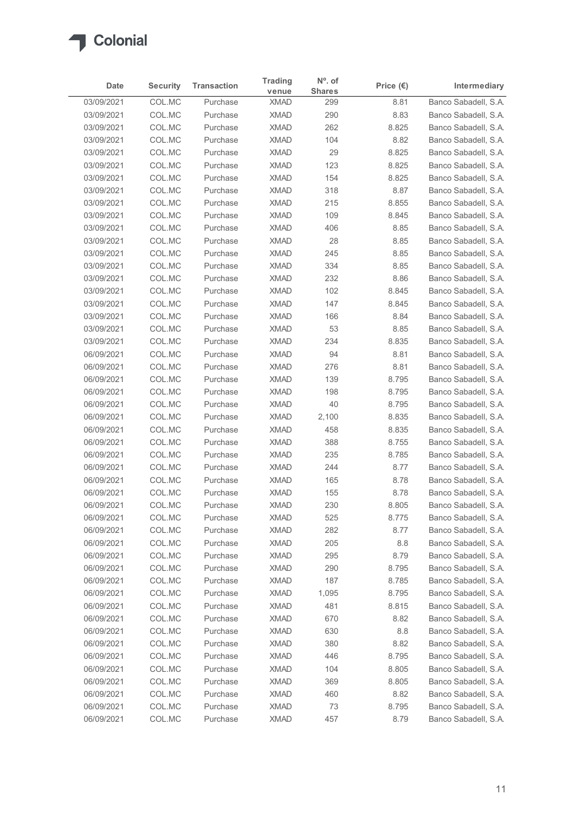

| Date                     | <b>Security</b>  | <b>Transaction</b>   | <b>Trading</b>             | $No$ . of<br><b>Shares</b> | Price $(\epsilon)$ | Intermediary                                 |
|--------------------------|------------------|----------------------|----------------------------|----------------------------|--------------------|----------------------------------------------|
| 03/09/2021               | COL.MC           | Purchase             | venue<br><b>XMAD</b>       | 299                        | 8.81               | Banco Sabadell, S.A.                         |
| 03/09/2021               | COL.MC           | Purchase             | <b>XMAD</b>                | 290                        | 8.83               | Banco Sabadell, S.A.                         |
| 03/09/2021               | COL.MC           | Purchase             | <b>XMAD</b>                | 262                        | 8.825              | Banco Sabadell, S.A.                         |
| 03/09/2021               | COL.MC           | Purchase             | <b>XMAD</b>                | 104                        | 8.82               | Banco Sabadell, S.A.                         |
| 03/09/2021               | COL.MC           | Purchase             | <b>XMAD</b>                | 29                         | 8.825              | Banco Sabadell, S.A.                         |
| 03/09/2021               | COL.MC           | Purchase             | <b>XMAD</b>                | 123                        | 8.825              | Banco Sabadell, S.A.                         |
| 03/09/2021               | COL.MC           | Purchase             | <b>XMAD</b>                | 154                        | 8.825              | Banco Sabadell, S.A.                         |
| 03/09/2021               | COL.MC           | Purchase             | <b>XMAD</b>                | 318                        | 8.87               | Banco Sabadell, S.A.                         |
| 03/09/2021               | COL.MC           | Purchase             | <b>XMAD</b>                | 215                        | 8.855              | Banco Sabadell, S.A.                         |
| 03/09/2021               | COL.MC           | Purchase             | <b>XMAD</b>                | 109                        | 8.845              | Banco Sabadell, S.A.                         |
| 03/09/2021               | COL.MC           | Purchase             | <b>XMAD</b>                | 406                        | 8.85               | Banco Sabadell, S.A.                         |
| 03/09/2021<br>03/09/2021 | COL.MC<br>COL.MC | Purchase<br>Purchase | <b>XMAD</b><br><b>XMAD</b> | 28<br>245                  | 8.85               | Banco Sabadell, S.A.                         |
| 03/09/2021               | COL.MC           | Purchase             | <b>XMAD</b>                | 334                        | 8.85<br>8.85       | Banco Sabadell, S.A.<br>Banco Sabadell, S.A. |
| 03/09/2021               | COL.MC           | Purchase             | <b>XMAD</b>                | 232                        | 8.86               | Banco Sabadell, S.A.                         |
| 03/09/2021               | COL.MC           | Purchase             | <b>XMAD</b>                | 102                        | 8.845              | Banco Sabadell, S.A.                         |
| 03/09/2021               | COL.MC           | Purchase             | <b>XMAD</b>                | 147                        | 8.845              | Banco Sabadell, S.A.                         |
| 03/09/2021               | COL.MC           | Purchase             | <b>XMAD</b>                | 166                        | 8.84               | Banco Sabadell, S.A.                         |
| 03/09/2021               | COL.MC           | Purchase             | <b>XMAD</b>                | 53                         | 8.85               | Banco Sabadell, S.A.                         |
| 03/09/2021               | COL.MC           | Purchase             | <b>XMAD</b>                | 234                        | 8.835              | Banco Sabadell, S.A.                         |
| 06/09/2021               | COL.MC           | Purchase             | <b>XMAD</b>                | 94                         | 8.81               | Banco Sabadell, S.A.                         |
| 06/09/2021               | COL.MC           | Purchase             | <b>XMAD</b>                | 276                        | 8.81               | Banco Sabadell, S.A.                         |
| 06/09/2021               | COL.MC           | Purchase             | <b>XMAD</b>                | 139                        | 8.795              | Banco Sabadell, S.A.                         |
| 06/09/2021               | COL.MC           | Purchase             | <b>XMAD</b>                | 198                        | 8.795              | Banco Sabadell, S.A.                         |
| 06/09/2021               | COL.MC           | Purchase             | <b>XMAD</b>                | 40                         | 8.795              | Banco Sabadell, S.A.                         |
| 06/09/2021               | COL.MC           | Purchase             | <b>XMAD</b>                | 2,100                      | 8.835              | Banco Sabadell, S.A.                         |
| 06/09/2021               | COL.MC           | Purchase             | <b>XMAD</b>                | 458                        | 8.835              | Banco Sabadell, S.A.                         |
| 06/09/2021               | COL.MC           | Purchase             | <b>XMAD</b>                | 388                        | 8.755              | Banco Sabadell, S.A.                         |
| 06/09/2021               | COL.MC           | Purchase             | <b>XMAD</b>                | 235                        | 8.785              | Banco Sabadell, S.A.                         |
| 06/09/2021               | COL.MC           | Purchase             | <b>XMAD</b>                | 244                        | 8.77               | Banco Sabadell, S.A.                         |
| 06/09/2021               | COL.MC           | Purchase             | <b>XMAD</b>                | 165                        | 8.78               | Banco Sabadell, S.A.                         |
| 06/09/2021               | COL.MC           | Purchase             | <b>XMAD</b>                | 155                        | 8.78               | Banco Sabadell, S.A.                         |
| 06/09/2021               | COL.MC           | Purchase             | <b>XMAD</b>                | 230                        | 8.805              | Banco Sabadell, S.A.                         |
| 06/09/2021               | COL.MC           | Purchase             | <b>XMAD</b>                | 525                        | 8.775              | Banco Sabadell, S.A.                         |
| 06/09/2021               | COL.MC           | Purchase             | <b>XMAD</b>                | 282                        | 8.77               | Banco Sabadell, S.A.                         |
| 06/09/2021               | COL.MC           | Purchase             | <b>XMAD</b>                | 205                        | $8.8\,$            | Banco Sabadell, S.A.                         |
| 06/09/2021               | COL.MC           | Purchase             | <b>XMAD</b>                | 295                        | 8.79               | Banco Sabadell, S.A.                         |
| 06/09/2021               | COL.MC           | Purchase             | <b>XMAD</b>                | 290                        | 8.795              | Banco Sabadell, S.A.                         |
| 06/09/2021               | COL.MC           | Purchase             | <b>XMAD</b>                | 187                        | 8.785              | Banco Sabadell, S.A.                         |
| 06/09/2021               | COL.MC           | Purchase             | <b>XMAD</b>                | 1,095                      | 8.795              | Banco Sabadell, S.A.                         |
| 06/09/2021<br>06/09/2021 | COL.MC<br>COL.MC | Purchase             | <b>XMAD</b><br><b>XMAD</b> | 481<br>670                 | 8.815              | Banco Sabadell, S.A.                         |
| 06/09/2021               | COL.MC           | Purchase<br>Purchase | <b>XMAD</b>                | 630                        | 8.82<br>8.8        | Banco Sabadell, S.A.<br>Banco Sabadell, S.A. |
| 06/09/2021               | COL.MC           | Purchase             | <b>XMAD</b>                | 380                        | 8.82               | Banco Sabadell, S.A.                         |
| 06/09/2021               | COL.MC           | Purchase             | <b>XMAD</b>                | 446                        | 8.795              | Banco Sabadell, S.A.                         |
| 06/09/2021               | COL.MC           | Purchase             | <b>XMAD</b>                | 104                        | 8.805              | Banco Sabadell, S.A.                         |
| 06/09/2021               | COL.MC           | Purchase             | <b>XMAD</b>                | 369                        | 8.805              | Banco Sabadell, S.A.                         |
| 06/09/2021               | COL.MC           | Purchase             | <b>XMAD</b>                | 460                        | 8.82               | Banco Sabadell, S.A.                         |
| 06/09/2021               | COLMC            | Purchase             | <b>XMAD</b>                | 73                         | 8.795              | Banco Sabadell, S.A.                         |
|                          | COLMC            | Purchase             | <b>XMAD</b>                | 457                        | 8.79               | Banco Sabadell, S.A.                         |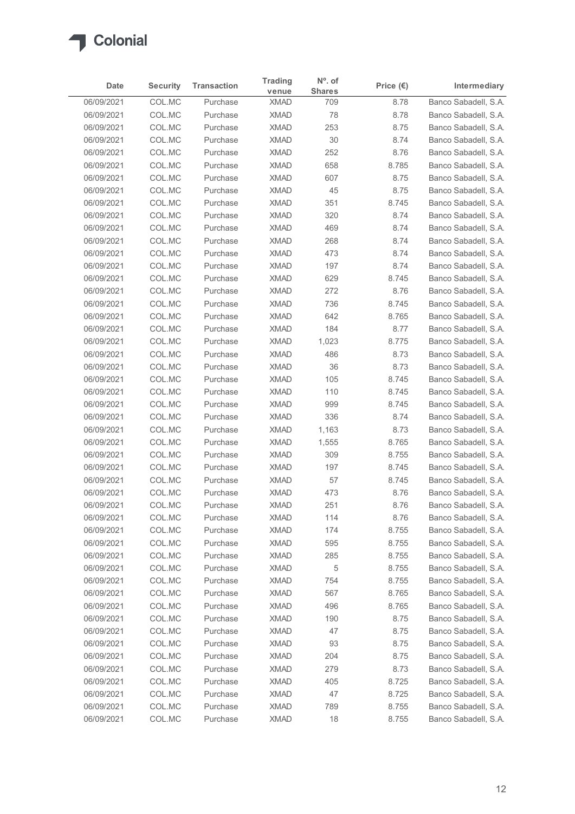

| COL.MC<br>Banco Sabadell, S.A.<br>06/09/2021<br>8.78<br>Purchase<br><b>XMAD</b><br>709<br>COL.MC<br>78<br>8.78<br>06/09/2021<br>Purchase<br><b>XMAD</b><br>COL.MC<br>253<br>06/09/2021<br>Purchase<br><b>XMAD</b><br>8.75<br><b>XMAD</b><br>30<br>06/09/2021<br>COL.MC<br>Purchase<br>8.74<br>COL.MC<br><b>XMAD</b><br>252<br>06/09/2021<br>Purchase<br>8.76<br>06/09/2021<br>COL.MC<br><b>XMAD</b><br>658<br>Purchase<br>8.785<br>COL.MC<br><b>XMAD</b><br>607<br>06/09/2021<br>Purchase<br>8.75<br>COL.MC<br>45<br>8.75<br>06/09/2021<br>Purchase<br><b>XMAD</b><br>351<br>06/09/2021<br>COL.MC<br><b>XMAD</b><br>8.745<br>Purchase<br>COL.MC<br><b>XMAD</b><br>320<br>8.74<br>06/09/2021<br>Purchase<br>COL.MC<br>8.74<br>06/09/2021<br>Purchase<br><b>XMAD</b><br>469<br>COL.MC<br><b>XMAD</b><br>268<br>06/09/2021<br>Purchase<br>8.74<br><b>XMAD</b><br>473<br>8.74<br>06/09/2021<br>COL.MC<br>Purchase<br>06/09/2021<br>COL.MC<br><b>XMAD</b><br>197<br>8.74<br>Purchase<br>8.745<br>06/09/2021<br>COL.MC<br>Purchase<br><b>XMAD</b><br>629<br>COL.MC<br>XMAD<br>272<br>8.76<br>06/09/2021<br>Purchase<br>8.745<br>06/09/2021<br>COL.MC<br>Purchase<br><b>XMAD</b><br>736<br>COL.MC<br>642<br>06/09/2021<br>Purchase<br><b>XMAD</b><br>8.765<br>COL.MC<br><b>XMAD</b><br>184<br>8.77<br>06/09/2021<br>Purchase<br>06/09/2021<br>COL.MC<br>Purchase<br><b>XMAD</b><br>1,023<br>8.775<br>486<br>8.73<br>COL.MC<br><b>XMAD</b><br>06/09/2021<br>Purchase<br>COL.MC<br><b>XMAD</b><br>36<br>8.73<br>06/09/2021<br>Purchase<br>COL.MC<br>105<br>8.745<br>06/09/2021<br>Purchase<br><b>XMAD</b><br>COL.MC<br>06/09/2021<br><b>XMAD</b><br>110<br>8.745<br>Purchase<br>999<br>06/09/2021<br>COL.MC<br><b>XMAD</b><br>8.745<br>Purchase<br>336<br>8.74<br>06/09/2021<br>COL.MC<br>Purchase<br><b>XMAD</b><br>06/09/2021<br>COL.MC<br>Purchase<br><b>XMAD</b><br>1,163<br>8.73<br>COL.MC<br><b>XMAD</b><br>8.765<br>06/09/2021<br>1,555<br>Purchase<br><b>XMAD</b><br>8.755<br>06/09/2021<br>COL.MC<br>Purchase<br>309<br>COL.MC<br>8.745<br>06/09/2021<br>Purchase<br><b>XMAD</b><br>197<br>COL.MC<br>57<br>06/09/2021<br>Purchase<br><b>XMAD</b><br>8.745<br>473<br>06/09/2021<br>COL.MC<br>Purchase<br><b>XMAD</b><br>8.76<br>06/09/2021<br>COL.MC<br>Purchase<br><b>XMAD</b><br>251<br>8.76<br><b>XMAD</b><br>114<br>8.76<br>06/09/2021<br>COL.MC<br>Purchase<br>COL.MC<br><b>XMAD</b><br>06/09/2021<br>Purchase<br>174<br>8.755<br>COL.MC<br><b>XMAD</b><br>595<br>06/09/2021<br>Purchase<br>8.755<br>06/09/2021<br>COL.MC<br><b>XMAD</b><br>285<br>8.755<br>Purchase<br>$\,$ 5 $\,$<br>8.755<br>06/09/2021<br>COL.MC<br><b>XMAD</b><br>Purchase<br>COL.MC<br><b>XMAD</b><br>754<br>8.755<br>06/09/2021<br>Purchase<br><b>XMAD</b><br>567<br>8.765<br>06/09/2021<br>COL.MC<br>Purchase<br>COL.MC<br><b>XMAD</b><br>496<br>06/09/2021<br>8.765<br>Purchase<br>COL.MC<br>8.75<br>06/09/2021<br>Purchase<br><b>XMAD</b><br>190<br>47<br>06/09/2021<br>COL.MC<br>Purchase<br><b>XMAD</b><br>8.75<br>93<br>06/09/2021<br>COL.MC<br><b>XMAD</b><br>8.75<br>Purchase<br>204<br>06/09/2021<br>COL.MC<br>Purchase<br><b>XMAD</b><br>8.75<br>279<br>8.73<br>06/09/2021<br>COL.MC<br>Purchase<br><b>XMAD</b><br>COL.MC<br>405<br>06/09/2021<br><b>XMAD</b><br>8.725<br>Purchase<br>47<br>8.725<br>06/09/2021<br>COL.MC<br>Purchase<br><b>XMAD</b><br>COL.MC<br>789<br>06/09/2021<br>Purchase<br><b>XMAD</b><br>8.755<br>18<br>COL.MC<br><b>XMAD</b><br>8.755<br>06/09/2021<br>Purchase | Date | <b>Security</b> | <b>Transaction</b> | <b>Trading</b><br>venue | N°. of<br><b>Shares</b> | Price $(\epsilon)$ | Intermediary |
|--------------------------------------------------------------------------------------------------------------------------------------------------------------------------------------------------------------------------------------------------------------------------------------------------------------------------------------------------------------------------------------------------------------------------------------------------------------------------------------------------------------------------------------------------------------------------------------------------------------------------------------------------------------------------------------------------------------------------------------------------------------------------------------------------------------------------------------------------------------------------------------------------------------------------------------------------------------------------------------------------------------------------------------------------------------------------------------------------------------------------------------------------------------------------------------------------------------------------------------------------------------------------------------------------------------------------------------------------------------------------------------------------------------------------------------------------------------------------------------------------------------------------------------------------------------------------------------------------------------------------------------------------------------------------------------------------------------------------------------------------------------------------------------------------------------------------------------------------------------------------------------------------------------------------------------------------------------------------------------------------------------------------------------------------------------------------------------------------------------------------------------------------------------------------------------------------------------------------------------------------------------------------------------------------------------------------------------------------------------------------------------------------------------------------------------------------------------------------------------------------------------------------------------------------------------------------------------------------------------------------------------------------------------------------------------------------------------------------------------------------------------------------------------------------------------------------------------------------------------------------------------------------------------------------------------------------------------------------------------------------------------------------------------------------------------------------------------------------------------------------------------------------------------------------------------------------------------------------------------------------------------------------------------------------------------------------------------------------------------------------------------------------------------------------------------------------------------------------------|------|-----------------|--------------------|-------------------------|-------------------------|--------------------|--------------|
| Banco Sabadell, S.A.<br>Banco Sabadell, S.A.<br>Banco Sabadell, S.A.<br>Banco Sabadell, S.A.<br>Banco Sabadell, S.A.<br>Banco Sabadell, S.A.<br>Banco Sabadell, S.A.<br>Banco Sabadell, S.A.<br>Banco Sabadell, S.A.<br>Banco Sabadell, S.A.<br>Banco Sabadell, S.A.<br>Banco Sabadell, S.A.<br>Banco Sabadell, S.A.<br>Banco Sabadell, S.A.<br>Banco Sabadell, S.A.<br>Banco Sabadell, S.A.<br>Banco Sabadell, S.A.<br>Banco Sabadell, S.A.<br>Banco Sabadell, S.A.<br>Banco Sabadell, S.A.<br>Banco Sabadell, S.A.<br>Banco Sabadell, S.A.<br>Banco Sabadell, S.A.<br>Banco Sabadell, S.A.<br>Banco Sabadell, S.A.<br>Banco Sabadell, S.A.<br>Banco Sabadell, S.A.<br>Banco Sabadell, S.A.<br>Banco Sabadell, S.A.<br>Banco Sabadell, S.A.<br>Banco Sabadell, S.A.<br>Banco Sabadell, S.A.<br>Banco Sabadell, S.A.<br>Banco Sabadell, S.A.<br>Banco Sabadell, S.A.<br>Banco Sabadell, S.A.<br>Banco Sabadell, S.A.<br>Banco Sabadell, S.A.<br>Banco Sabadell, S.A.<br>Banco Sabadell, S.A.<br>Banco Sabadell, S.A.<br>Banco Sabadell, S.A.<br>Banco Sabadell, S.A.<br>Banco Sabadell, S.A.<br>Banco Sabadell, S.A.<br>Banco Sabadell, S.A.<br>Banco Sabadell, S.A.<br>Banco Sabadell, S.A.<br>Banco Sabadell, S.A.                                                                                                                                                                                                                                                                                                                                                                                                                                                                                                                                                                                                                                                                                                                                                                                                                                                                                                                                                                                                                                                                                                                                                                                                                                                                                                                                                                                                                                                                                                                                                                                                                                                                                                                                                                                                                                                                                                                                                                                                                                                                                                                                                                                                                                                           |      |                 |                    |                         |                         |                    |              |
|                                                                                                                                                                                                                                                                                                                                                                                                                                                                                                                                                                                                                                                                                                                                                                                                                                                                                                                                                                                                                                                                                                                                                                                                                                                                                                                                                                                                                                                                                                                                                                                                                                                                                                                                                                                                                                                                                                                                                                                                                                                                                                                                                                                                                                                                                                                                                                                                                                                                                                                                                                                                                                                                                                                                                                                                                                                                                                                                                                                                                                                                                                                                                                                                                                                                                                                                                                                                                                                                                |      |                 |                    |                         |                         |                    |              |
|                                                                                                                                                                                                                                                                                                                                                                                                                                                                                                                                                                                                                                                                                                                                                                                                                                                                                                                                                                                                                                                                                                                                                                                                                                                                                                                                                                                                                                                                                                                                                                                                                                                                                                                                                                                                                                                                                                                                                                                                                                                                                                                                                                                                                                                                                                                                                                                                                                                                                                                                                                                                                                                                                                                                                                                                                                                                                                                                                                                                                                                                                                                                                                                                                                                                                                                                                                                                                                                                                |      |                 |                    |                         |                         |                    |              |
|                                                                                                                                                                                                                                                                                                                                                                                                                                                                                                                                                                                                                                                                                                                                                                                                                                                                                                                                                                                                                                                                                                                                                                                                                                                                                                                                                                                                                                                                                                                                                                                                                                                                                                                                                                                                                                                                                                                                                                                                                                                                                                                                                                                                                                                                                                                                                                                                                                                                                                                                                                                                                                                                                                                                                                                                                                                                                                                                                                                                                                                                                                                                                                                                                                                                                                                                                                                                                                                                                |      |                 |                    |                         |                         |                    |              |
|                                                                                                                                                                                                                                                                                                                                                                                                                                                                                                                                                                                                                                                                                                                                                                                                                                                                                                                                                                                                                                                                                                                                                                                                                                                                                                                                                                                                                                                                                                                                                                                                                                                                                                                                                                                                                                                                                                                                                                                                                                                                                                                                                                                                                                                                                                                                                                                                                                                                                                                                                                                                                                                                                                                                                                                                                                                                                                                                                                                                                                                                                                                                                                                                                                                                                                                                                                                                                                                                                |      |                 |                    |                         |                         |                    |              |
|                                                                                                                                                                                                                                                                                                                                                                                                                                                                                                                                                                                                                                                                                                                                                                                                                                                                                                                                                                                                                                                                                                                                                                                                                                                                                                                                                                                                                                                                                                                                                                                                                                                                                                                                                                                                                                                                                                                                                                                                                                                                                                                                                                                                                                                                                                                                                                                                                                                                                                                                                                                                                                                                                                                                                                                                                                                                                                                                                                                                                                                                                                                                                                                                                                                                                                                                                                                                                                                                                |      |                 |                    |                         |                         |                    |              |
|                                                                                                                                                                                                                                                                                                                                                                                                                                                                                                                                                                                                                                                                                                                                                                                                                                                                                                                                                                                                                                                                                                                                                                                                                                                                                                                                                                                                                                                                                                                                                                                                                                                                                                                                                                                                                                                                                                                                                                                                                                                                                                                                                                                                                                                                                                                                                                                                                                                                                                                                                                                                                                                                                                                                                                                                                                                                                                                                                                                                                                                                                                                                                                                                                                                                                                                                                                                                                                                                                |      |                 |                    |                         |                         |                    |              |
|                                                                                                                                                                                                                                                                                                                                                                                                                                                                                                                                                                                                                                                                                                                                                                                                                                                                                                                                                                                                                                                                                                                                                                                                                                                                                                                                                                                                                                                                                                                                                                                                                                                                                                                                                                                                                                                                                                                                                                                                                                                                                                                                                                                                                                                                                                                                                                                                                                                                                                                                                                                                                                                                                                                                                                                                                                                                                                                                                                                                                                                                                                                                                                                                                                                                                                                                                                                                                                                                                |      |                 |                    |                         |                         |                    |              |
|                                                                                                                                                                                                                                                                                                                                                                                                                                                                                                                                                                                                                                                                                                                                                                                                                                                                                                                                                                                                                                                                                                                                                                                                                                                                                                                                                                                                                                                                                                                                                                                                                                                                                                                                                                                                                                                                                                                                                                                                                                                                                                                                                                                                                                                                                                                                                                                                                                                                                                                                                                                                                                                                                                                                                                                                                                                                                                                                                                                                                                                                                                                                                                                                                                                                                                                                                                                                                                                                                |      |                 |                    |                         |                         |                    |              |
|                                                                                                                                                                                                                                                                                                                                                                                                                                                                                                                                                                                                                                                                                                                                                                                                                                                                                                                                                                                                                                                                                                                                                                                                                                                                                                                                                                                                                                                                                                                                                                                                                                                                                                                                                                                                                                                                                                                                                                                                                                                                                                                                                                                                                                                                                                                                                                                                                                                                                                                                                                                                                                                                                                                                                                                                                                                                                                                                                                                                                                                                                                                                                                                                                                                                                                                                                                                                                                                                                |      |                 |                    |                         |                         |                    |              |
|                                                                                                                                                                                                                                                                                                                                                                                                                                                                                                                                                                                                                                                                                                                                                                                                                                                                                                                                                                                                                                                                                                                                                                                                                                                                                                                                                                                                                                                                                                                                                                                                                                                                                                                                                                                                                                                                                                                                                                                                                                                                                                                                                                                                                                                                                                                                                                                                                                                                                                                                                                                                                                                                                                                                                                                                                                                                                                                                                                                                                                                                                                                                                                                                                                                                                                                                                                                                                                                                                |      |                 |                    |                         |                         |                    |              |
|                                                                                                                                                                                                                                                                                                                                                                                                                                                                                                                                                                                                                                                                                                                                                                                                                                                                                                                                                                                                                                                                                                                                                                                                                                                                                                                                                                                                                                                                                                                                                                                                                                                                                                                                                                                                                                                                                                                                                                                                                                                                                                                                                                                                                                                                                                                                                                                                                                                                                                                                                                                                                                                                                                                                                                                                                                                                                                                                                                                                                                                                                                                                                                                                                                                                                                                                                                                                                                                                                |      |                 |                    |                         |                         |                    |              |
|                                                                                                                                                                                                                                                                                                                                                                                                                                                                                                                                                                                                                                                                                                                                                                                                                                                                                                                                                                                                                                                                                                                                                                                                                                                                                                                                                                                                                                                                                                                                                                                                                                                                                                                                                                                                                                                                                                                                                                                                                                                                                                                                                                                                                                                                                                                                                                                                                                                                                                                                                                                                                                                                                                                                                                                                                                                                                                                                                                                                                                                                                                                                                                                                                                                                                                                                                                                                                                                                                |      |                 |                    |                         |                         |                    |              |
|                                                                                                                                                                                                                                                                                                                                                                                                                                                                                                                                                                                                                                                                                                                                                                                                                                                                                                                                                                                                                                                                                                                                                                                                                                                                                                                                                                                                                                                                                                                                                                                                                                                                                                                                                                                                                                                                                                                                                                                                                                                                                                                                                                                                                                                                                                                                                                                                                                                                                                                                                                                                                                                                                                                                                                                                                                                                                                                                                                                                                                                                                                                                                                                                                                                                                                                                                                                                                                                                                |      |                 |                    |                         |                         |                    |              |
|                                                                                                                                                                                                                                                                                                                                                                                                                                                                                                                                                                                                                                                                                                                                                                                                                                                                                                                                                                                                                                                                                                                                                                                                                                                                                                                                                                                                                                                                                                                                                                                                                                                                                                                                                                                                                                                                                                                                                                                                                                                                                                                                                                                                                                                                                                                                                                                                                                                                                                                                                                                                                                                                                                                                                                                                                                                                                                                                                                                                                                                                                                                                                                                                                                                                                                                                                                                                                                                                                |      |                 |                    |                         |                         |                    |              |
|                                                                                                                                                                                                                                                                                                                                                                                                                                                                                                                                                                                                                                                                                                                                                                                                                                                                                                                                                                                                                                                                                                                                                                                                                                                                                                                                                                                                                                                                                                                                                                                                                                                                                                                                                                                                                                                                                                                                                                                                                                                                                                                                                                                                                                                                                                                                                                                                                                                                                                                                                                                                                                                                                                                                                                                                                                                                                                                                                                                                                                                                                                                                                                                                                                                                                                                                                                                                                                                                                |      |                 |                    |                         |                         |                    |              |
|                                                                                                                                                                                                                                                                                                                                                                                                                                                                                                                                                                                                                                                                                                                                                                                                                                                                                                                                                                                                                                                                                                                                                                                                                                                                                                                                                                                                                                                                                                                                                                                                                                                                                                                                                                                                                                                                                                                                                                                                                                                                                                                                                                                                                                                                                                                                                                                                                                                                                                                                                                                                                                                                                                                                                                                                                                                                                                                                                                                                                                                                                                                                                                                                                                                                                                                                                                                                                                                                                |      |                 |                    |                         |                         |                    |              |
|                                                                                                                                                                                                                                                                                                                                                                                                                                                                                                                                                                                                                                                                                                                                                                                                                                                                                                                                                                                                                                                                                                                                                                                                                                                                                                                                                                                                                                                                                                                                                                                                                                                                                                                                                                                                                                                                                                                                                                                                                                                                                                                                                                                                                                                                                                                                                                                                                                                                                                                                                                                                                                                                                                                                                                                                                                                                                                                                                                                                                                                                                                                                                                                                                                                                                                                                                                                                                                                                                |      |                 |                    |                         |                         |                    |              |
|                                                                                                                                                                                                                                                                                                                                                                                                                                                                                                                                                                                                                                                                                                                                                                                                                                                                                                                                                                                                                                                                                                                                                                                                                                                                                                                                                                                                                                                                                                                                                                                                                                                                                                                                                                                                                                                                                                                                                                                                                                                                                                                                                                                                                                                                                                                                                                                                                                                                                                                                                                                                                                                                                                                                                                                                                                                                                                                                                                                                                                                                                                                                                                                                                                                                                                                                                                                                                                                                                |      |                 |                    |                         |                         |                    |              |
|                                                                                                                                                                                                                                                                                                                                                                                                                                                                                                                                                                                                                                                                                                                                                                                                                                                                                                                                                                                                                                                                                                                                                                                                                                                                                                                                                                                                                                                                                                                                                                                                                                                                                                                                                                                                                                                                                                                                                                                                                                                                                                                                                                                                                                                                                                                                                                                                                                                                                                                                                                                                                                                                                                                                                                                                                                                                                                                                                                                                                                                                                                                                                                                                                                                                                                                                                                                                                                                                                |      |                 |                    |                         |                         |                    |              |
|                                                                                                                                                                                                                                                                                                                                                                                                                                                                                                                                                                                                                                                                                                                                                                                                                                                                                                                                                                                                                                                                                                                                                                                                                                                                                                                                                                                                                                                                                                                                                                                                                                                                                                                                                                                                                                                                                                                                                                                                                                                                                                                                                                                                                                                                                                                                                                                                                                                                                                                                                                                                                                                                                                                                                                                                                                                                                                                                                                                                                                                                                                                                                                                                                                                                                                                                                                                                                                                                                |      |                 |                    |                         |                         |                    |              |
|                                                                                                                                                                                                                                                                                                                                                                                                                                                                                                                                                                                                                                                                                                                                                                                                                                                                                                                                                                                                                                                                                                                                                                                                                                                                                                                                                                                                                                                                                                                                                                                                                                                                                                                                                                                                                                                                                                                                                                                                                                                                                                                                                                                                                                                                                                                                                                                                                                                                                                                                                                                                                                                                                                                                                                                                                                                                                                                                                                                                                                                                                                                                                                                                                                                                                                                                                                                                                                                                                |      |                 |                    |                         |                         |                    |              |
|                                                                                                                                                                                                                                                                                                                                                                                                                                                                                                                                                                                                                                                                                                                                                                                                                                                                                                                                                                                                                                                                                                                                                                                                                                                                                                                                                                                                                                                                                                                                                                                                                                                                                                                                                                                                                                                                                                                                                                                                                                                                                                                                                                                                                                                                                                                                                                                                                                                                                                                                                                                                                                                                                                                                                                                                                                                                                                                                                                                                                                                                                                                                                                                                                                                                                                                                                                                                                                                                                |      |                 |                    |                         |                         |                    |              |
|                                                                                                                                                                                                                                                                                                                                                                                                                                                                                                                                                                                                                                                                                                                                                                                                                                                                                                                                                                                                                                                                                                                                                                                                                                                                                                                                                                                                                                                                                                                                                                                                                                                                                                                                                                                                                                                                                                                                                                                                                                                                                                                                                                                                                                                                                                                                                                                                                                                                                                                                                                                                                                                                                                                                                                                                                                                                                                                                                                                                                                                                                                                                                                                                                                                                                                                                                                                                                                                                                |      |                 |                    |                         |                         |                    |              |
|                                                                                                                                                                                                                                                                                                                                                                                                                                                                                                                                                                                                                                                                                                                                                                                                                                                                                                                                                                                                                                                                                                                                                                                                                                                                                                                                                                                                                                                                                                                                                                                                                                                                                                                                                                                                                                                                                                                                                                                                                                                                                                                                                                                                                                                                                                                                                                                                                                                                                                                                                                                                                                                                                                                                                                                                                                                                                                                                                                                                                                                                                                                                                                                                                                                                                                                                                                                                                                                                                |      |                 |                    |                         |                         |                    |              |
|                                                                                                                                                                                                                                                                                                                                                                                                                                                                                                                                                                                                                                                                                                                                                                                                                                                                                                                                                                                                                                                                                                                                                                                                                                                                                                                                                                                                                                                                                                                                                                                                                                                                                                                                                                                                                                                                                                                                                                                                                                                                                                                                                                                                                                                                                                                                                                                                                                                                                                                                                                                                                                                                                                                                                                                                                                                                                                                                                                                                                                                                                                                                                                                                                                                                                                                                                                                                                                                                                |      |                 |                    |                         |                         |                    |              |
|                                                                                                                                                                                                                                                                                                                                                                                                                                                                                                                                                                                                                                                                                                                                                                                                                                                                                                                                                                                                                                                                                                                                                                                                                                                                                                                                                                                                                                                                                                                                                                                                                                                                                                                                                                                                                                                                                                                                                                                                                                                                                                                                                                                                                                                                                                                                                                                                                                                                                                                                                                                                                                                                                                                                                                                                                                                                                                                                                                                                                                                                                                                                                                                                                                                                                                                                                                                                                                                                                |      |                 |                    |                         |                         |                    |              |
|                                                                                                                                                                                                                                                                                                                                                                                                                                                                                                                                                                                                                                                                                                                                                                                                                                                                                                                                                                                                                                                                                                                                                                                                                                                                                                                                                                                                                                                                                                                                                                                                                                                                                                                                                                                                                                                                                                                                                                                                                                                                                                                                                                                                                                                                                                                                                                                                                                                                                                                                                                                                                                                                                                                                                                                                                                                                                                                                                                                                                                                                                                                                                                                                                                                                                                                                                                                                                                                                                |      |                 |                    |                         |                         |                    |              |
|                                                                                                                                                                                                                                                                                                                                                                                                                                                                                                                                                                                                                                                                                                                                                                                                                                                                                                                                                                                                                                                                                                                                                                                                                                                                                                                                                                                                                                                                                                                                                                                                                                                                                                                                                                                                                                                                                                                                                                                                                                                                                                                                                                                                                                                                                                                                                                                                                                                                                                                                                                                                                                                                                                                                                                                                                                                                                                                                                                                                                                                                                                                                                                                                                                                                                                                                                                                                                                                                                |      |                 |                    |                         |                         |                    |              |
|                                                                                                                                                                                                                                                                                                                                                                                                                                                                                                                                                                                                                                                                                                                                                                                                                                                                                                                                                                                                                                                                                                                                                                                                                                                                                                                                                                                                                                                                                                                                                                                                                                                                                                                                                                                                                                                                                                                                                                                                                                                                                                                                                                                                                                                                                                                                                                                                                                                                                                                                                                                                                                                                                                                                                                                                                                                                                                                                                                                                                                                                                                                                                                                                                                                                                                                                                                                                                                                                                |      |                 |                    |                         |                         |                    |              |
|                                                                                                                                                                                                                                                                                                                                                                                                                                                                                                                                                                                                                                                                                                                                                                                                                                                                                                                                                                                                                                                                                                                                                                                                                                                                                                                                                                                                                                                                                                                                                                                                                                                                                                                                                                                                                                                                                                                                                                                                                                                                                                                                                                                                                                                                                                                                                                                                                                                                                                                                                                                                                                                                                                                                                                                                                                                                                                                                                                                                                                                                                                                                                                                                                                                                                                                                                                                                                                                                                |      |                 |                    |                         |                         |                    |              |
|                                                                                                                                                                                                                                                                                                                                                                                                                                                                                                                                                                                                                                                                                                                                                                                                                                                                                                                                                                                                                                                                                                                                                                                                                                                                                                                                                                                                                                                                                                                                                                                                                                                                                                                                                                                                                                                                                                                                                                                                                                                                                                                                                                                                                                                                                                                                                                                                                                                                                                                                                                                                                                                                                                                                                                                                                                                                                                                                                                                                                                                                                                                                                                                                                                                                                                                                                                                                                                                                                |      |                 |                    |                         |                         |                    |              |
|                                                                                                                                                                                                                                                                                                                                                                                                                                                                                                                                                                                                                                                                                                                                                                                                                                                                                                                                                                                                                                                                                                                                                                                                                                                                                                                                                                                                                                                                                                                                                                                                                                                                                                                                                                                                                                                                                                                                                                                                                                                                                                                                                                                                                                                                                                                                                                                                                                                                                                                                                                                                                                                                                                                                                                                                                                                                                                                                                                                                                                                                                                                                                                                                                                                                                                                                                                                                                                                                                |      |                 |                    |                         |                         |                    |              |
|                                                                                                                                                                                                                                                                                                                                                                                                                                                                                                                                                                                                                                                                                                                                                                                                                                                                                                                                                                                                                                                                                                                                                                                                                                                                                                                                                                                                                                                                                                                                                                                                                                                                                                                                                                                                                                                                                                                                                                                                                                                                                                                                                                                                                                                                                                                                                                                                                                                                                                                                                                                                                                                                                                                                                                                                                                                                                                                                                                                                                                                                                                                                                                                                                                                                                                                                                                                                                                                                                |      |                 |                    |                         |                         |                    |              |
|                                                                                                                                                                                                                                                                                                                                                                                                                                                                                                                                                                                                                                                                                                                                                                                                                                                                                                                                                                                                                                                                                                                                                                                                                                                                                                                                                                                                                                                                                                                                                                                                                                                                                                                                                                                                                                                                                                                                                                                                                                                                                                                                                                                                                                                                                                                                                                                                                                                                                                                                                                                                                                                                                                                                                                                                                                                                                                                                                                                                                                                                                                                                                                                                                                                                                                                                                                                                                                                                                |      |                 |                    |                         |                         |                    |              |
|                                                                                                                                                                                                                                                                                                                                                                                                                                                                                                                                                                                                                                                                                                                                                                                                                                                                                                                                                                                                                                                                                                                                                                                                                                                                                                                                                                                                                                                                                                                                                                                                                                                                                                                                                                                                                                                                                                                                                                                                                                                                                                                                                                                                                                                                                                                                                                                                                                                                                                                                                                                                                                                                                                                                                                                                                                                                                                                                                                                                                                                                                                                                                                                                                                                                                                                                                                                                                                                                                |      |                 |                    |                         |                         |                    |              |
|                                                                                                                                                                                                                                                                                                                                                                                                                                                                                                                                                                                                                                                                                                                                                                                                                                                                                                                                                                                                                                                                                                                                                                                                                                                                                                                                                                                                                                                                                                                                                                                                                                                                                                                                                                                                                                                                                                                                                                                                                                                                                                                                                                                                                                                                                                                                                                                                                                                                                                                                                                                                                                                                                                                                                                                                                                                                                                                                                                                                                                                                                                                                                                                                                                                                                                                                                                                                                                                                                |      |                 |                    |                         |                         |                    |              |
|                                                                                                                                                                                                                                                                                                                                                                                                                                                                                                                                                                                                                                                                                                                                                                                                                                                                                                                                                                                                                                                                                                                                                                                                                                                                                                                                                                                                                                                                                                                                                                                                                                                                                                                                                                                                                                                                                                                                                                                                                                                                                                                                                                                                                                                                                                                                                                                                                                                                                                                                                                                                                                                                                                                                                                                                                                                                                                                                                                                                                                                                                                                                                                                                                                                                                                                                                                                                                                                                                |      |                 |                    |                         |                         |                    |              |
|                                                                                                                                                                                                                                                                                                                                                                                                                                                                                                                                                                                                                                                                                                                                                                                                                                                                                                                                                                                                                                                                                                                                                                                                                                                                                                                                                                                                                                                                                                                                                                                                                                                                                                                                                                                                                                                                                                                                                                                                                                                                                                                                                                                                                                                                                                                                                                                                                                                                                                                                                                                                                                                                                                                                                                                                                                                                                                                                                                                                                                                                                                                                                                                                                                                                                                                                                                                                                                                                                |      |                 |                    |                         |                         |                    |              |
|                                                                                                                                                                                                                                                                                                                                                                                                                                                                                                                                                                                                                                                                                                                                                                                                                                                                                                                                                                                                                                                                                                                                                                                                                                                                                                                                                                                                                                                                                                                                                                                                                                                                                                                                                                                                                                                                                                                                                                                                                                                                                                                                                                                                                                                                                                                                                                                                                                                                                                                                                                                                                                                                                                                                                                                                                                                                                                                                                                                                                                                                                                                                                                                                                                                                                                                                                                                                                                                                                |      |                 |                    |                         |                         |                    |              |
|                                                                                                                                                                                                                                                                                                                                                                                                                                                                                                                                                                                                                                                                                                                                                                                                                                                                                                                                                                                                                                                                                                                                                                                                                                                                                                                                                                                                                                                                                                                                                                                                                                                                                                                                                                                                                                                                                                                                                                                                                                                                                                                                                                                                                                                                                                                                                                                                                                                                                                                                                                                                                                                                                                                                                                                                                                                                                                                                                                                                                                                                                                                                                                                                                                                                                                                                                                                                                                                                                |      |                 |                    |                         |                         |                    |              |
|                                                                                                                                                                                                                                                                                                                                                                                                                                                                                                                                                                                                                                                                                                                                                                                                                                                                                                                                                                                                                                                                                                                                                                                                                                                                                                                                                                                                                                                                                                                                                                                                                                                                                                                                                                                                                                                                                                                                                                                                                                                                                                                                                                                                                                                                                                                                                                                                                                                                                                                                                                                                                                                                                                                                                                                                                                                                                                                                                                                                                                                                                                                                                                                                                                                                                                                                                                                                                                                                                |      |                 |                    |                         |                         |                    |              |
|                                                                                                                                                                                                                                                                                                                                                                                                                                                                                                                                                                                                                                                                                                                                                                                                                                                                                                                                                                                                                                                                                                                                                                                                                                                                                                                                                                                                                                                                                                                                                                                                                                                                                                                                                                                                                                                                                                                                                                                                                                                                                                                                                                                                                                                                                                                                                                                                                                                                                                                                                                                                                                                                                                                                                                                                                                                                                                                                                                                                                                                                                                                                                                                                                                                                                                                                                                                                                                                                                |      |                 |                    |                         |                         |                    |              |
|                                                                                                                                                                                                                                                                                                                                                                                                                                                                                                                                                                                                                                                                                                                                                                                                                                                                                                                                                                                                                                                                                                                                                                                                                                                                                                                                                                                                                                                                                                                                                                                                                                                                                                                                                                                                                                                                                                                                                                                                                                                                                                                                                                                                                                                                                                                                                                                                                                                                                                                                                                                                                                                                                                                                                                                                                                                                                                                                                                                                                                                                                                                                                                                                                                                                                                                                                                                                                                                                                |      |                 |                    |                         |                         |                    |              |
|                                                                                                                                                                                                                                                                                                                                                                                                                                                                                                                                                                                                                                                                                                                                                                                                                                                                                                                                                                                                                                                                                                                                                                                                                                                                                                                                                                                                                                                                                                                                                                                                                                                                                                                                                                                                                                                                                                                                                                                                                                                                                                                                                                                                                                                                                                                                                                                                                                                                                                                                                                                                                                                                                                                                                                                                                                                                                                                                                                                                                                                                                                                                                                                                                                                                                                                                                                                                                                                                                |      |                 |                    |                         |                         |                    |              |
|                                                                                                                                                                                                                                                                                                                                                                                                                                                                                                                                                                                                                                                                                                                                                                                                                                                                                                                                                                                                                                                                                                                                                                                                                                                                                                                                                                                                                                                                                                                                                                                                                                                                                                                                                                                                                                                                                                                                                                                                                                                                                                                                                                                                                                                                                                                                                                                                                                                                                                                                                                                                                                                                                                                                                                                                                                                                                                                                                                                                                                                                                                                                                                                                                                                                                                                                                                                                                                                                                |      |                 |                    |                         |                         |                    |              |
|                                                                                                                                                                                                                                                                                                                                                                                                                                                                                                                                                                                                                                                                                                                                                                                                                                                                                                                                                                                                                                                                                                                                                                                                                                                                                                                                                                                                                                                                                                                                                                                                                                                                                                                                                                                                                                                                                                                                                                                                                                                                                                                                                                                                                                                                                                                                                                                                                                                                                                                                                                                                                                                                                                                                                                                                                                                                                                                                                                                                                                                                                                                                                                                                                                                                                                                                                                                                                                                                                |      |                 |                    |                         |                         |                    |              |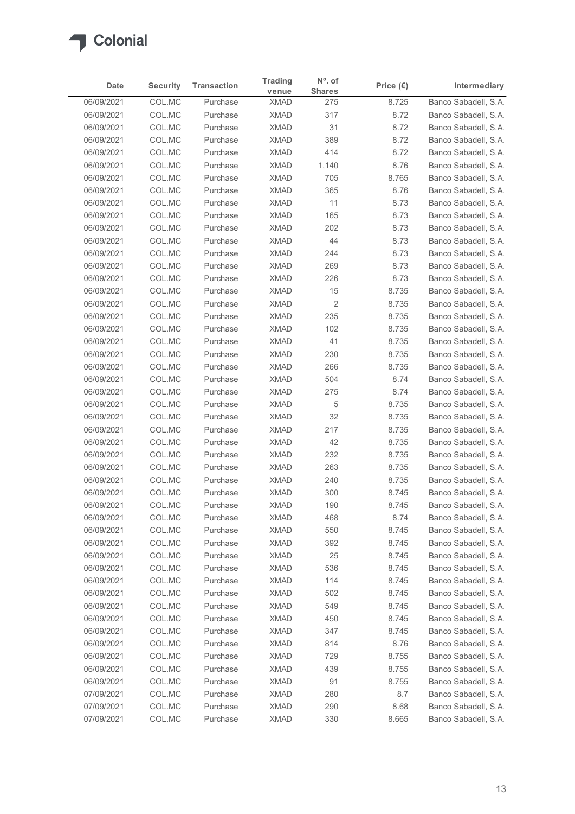

| 06/09/2021<br>06/09/2021<br>06/09/2021<br>06/09/2021<br>06/09/2021<br>06/09/2021<br>06/09/2021<br>06/09/2021<br>06/09/2021<br>06/09/2021<br>06/09/2021<br>06/09/2021<br>06/09/2021<br>06/09/2021<br>06/09/2021<br>06/09/2021<br>06/09/2021<br>06/09/2021 | COL.MC<br>COL.MC<br>COL.MC<br>COL.MC<br>COL.MC<br>COL.MC<br>COL.MC<br>COL.MC<br>COL.MC<br>COL.MC<br>COL.MC<br>COL.MC<br>COL.MC | Purchase<br>Purchase<br>Purchase<br>Purchase<br>Purchase<br>Purchase<br>Purchase<br>Purchase<br>Purchase | venue<br><b>XMAD</b><br><b>XMAD</b><br><b>XMAD</b><br><b>XMAD</b><br><b>XMAD</b><br><b>XMAD</b> | <b>Shares</b><br>275<br>317<br>31<br>389 | 8.725<br>8.72<br>8.72 | Banco Sabadell, S.A.<br>Banco Sabadell, S.A. |
|----------------------------------------------------------------------------------------------------------------------------------------------------------------------------------------------------------------------------------------------------------|--------------------------------------------------------------------------------------------------------------------------------|----------------------------------------------------------------------------------------------------------|-------------------------------------------------------------------------------------------------|------------------------------------------|-----------------------|----------------------------------------------|
|                                                                                                                                                                                                                                                          |                                                                                                                                |                                                                                                          |                                                                                                 |                                          |                       |                                              |
|                                                                                                                                                                                                                                                          |                                                                                                                                |                                                                                                          |                                                                                                 |                                          |                       |                                              |
|                                                                                                                                                                                                                                                          |                                                                                                                                |                                                                                                          |                                                                                                 |                                          |                       | Banco Sabadell, S.A.                         |
|                                                                                                                                                                                                                                                          |                                                                                                                                |                                                                                                          |                                                                                                 |                                          | 8.72                  | Banco Sabadell, S.A.                         |
|                                                                                                                                                                                                                                                          |                                                                                                                                |                                                                                                          |                                                                                                 | 414                                      | 8.72                  | Banco Sabadell, S.A.                         |
|                                                                                                                                                                                                                                                          |                                                                                                                                |                                                                                                          |                                                                                                 | 1,140                                    | 8.76                  | Banco Sabadell, S.A.                         |
|                                                                                                                                                                                                                                                          |                                                                                                                                |                                                                                                          | <b>XMAD</b>                                                                                     | 705                                      | 8.765                 | Banco Sabadell, S.A.                         |
|                                                                                                                                                                                                                                                          |                                                                                                                                |                                                                                                          | <b>XMAD</b><br><b>XMAD</b>                                                                      | 365<br>11                                | 8.76<br>8.73          | Banco Sabadell, S.A.<br>Banco Sabadell, S.A. |
|                                                                                                                                                                                                                                                          |                                                                                                                                | Purchase                                                                                                 | <b>XMAD</b>                                                                                     | 165                                      |                       | Banco Sabadell, S.A.                         |
|                                                                                                                                                                                                                                                          |                                                                                                                                | Purchase                                                                                                 | <b>XMAD</b>                                                                                     | 202                                      | 8.73<br>8.73          | Banco Sabadell, S.A.                         |
|                                                                                                                                                                                                                                                          |                                                                                                                                | Purchase                                                                                                 | <b>XMAD</b>                                                                                     | 44                                       | 8.73                  | Banco Sabadell, S.A.                         |
|                                                                                                                                                                                                                                                          |                                                                                                                                | Purchase                                                                                                 | <b>XMAD</b>                                                                                     | 244                                      | 8.73                  | Banco Sabadell, S.A.                         |
|                                                                                                                                                                                                                                                          | COL.MC                                                                                                                         | Purchase                                                                                                 | <b>XMAD</b>                                                                                     | 269                                      | 8.73                  | Banco Sabadell, S.A.                         |
|                                                                                                                                                                                                                                                          | COL.MC                                                                                                                         | Purchase                                                                                                 | <b>XMAD</b>                                                                                     | 226                                      | 8.73                  | Banco Sabadell, S.A.                         |
|                                                                                                                                                                                                                                                          | COL.MC                                                                                                                         | Purchase                                                                                                 | <b>XMAD</b>                                                                                     | 15                                       | 8.735                 | Banco Sabadell, S.A.                         |
|                                                                                                                                                                                                                                                          | COL.MC                                                                                                                         | Purchase                                                                                                 | <b>XMAD</b>                                                                                     | $\overline{2}$                           | 8.735                 | Banco Sabadell, S.A.                         |
|                                                                                                                                                                                                                                                          | COL.MC                                                                                                                         | Purchase                                                                                                 | <b>XMAD</b>                                                                                     | 235                                      | 8.735                 | Banco Sabadell, S.A.                         |
| 06/09/2021                                                                                                                                                                                                                                               | COL.MC                                                                                                                         | Purchase                                                                                                 | <b>XMAD</b>                                                                                     | 102                                      | 8.735                 | Banco Sabadell, S.A.                         |
| 06/09/2021                                                                                                                                                                                                                                               | COL.MC                                                                                                                         | Purchase                                                                                                 | <b>XMAD</b>                                                                                     | 41                                       | 8.735                 | Banco Sabadell, S.A.                         |
| 06/09/2021                                                                                                                                                                                                                                               | COL.MC                                                                                                                         | Purchase                                                                                                 | <b>XMAD</b>                                                                                     | 230                                      | 8.735                 | Banco Sabadell, S.A.                         |
| 06/09/2021                                                                                                                                                                                                                                               | COL.MC                                                                                                                         | Purchase                                                                                                 | <b>XMAD</b>                                                                                     | 266                                      | 8.735                 | Banco Sabadell, S.A.                         |
| 06/09/2021                                                                                                                                                                                                                                               | COL.MC                                                                                                                         | Purchase                                                                                                 | <b>XMAD</b>                                                                                     | 504                                      | 8.74                  | Banco Sabadell, S.A.                         |
| 06/09/2021                                                                                                                                                                                                                                               | COL.MC                                                                                                                         | Purchase                                                                                                 | <b>XMAD</b>                                                                                     | 275                                      | 8.74                  | Banco Sabadell, S.A.                         |
| 06/09/2021<br>06/09/2021                                                                                                                                                                                                                                 | COL.MC<br>COL.MC                                                                                                               | Purchase<br>Purchase                                                                                     | <b>XMAD</b><br><b>XMAD</b>                                                                      | 5<br>32                                  | 8.735<br>8.735        | Banco Sabadell, S.A.<br>Banco Sabadell, S.A. |
| 06/09/2021                                                                                                                                                                                                                                               | COL.MC                                                                                                                         | Purchase                                                                                                 | <b>XMAD</b>                                                                                     | 217                                      | 8.735                 | Banco Sabadell, S.A.                         |
| 06/09/2021                                                                                                                                                                                                                                               | COL.MC                                                                                                                         | Purchase                                                                                                 | <b>XMAD</b>                                                                                     | 42                                       | 8.735                 | Banco Sabadell, S.A.                         |
| 06/09/2021                                                                                                                                                                                                                                               | COL.MC                                                                                                                         | Purchase                                                                                                 | <b>XMAD</b>                                                                                     | 232                                      | 8.735                 | Banco Sabadell, S.A.                         |
| 06/09/2021                                                                                                                                                                                                                                               | COL.MC                                                                                                                         | Purchase                                                                                                 | <b>XMAD</b>                                                                                     | 263                                      | 8.735                 | Banco Sabadell, S.A.                         |
| 06/09/2021                                                                                                                                                                                                                                               | COL.MC                                                                                                                         | Purchase                                                                                                 | <b>XMAD</b>                                                                                     | 240                                      | 8.735                 | Banco Sabadell, S.A.                         |
| 06/09/2021                                                                                                                                                                                                                                               | COL.MC                                                                                                                         | Purchase                                                                                                 | <b>XMAD</b>                                                                                     | 300                                      | 8.745                 | Banco Sabadell, S.A.                         |
| 06/09/2021                                                                                                                                                                                                                                               | COL.MC                                                                                                                         | Purchase                                                                                                 | <b>XMAD</b>                                                                                     | 190                                      | 8.745                 | Banco Sabadell, S.A.                         |
| 06/09/2021                                                                                                                                                                                                                                               | COL.MC                                                                                                                         | Purchase                                                                                                 | <b>XMAD</b>                                                                                     | 468                                      | 8.74                  | Banco Sabadell, S.A.                         |
| 06/09/2021                                                                                                                                                                                                                                               | COL.MC                                                                                                                         | Purchase                                                                                                 | <b>XMAD</b>                                                                                     | 550                                      | 8.745                 | Banco Sabadell, S.A.                         |
| 06/09/2021                                                                                                                                                                                                                                               | COL.MC                                                                                                                         | Purchase                                                                                                 | <b>XMAD</b>                                                                                     | 392                                      | 8.745                 | Banco Sabadell, S.A.                         |
| 06/09/2021                                                                                                                                                                                                                                               | COL.MC                                                                                                                         | Purchase                                                                                                 | <b>XMAD</b>                                                                                     | 25                                       | 8.745                 | Banco Sabadell, S.A.                         |
| 06/09/2021                                                                                                                                                                                                                                               | COL.MC                                                                                                                         | Purchase                                                                                                 | <b>XMAD</b>                                                                                     | 536                                      | 8.745                 | Banco Sabadell, S.A.                         |
| 06/09/2021                                                                                                                                                                                                                                               | COL.MC                                                                                                                         | Purchase                                                                                                 | <b>XMAD</b>                                                                                     | 114                                      | 8.745                 | Banco Sabadell, S.A.                         |
| 06/09/2021                                                                                                                                                                                                                                               | COL.MC                                                                                                                         | Purchase                                                                                                 | <b>XMAD</b>                                                                                     | 502                                      | 8.745                 | Banco Sabadell, S.A.                         |
| 06/09/2021                                                                                                                                                                                                                                               | COL.MC                                                                                                                         | Purchase                                                                                                 | <b>XMAD</b>                                                                                     | 549                                      | 8.745                 | Banco Sabadell, S.A.                         |
| 06/09/2021                                                                                                                                                                                                                                               | COL.MC                                                                                                                         | Purchase                                                                                                 | <b>XMAD</b>                                                                                     | 450                                      | 8.745                 | Banco Sabadell, S.A.                         |
| 06/09/2021                                                                                                                                                                                                                                               | COL.MC                                                                                                                         | Purchase                                                                                                 | <b>XMAD</b>                                                                                     | 347                                      | 8.745                 | Banco Sabadell, S.A.                         |
| 06/09/2021                                                                                                                                                                                                                                               | COL.MC                                                                                                                         | Purchase                                                                                                 | <b>XMAD</b>                                                                                     | 814                                      | 8.76                  | Banco Sabadell, S.A.                         |
| 06/09/2021                                                                                                                                                                                                                                               | COL.MC                                                                                                                         | Purchase                                                                                                 | <b>XMAD</b>                                                                                     | 729                                      | 8.755                 | Banco Sabadell, S.A.                         |
| 06/09/2021                                                                                                                                                                                                                                               | COL.MC                                                                                                                         | Purchase                                                                                                 | <b>XMAD</b>                                                                                     | 439                                      | 8.755                 | Banco Sabadell, S.A.                         |
| 06/09/2021                                                                                                                                                                                                                                               | COL.MC                                                                                                                         | Purchase                                                                                                 | <b>XMAD</b>                                                                                     | 91                                       | 8.755                 | Banco Sabadell, S.A.                         |
| 07/09/2021                                                                                                                                                                                                                                               | COL.MC                                                                                                                         | Purchase                                                                                                 | <b>XMAD</b>                                                                                     | 280                                      | 8.7                   | Banco Sabadell, S.A.                         |
| 07/09/2021<br>07/09/2021                                                                                                                                                                                                                                 | COL.MC<br>COL.MC                                                                                                               | Purchase<br>Purchase                                                                                     | <b>XMAD</b><br><b>XMAD</b>                                                                      | 290<br>330                               | 8.68<br>8.665         | Banco Sabadell, S.A.<br>Banco Sabadell, S.A. |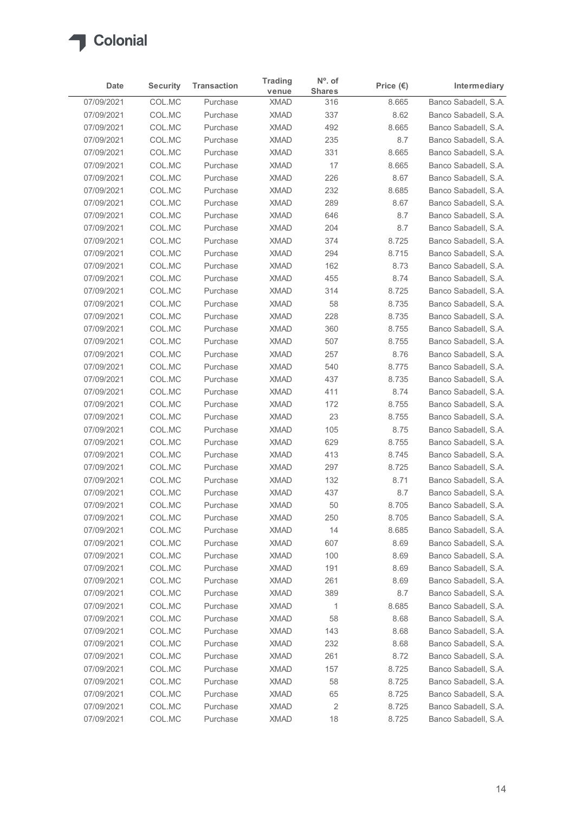

| Date                     | <b>Security</b>  | <b>Transaction</b>   | <b>Trading</b><br>venue    | N°. of<br><b>Shares</b> | Price $(\epsilon)$ | Intermediary                                 |
|--------------------------|------------------|----------------------|----------------------------|-------------------------|--------------------|----------------------------------------------|
| 07/09/2021               | COL.MC           | Purchase             | <b>XMAD</b>                | 316                     | 8.665              | Banco Sabadell, S.A.                         |
| 07/09/2021               | COL.MC           | Purchase             | <b>XMAD</b>                | 337                     | 8.62               | Banco Sabadell, S.A.                         |
| 07/09/2021               | COL.MC           | Purchase             | <b>XMAD</b>                | 492                     | 8.665              | Banco Sabadell, S.A.                         |
| 07/09/2021               | COL.MC           | Purchase             | <b>XMAD</b>                | 235                     | 8.7                | Banco Sabadell, S.A.                         |
| 07/09/2021               | COL.MC           | Purchase             | <b>XMAD</b>                | 331                     | 8.665              | Banco Sabadell, S.A.                         |
| 07/09/2021               | COL.MC           | Purchase             | <b>XMAD</b>                | 17                      | 8.665              | Banco Sabadell, S.A.                         |
| 07/09/2021               | COL.MC           | Purchase             | <b>XMAD</b>                | 226                     | 8.67               | Banco Sabadell, S.A.                         |
| 07/09/2021               | COL.MC           | Purchase             | <b>XMAD</b>                | 232                     | 8.685              | Banco Sabadell, S.A.                         |
| 07/09/2021               | COL.MC           | Purchase             | <b>XMAD</b>                | 289                     | 8.67               | Banco Sabadell, S.A.                         |
| 07/09/2021               | COL.MC           | Purchase             | <b>XMAD</b>                | 646                     | 8.7                | Banco Sabadell, S.A.                         |
| 07/09/2021<br>07/09/2021 | COL.MC<br>COL.MC | Purchase<br>Purchase | <b>XMAD</b><br><b>XMAD</b> | 204<br>374              | 8.7<br>8.725       | Banco Sabadell, S.A.<br>Banco Sabadell, S.A. |
| 07/09/2021               | COL.MC           | Purchase             | <b>XMAD</b>                | 294                     | 8.715              | Banco Sabadell, S.A.                         |
| 07/09/2021               | COL.MC           | Purchase             | <b>XMAD</b>                | 162                     | 8.73               | Banco Sabadell, S.A.                         |
| 07/09/2021               | COL.MC           | Purchase             | <b>XMAD</b>                | 455                     | 8.74               | Banco Sabadell, S.A.                         |
| 07/09/2021               | COL.MC           | Purchase             | <b>XMAD</b>                | 314                     | 8.725              | Banco Sabadell, S.A.                         |
| 07/09/2021               | COL.MC           | Purchase             | <b>XMAD</b>                | 58                      | 8.735              | Banco Sabadell, S.A.                         |
| 07/09/2021               | COL.MC           | Purchase             | <b>XMAD</b>                | 228                     | 8.735              | Banco Sabadell, S.A.                         |
| 07/09/2021               | COL.MC           | Purchase             | <b>XMAD</b>                | 360                     | 8.755              | Banco Sabadell, S.A.                         |
| 07/09/2021               | COL.MC           | Purchase             | <b>XMAD</b>                | 507                     | 8.755              | Banco Sabadell, S.A.                         |
| 07/09/2021               | COL.MC           | Purchase             | <b>XMAD</b>                | 257                     | 8.76               | Banco Sabadell, S.A.                         |
| 07/09/2021               | COL.MC           | Purchase             | <b>XMAD</b>                | 540                     | 8.775              | Banco Sabadell, S.A.                         |
| 07/09/2021               | COL.MC           | Purchase             | <b>XMAD</b>                | 437                     | 8.735              | Banco Sabadell, S.A.                         |
| 07/09/2021               | COL.MC           | Purchase             | <b>XMAD</b>                | 411                     | 8.74               | Banco Sabadell, S.A.                         |
| 07/09/2021               | COL.MC           | Purchase             | <b>XMAD</b>                | 172                     | 8.755              | Banco Sabadell, S.A.                         |
| 07/09/2021               | COL.MC           | Purchase             | <b>XMAD</b>                | 23                      | 8.755              | Banco Sabadell, S.A.                         |
| 07/09/2021               | COL.MC           | Purchase             | <b>XMAD</b>                | 105                     | 8.75               | Banco Sabadell, S.A.                         |
| 07/09/2021               | COL.MC           | Purchase             | <b>XMAD</b>                | 629                     | 8.755              | Banco Sabadell, S.A.                         |
| 07/09/2021               | COL.MC           | Purchase             | <b>XMAD</b>                | 413                     | 8.745              | Banco Sabadell, S.A.                         |
| 07/09/2021               | COL.MC           | Purchase             | <b>XMAD</b>                | 297                     | 8.725              | Banco Sabadell, S.A.                         |
| 07/09/2021               | COL.MC           | Purchase             | <b>XMAD</b>                | 132                     | 8.71               | Banco Sabadell, S.A.                         |
| 07/09/2021<br>07/09/2021 | COL.MC<br>COL.MC | Purchase<br>Purchase | <b>XMAD</b><br><b>XMAD</b> | 437<br>50               | 8.7<br>8.705       | Banco Sabadell, S.A.<br>Banco Sabadell, S.A. |
| 07/09/2021               | COL.MC           | Purchase             | <b>XMAD</b>                | 250                     | 8.705              | Banco Sabadell, S.A.                         |
| 07/09/2021               | COL.MC           | Purchase             | <b>XMAD</b>                | 14                      | 8.685              | Banco Sabadell, S.A.                         |
| 07/09/2021               | COL.MC           | Purchase             | <b>XMAD</b>                | 607                     | 8.69               | Banco Sabadell, S.A.                         |
| 07/09/2021               | COL.MC           | Purchase             | <b>XMAD</b>                | 100                     | 8.69               | Banco Sabadell, S.A.                         |
| 07/09/2021               | COL.MC           | Purchase             | <b>XMAD</b>                | 191                     | 8.69               | Banco Sabadell, S.A.                         |
| 07/09/2021               | COL.MC           | Purchase             | <b>XMAD</b>                | 261                     | 8.69               | Banco Sabadell, S.A.                         |
| 07/09/2021               | COL.MC           | Purchase             | <b>XMAD</b>                | 389                     | 8.7                | Banco Sabadell, S.A.                         |
| 07/09/2021               | COL.MC           | Purchase             | <b>XMAD</b>                | $\overline{1}$          | 8.685              | Banco Sabadell, S.A.                         |
| 07/09/2021               | COL.MC           | Purchase             | <b>XMAD</b>                | 58                      | 8.68               | Banco Sabadell, S.A.                         |
| 07/09/2021               | COL.MC           | Purchase             | <b>XMAD</b>                | 143                     | 8.68               | Banco Sabadell, S.A.                         |
| 07/09/2021               | COL.MC           | Purchase             | <b>XMAD</b>                | 232                     | 8.68               | Banco Sabadell, S.A.                         |
| 07/09/2021               | COL.MC           | Purchase             | <b>XMAD</b>                | 261                     | 8.72               | Banco Sabadell, S.A.                         |
| 07/09/2021               | COL.MC           | Purchase             | <b>XMAD</b>                | 157                     | 8.725              | Banco Sabadell, S.A.                         |
| 07/09/2021               | COL.MC           | Purchase             | <b>XMAD</b>                | 58                      | 8.725              | Banco Sabadell, S.A.                         |
| 07/09/2021               | COL.MC           | Purchase             | <b>XMAD</b>                | 65                      | 8.725              | Banco Sabadell, S.A.                         |
| 07/09/2021               | COL.MC           | Purchase             | <b>XMAD</b>                | $\sqrt{2}$              | 8.725              | Banco Sabadell, S.A.                         |
| 07/09/2021               | COL.MC           | Purchase             | <b>XMAD</b>                | 18                      | 8.725              | Banco Sabadell, S.A.                         |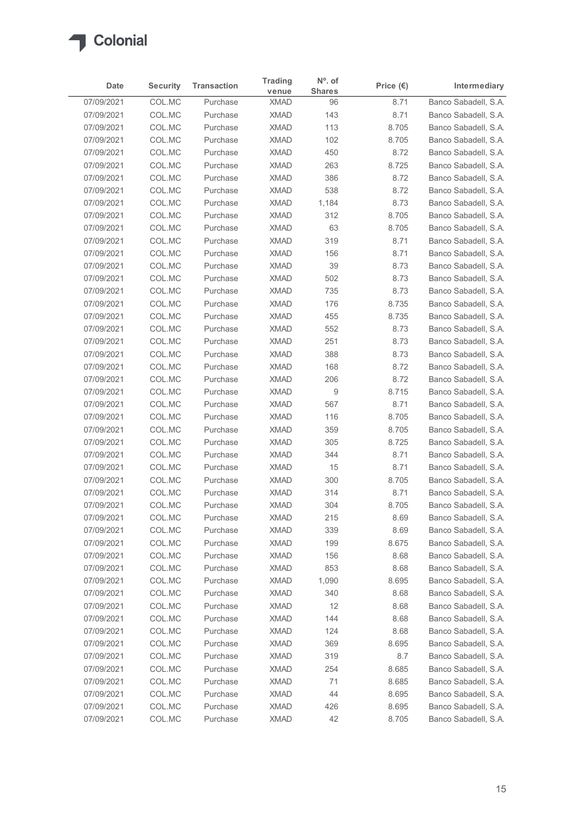

| COL.MC<br>Banco Sabadell, S.A.<br>07/09/2021<br>8.71<br>Purchase<br><b>XMAD</b><br>96<br>COL.MC<br>143<br>8.71<br>07/09/2021<br>Purchase<br><b>XMAD</b><br>COL.MC<br>113<br>07/09/2021<br>Purchase<br><b>XMAD</b><br>8.705<br>102<br>07/09/2021<br>COL.MC<br>Purchase<br><b>XMAD</b><br>8.705<br>COL.MC<br><b>XMAD</b><br>450<br>8.72<br>07/09/2021<br>Purchase<br>07/09/2021<br>COL.MC<br><b>XMAD</b><br>263<br>Purchase<br>8.725<br>07/09/2021<br>COL.MC<br><b>XMAD</b><br>386<br>8.72<br>Purchase<br>COL.MC<br>538<br>8.72<br>07/09/2021<br>Purchase<br><b>XMAD</b><br>07/09/2021<br>COL.MC<br><b>XMAD</b><br>1,184<br>8.73<br>Purchase<br>COL.MC<br><b>XMAD</b><br>312<br>07/09/2021<br>Purchase<br>8.705<br>COL.MC<br>63<br>07/09/2021<br>Purchase<br><b>XMAD</b><br>8.705<br>COL.MC<br><b>XMAD</b><br>07/09/2021<br>Purchase<br>319<br>8.71<br><b>XMAD</b><br>156<br>8.71<br>07/09/2021<br>COL.MC<br>Purchase<br>39<br>8.73<br>07/09/2021<br>COL.MC<br><b>XMAD</b><br>Purchase<br>502<br>07/09/2021<br>COL.MC<br>Purchase<br><b>XMAD</b><br>8.73<br>COL.MC<br><b>XMAD</b><br>735<br>8.73<br>07/09/2021<br>Purchase<br>8.735<br>07/09/2021<br>COL.MC<br>Purchase<br><b>XMAD</b><br>176<br>COL.MC<br>07/09/2021<br>Purchase<br><b>XMAD</b><br>455<br>8.735<br>COL.MC<br><b>XMAD</b><br>552<br>8.73<br>07/09/2021<br>Purchase<br>07/09/2021<br>COL.MC<br>Purchase<br><b>XMAD</b><br>251<br>8.73<br>388<br>07/09/2021<br>COL.MC<br><b>XMAD</b><br>8.73<br>Purchase<br>COL.MC<br><b>XMAD</b><br>168<br>8.72<br>07/09/2021<br>Purchase<br>COL.MC<br>8.72<br>07/09/2021<br>Purchase<br><b>XMAD</b><br>206<br>COL.MC<br><b>XMAD</b><br>9<br>07/09/2021<br>8.715<br>Purchase<br>567<br>8.71<br>07/09/2021<br>COL.MC<br><b>XMAD</b><br>Purchase<br>07/09/2021<br>COL.MC<br>Purchase<br><b>XMAD</b><br>116<br>8.705<br>8.705<br>07/09/2021<br>COL.MC<br>Purchase<br><b>XMAD</b><br>359<br><b>XMAD</b><br>305<br>8.725<br>07/09/2021<br>COL.MC<br>Purchase<br><b>XMAD</b><br>8.71<br>07/09/2021<br>COL.MC<br>Purchase<br>344<br>COL.MC<br>8.71<br>07/09/2021<br>Purchase<br><b>XMAD</b><br>15<br>COL.MC<br>300<br>07/09/2021<br>Purchase<br><b>XMAD</b><br>8.705<br>314<br>07/09/2021<br>COL.MC<br>Purchase<br><b>XMAD</b><br>8.71<br>8.705<br>07/09/2021<br>COL.MC<br>Purchase<br><b>XMAD</b><br>304<br><b>XMAD</b><br>215<br>8.69<br>07/09/2021<br>COL.MC<br>Purchase<br>COL.MC<br>339<br>07/09/2021<br>Purchase<br><b>XMAD</b><br>8.69<br>COL.MC<br>8.675<br>07/09/2021<br>Purchase<br><b>XMAD</b><br>199<br>8.68<br>07/09/2021<br>COL.MC<br><b>XMAD</b><br>156<br>Purchase<br>853<br>8.68<br>07/09/2021<br>COL.MC<br><b>XMAD</b><br>Purchase<br>COL.MC<br><b>XMAD</b><br>8.695<br>07/09/2021<br>Purchase<br>1,090<br><b>XMAD</b><br>8.68<br>07/09/2021<br>COL.MC<br>340<br>Purchase<br>COL.MC<br>12<br>07/09/2021<br><b>XMAD</b><br>8.68<br>Purchase<br>COL.MC<br>8.68<br>07/09/2021<br>Purchase<br><b>XMAD</b><br>144<br>8.68<br>07/09/2021<br>COL.MC<br><b>XMAD</b><br>124<br>Purchase<br>369<br>07/09/2021<br>COL.MC<br><b>XMAD</b><br>8.695<br>Purchase<br>319<br>8.7<br>07/09/2021<br>COL.MC<br>Purchase<br><b>XMAD</b><br>8.685<br>07/09/2021<br>COL.MC<br>Purchase<br><b>XMAD</b><br>254<br>COL.MC<br><b>XMAD</b><br>07/09/2021<br>Purchase<br>71<br>8.685<br><b>XMAD</b><br>44<br>8.695<br>07/09/2021<br>COL.MC<br>Purchase<br>COL.MC<br>07/09/2021<br>Purchase<br><b>XMAD</b><br>426<br>8.695<br>07/09/2021 | Date | <b>Security</b> | <b>Transaction</b> | <b>Trading</b><br>venue | N°. of<br><b>Shares</b> | Price $(\epsilon)$ | Intermediary         |
|--------------------------------------------------------------------------------------------------------------------------------------------------------------------------------------------------------------------------------------------------------------------------------------------------------------------------------------------------------------------------------------------------------------------------------------------------------------------------------------------------------------------------------------------------------------------------------------------------------------------------------------------------------------------------------------------------------------------------------------------------------------------------------------------------------------------------------------------------------------------------------------------------------------------------------------------------------------------------------------------------------------------------------------------------------------------------------------------------------------------------------------------------------------------------------------------------------------------------------------------------------------------------------------------------------------------------------------------------------------------------------------------------------------------------------------------------------------------------------------------------------------------------------------------------------------------------------------------------------------------------------------------------------------------------------------------------------------------------------------------------------------------------------------------------------------------------------------------------------------------------------------------------------------------------------------------------------------------------------------------------------------------------------------------------------------------------------------------------------------------------------------------------------------------------------------------------------------------------------------------------------------------------------------------------------------------------------------------------------------------------------------------------------------------------------------------------------------------------------------------------------------------------------------------------------------------------------------------------------------------------------------------------------------------------------------------------------------------------------------------------------------------------------------------------------------------------------------------------------------------------------------------------------------------------------------------------------------------------------------------------------------------------------------------------------------------------------------------------------------------------------------------------------------------------------------------------------------------------------------------------------------------------------------------------------------------------------------------------------------------------------------------------------------------|------|-----------------|--------------------|-------------------------|-------------------------|--------------------|----------------------|
| Banco Sabadell, S.A.<br>Banco Sabadell, S.A.<br>Banco Sabadell, S.A.<br>Banco Sabadell, S.A.<br>Banco Sabadell, S.A.<br>Banco Sabadell, S.A.<br>Banco Sabadell, S.A.<br>Banco Sabadell, S.A.<br>Banco Sabadell, S.A.<br>Banco Sabadell, S.A.<br>Banco Sabadell, S.A.<br>Banco Sabadell, S.A.<br>Banco Sabadell, S.A.<br>Banco Sabadell, S.A.<br>Banco Sabadell, S.A.<br>Banco Sabadell, S.A.<br>Banco Sabadell, S.A.<br>Banco Sabadell, S.A.<br>Banco Sabadell, S.A.<br>Banco Sabadell, S.A.<br>Banco Sabadell, S.A.<br>Banco Sabadell, S.A.<br>Banco Sabadell, S.A.<br>Banco Sabadell, S.A.<br>Banco Sabadell, S.A.<br>Banco Sabadell, S.A.<br>Banco Sabadell, S.A.<br>Banco Sabadell, S.A.<br>Banco Sabadell, S.A.<br>Banco Sabadell, S.A.<br>Banco Sabadell, S.A.<br>Banco Sabadell, S.A.<br>Banco Sabadell, S.A.<br>Banco Sabadell, S.A.<br>Banco Sabadell, S.A.<br>Banco Sabadell, S.A.<br>Banco Sabadell, S.A.<br>Banco Sabadell, S.A.<br>Banco Sabadell, S.A.<br>Banco Sabadell, S.A.<br>Banco Sabadell, S.A.<br>Banco Sabadell, S.A.<br>Banco Sabadell, S.A.<br>Banco Sabadell, S.A.<br>Banco Sabadell, S.A.<br>Banco Sabadell, S.A.<br>Banco Sabadell, S.A.<br>Banco Sabadell, S.A.                                                                                                                                                                                                                                                                                                                                                                                                                                                                                                                                                                                                                                                                                                                                                                                                                                                                                                                                                                                                                                                                                                                                                                                                                                                                                                                                                                                                                                                                                                                                                                                                                                                                                                                                                                                                                                                                                                                                                                                                                                                                                                                                                                                                                       |      |                 |                    |                         |                         |                    |                      |
|                                                                                                                                                                                                                                                                                                                                                                                                                                                                                                                                                                                                                                                                                                                                                                                                                                                                                                                                                                                                                                                                                                                                                                                                                                                                                                                                                                                                                                                                                                                                                                                                                                                                                                                                                                                                                                                                                                                                                                                                                                                                                                                                                                                                                                                                                                                                                                                                                                                                                                                                                                                                                                                                                                                                                                                                                                                                                                                                                                                                                                                                                                                                                                                                                                                                                                                                                                                                                    |      |                 |                    |                         |                         |                    |                      |
|                                                                                                                                                                                                                                                                                                                                                                                                                                                                                                                                                                                                                                                                                                                                                                                                                                                                                                                                                                                                                                                                                                                                                                                                                                                                                                                                                                                                                                                                                                                                                                                                                                                                                                                                                                                                                                                                                                                                                                                                                                                                                                                                                                                                                                                                                                                                                                                                                                                                                                                                                                                                                                                                                                                                                                                                                                                                                                                                                                                                                                                                                                                                                                                                                                                                                                                                                                                                                    |      |                 |                    |                         |                         |                    |                      |
|                                                                                                                                                                                                                                                                                                                                                                                                                                                                                                                                                                                                                                                                                                                                                                                                                                                                                                                                                                                                                                                                                                                                                                                                                                                                                                                                                                                                                                                                                                                                                                                                                                                                                                                                                                                                                                                                                                                                                                                                                                                                                                                                                                                                                                                                                                                                                                                                                                                                                                                                                                                                                                                                                                                                                                                                                                                                                                                                                                                                                                                                                                                                                                                                                                                                                                                                                                                                                    |      |                 |                    |                         |                         |                    |                      |
|                                                                                                                                                                                                                                                                                                                                                                                                                                                                                                                                                                                                                                                                                                                                                                                                                                                                                                                                                                                                                                                                                                                                                                                                                                                                                                                                                                                                                                                                                                                                                                                                                                                                                                                                                                                                                                                                                                                                                                                                                                                                                                                                                                                                                                                                                                                                                                                                                                                                                                                                                                                                                                                                                                                                                                                                                                                                                                                                                                                                                                                                                                                                                                                                                                                                                                                                                                                                                    |      |                 |                    |                         |                         |                    |                      |
|                                                                                                                                                                                                                                                                                                                                                                                                                                                                                                                                                                                                                                                                                                                                                                                                                                                                                                                                                                                                                                                                                                                                                                                                                                                                                                                                                                                                                                                                                                                                                                                                                                                                                                                                                                                                                                                                                                                                                                                                                                                                                                                                                                                                                                                                                                                                                                                                                                                                                                                                                                                                                                                                                                                                                                                                                                                                                                                                                                                                                                                                                                                                                                                                                                                                                                                                                                                                                    |      |                 |                    |                         |                         |                    |                      |
|                                                                                                                                                                                                                                                                                                                                                                                                                                                                                                                                                                                                                                                                                                                                                                                                                                                                                                                                                                                                                                                                                                                                                                                                                                                                                                                                                                                                                                                                                                                                                                                                                                                                                                                                                                                                                                                                                                                                                                                                                                                                                                                                                                                                                                                                                                                                                                                                                                                                                                                                                                                                                                                                                                                                                                                                                                                                                                                                                                                                                                                                                                                                                                                                                                                                                                                                                                                                                    |      |                 |                    |                         |                         |                    |                      |
|                                                                                                                                                                                                                                                                                                                                                                                                                                                                                                                                                                                                                                                                                                                                                                                                                                                                                                                                                                                                                                                                                                                                                                                                                                                                                                                                                                                                                                                                                                                                                                                                                                                                                                                                                                                                                                                                                                                                                                                                                                                                                                                                                                                                                                                                                                                                                                                                                                                                                                                                                                                                                                                                                                                                                                                                                                                                                                                                                                                                                                                                                                                                                                                                                                                                                                                                                                                                                    |      |                 |                    |                         |                         |                    |                      |
|                                                                                                                                                                                                                                                                                                                                                                                                                                                                                                                                                                                                                                                                                                                                                                                                                                                                                                                                                                                                                                                                                                                                                                                                                                                                                                                                                                                                                                                                                                                                                                                                                                                                                                                                                                                                                                                                                                                                                                                                                                                                                                                                                                                                                                                                                                                                                                                                                                                                                                                                                                                                                                                                                                                                                                                                                                                                                                                                                                                                                                                                                                                                                                                                                                                                                                                                                                                                                    |      |                 |                    |                         |                         |                    |                      |
|                                                                                                                                                                                                                                                                                                                                                                                                                                                                                                                                                                                                                                                                                                                                                                                                                                                                                                                                                                                                                                                                                                                                                                                                                                                                                                                                                                                                                                                                                                                                                                                                                                                                                                                                                                                                                                                                                                                                                                                                                                                                                                                                                                                                                                                                                                                                                                                                                                                                                                                                                                                                                                                                                                                                                                                                                                                                                                                                                                                                                                                                                                                                                                                                                                                                                                                                                                                                                    |      |                 |                    |                         |                         |                    |                      |
|                                                                                                                                                                                                                                                                                                                                                                                                                                                                                                                                                                                                                                                                                                                                                                                                                                                                                                                                                                                                                                                                                                                                                                                                                                                                                                                                                                                                                                                                                                                                                                                                                                                                                                                                                                                                                                                                                                                                                                                                                                                                                                                                                                                                                                                                                                                                                                                                                                                                                                                                                                                                                                                                                                                                                                                                                                                                                                                                                                                                                                                                                                                                                                                                                                                                                                                                                                                                                    |      |                 |                    |                         |                         |                    |                      |
|                                                                                                                                                                                                                                                                                                                                                                                                                                                                                                                                                                                                                                                                                                                                                                                                                                                                                                                                                                                                                                                                                                                                                                                                                                                                                                                                                                                                                                                                                                                                                                                                                                                                                                                                                                                                                                                                                                                                                                                                                                                                                                                                                                                                                                                                                                                                                                                                                                                                                                                                                                                                                                                                                                                                                                                                                                                                                                                                                                                                                                                                                                                                                                                                                                                                                                                                                                                                                    |      |                 |                    |                         |                         |                    |                      |
|                                                                                                                                                                                                                                                                                                                                                                                                                                                                                                                                                                                                                                                                                                                                                                                                                                                                                                                                                                                                                                                                                                                                                                                                                                                                                                                                                                                                                                                                                                                                                                                                                                                                                                                                                                                                                                                                                                                                                                                                                                                                                                                                                                                                                                                                                                                                                                                                                                                                                                                                                                                                                                                                                                                                                                                                                                                                                                                                                                                                                                                                                                                                                                                                                                                                                                                                                                                                                    |      |                 |                    |                         |                         |                    |                      |
|                                                                                                                                                                                                                                                                                                                                                                                                                                                                                                                                                                                                                                                                                                                                                                                                                                                                                                                                                                                                                                                                                                                                                                                                                                                                                                                                                                                                                                                                                                                                                                                                                                                                                                                                                                                                                                                                                                                                                                                                                                                                                                                                                                                                                                                                                                                                                                                                                                                                                                                                                                                                                                                                                                                                                                                                                                                                                                                                                                                                                                                                                                                                                                                                                                                                                                                                                                                                                    |      |                 |                    |                         |                         |                    |                      |
|                                                                                                                                                                                                                                                                                                                                                                                                                                                                                                                                                                                                                                                                                                                                                                                                                                                                                                                                                                                                                                                                                                                                                                                                                                                                                                                                                                                                                                                                                                                                                                                                                                                                                                                                                                                                                                                                                                                                                                                                                                                                                                                                                                                                                                                                                                                                                                                                                                                                                                                                                                                                                                                                                                                                                                                                                                                                                                                                                                                                                                                                                                                                                                                                                                                                                                                                                                                                                    |      |                 |                    |                         |                         |                    |                      |
|                                                                                                                                                                                                                                                                                                                                                                                                                                                                                                                                                                                                                                                                                                                                                                                                                                                                                                                                                                                                                                                                                                                                                                                                                                                                                                                                                                                                                                                                                                                                                                                                                                                                                                                                                                                                                                                                                                                                                                                                                                                                                                                                                                                                                                                                                                                                                                                                                                                                                                                                                                                                                                                                                                                                                                                                                                                                                                                                                                                                                                                                                                                                                                                                                                                                                                                                                                                                                    |      |                 |                    |                         |                         |                    |                      |
|                                                                                                                                                                                                                                                                                                                                                                                                                                                                                                                                                                                                                                                                                                                                                                                                                                                                                                                                                                                                                                                                                                                                                                                                                                                                                                                                                                                                                                                                                                                                                                                                                                                                                                                                                                                                                                                                                                                                                                                                                                                                                                                                                                                                                                                                                                                                                                                                                                                                                                                                                                                                                                                                                                                                                                                                                                                                                                                                                                                                                                                                                                                                                                                                                                                                                                                                                                                                                    |      |                 |                    |                         |                         |                    |                      |
|                                                                                                                                                                                                                                                                                                                                                                                                                                                                                                                                                                                                                                                                                                                                                                                                                                                                                                                                                                                                                                                                                                                                                                                                                                                                                                                                                                                                                                                                                                                                                                                                                                                                                                                                                                                                                                                                                                                                                                                                                                                                                                                                                                                                                                                                                                                                                                                                                                                                                                                                                                                                                                                                                                                                                                                                                                                                                                                                                                                                                                                                                                                                                                                                                                                                                                                                                                                                                    |      |                 |                    |                         |                         |                    |                      |
|                                                                                                                                                                                                                                                                                                                                                                                                                                                                                                                                                                                                                                                                                                                                                                                                                                                                                                                                                                                                                                                                                                                                                                                                                                                                                                                                                                                                                                                                                                                                                                                                                                                                                                                                                                                                                                                                                                                                                                                                                                                                                                                                                                                                                                                                                                                                                                                                                                                                                                                                                                                                                                                                                                                                                                                                                                                                                                                                                                                                                                                                                                                                                                                                                                                                                                                                                                                                                    |      |                 |                    |                         |                         |                    |                      |
|                                                                                                                                                                                                                                                                                                                                                                                                                                                                                                                                                                                                                                                                                                                                                                                                                                                                                                                                                                                                                                                                                                                                                                                                                                                                                                                                                                                                                                                                                                                                                                                                                                                                                                                                                                                                                                                                                                                                                                                                                                                                                                                                                                                                                                                                                                                                                                                                                                                                                                                                                                                                                                                                                                                                                                                                                                                                                                                                                                                                                                                                                                                                                                                                                                                                                                                                                                                                                    |      |                 |                    |                         |                         |                    |                      |
|                                                                                                                                                                                                                                                                                                                                                                                                                                                                                                                                                                                                                                                                                                                                                                                                                                                                                                                                                                                                                                                                                                                                                                                                                                                                                                                                                                                                                                                                                                                                                                                                                                                                                                                                                                                                                                                                                                                                                                                                                                                                                                                                                                                                                                                                                                                                                                                                                                                                                                                                                                                                                                                                                                                                                                                                                                                                                                                                                                                                                                                                                                                                                                                                                                                                                                                                                                                                                    |      |                 |                    |                         |                         |                    |                      |
|                                                                                                                                                                                                                                                                                                                                                                                                                                                                                                                                                                                                                                                                                                                                                                                                                                                                                                                                                                                                                                                                                                                                                                                                                                                                                                                                                                                                                                                                                                                                                                                                                                                                                                                                                                                                                                                                                                                                                                                                                                                                                                                                                                                                                                                                                                                                                                                                                                                                                                                                                                                                                                                                                                                                                                                                                                                                                                                                                                                                                                                                                                                                                                                                                                                                                                                                                                                                                    |      |                 |                    |                         |                         |                    |                      |
|                                                                                                                                                                                                                                                                                                                                                                                                                                                                                                                                                                                                                                                                                                                                                                                                                                                                                                                                                                                                                                                                                                                                                                                                                                                                                                                                                                                                                                                                                                                                                                                                                                                                                                                                                                                                                                                                                                                                                                                                                                                                                                                                                                                                                                                                                                                                                                                                                                                                                                                                                                                                                                                                                                                                                                                                                                                                                                                                                                                                                                                                                                                                                                                                                                                                                                                                                                                                                    |      |                 |                    |                         |                         |                    |                      |
|                                                                                                                                                                                                                                                                                                                                                                                                                                                                                                                                                                                                                                                                                                                                                                                                                                                                                                                                                                                                                                                                                                                                                                                                                                                                                                                                                                                                                                                                                                                                                                                                                                                                                                                                                                                                                                                                                                                                                                                                                                                                                                                                                                                                                                                                                                                                                                                                                                                                                                                                                                                                                                                                                                                                                                                                                                                                                                                                                                                                                                                                                                                                                                                                                                                                                                                                                                                                                    |      |                 |                    |                         |                         |                    |                      |
|                                                                                                                                                                                                                                                                                                                                                                                                                                                                                                                                                                                                                                                                                                                                                                                                                                                                                                                                                                                                                                                                                                                                                                                                                                                                                                                                                                                                                                                                                                                                                                                                                                                                                                                                                                                                                                                                                                                                                                                                                                                                                                                                                                                                                                                                                                                                                                                                                                                                                                                                                                                                                                                                                                                                                                                                                                                                                                                                                                                                                                                                                                                                                                                                                                                                                                                                                                                                                    |      |                 |                    |                         |                         |                    |                      |
|                                                                                                                                                                                                                                                                                                                                                                                                                                                                                                                                                                                                                                                                                                                                                                                                                                                                                                                                                                                                                                                                                                                                                                                                                                                                                                                                                                                                                                                                                                                                                                                                                                                                                                                                                                                                                                                                                                                                                                                                                                                                                                                                                                                                                                                                                                                                                                                                                                                                                                                                                                                                                                                                                                                                                                                                                                                                                                                                                                                                                                                                                                                                                                                                                                                                                                                                                                                                                    |      |                 |                    |                         |                         |                    |                      |
|                                                                                                                                                                                                                                                                                                                                                                                                                                                                                                                                                                                                                                                                                                                                                                                                                                                                                                                                                                                                                                                                                                                                                                                                                                                                                                                                                                                                                                                                                                                                                                                                                                                                                                                                                                                                                                                                                                                                                                                                                                                                                                                                                                                                                                                                                                                                                                                                                                                                                                                                                                                                                                                                                                                                                                                                                                                                                                                                                                                                                                                                                                                                                                                                                                                                                                                                                                                                                    |      |                 |                    |                         |                         |                    |                      |
|                                                                                                                                                                                                                                                                                                                                                                                                                                                                                                                                                                                                                                                                                                                                                                                                                                                                                                                                                                                                                                                                                                                                                                                                                                                                                                                                                                                                                                                                                                                                                                                                                                                                                                                                                                                                                                                                                                                                                                                                                                                                                                                                                                                                                                                                                                                                                                                                                                                                                                                                                                                                                                                                                                                                                                                                                                                                                                                                                                                                                                                                                                                                                                                                                                                                                                                                                                                                                    |      |                 |                    |                         |                         |                    |                      |
|                                                                                                                                                                                                                                                                                                                                                                                                                                                                                                                                                                                                                                                                                                                                                                                                                                                                                                                                                                                                                                                                                                                                                                                                                                                                                                                                                                                                                                                                                                                                                                                                                                                                                                                                                                                                                                                                                                                                                                                                                                                                                                                                                                                                                                                                                                                                                                                                                                                                                                                                                                                                                                                                                                                                                                                                                                                                                                                                                                                                                                                                                                                                                                                                                                                                                                                                                                                                                    |      |                 |                    |                         |                         |                    |                      |
|                                                                                                                                                                                                                                                                                                                                                                                                                                                                                                                                                                                                                                                                                                                                                                                                                                                                                                                                                                                                                                                                                                                                                                                                                                                                                                                                                                                                                                                                                                                                                                                                                                                                                                                                                                                                                                                                                                                                                                                                                                                                                                                                                                                                                                                                                                                                                                                                                                                                                                                                                                                                                                                                                                                                                                                                                                                                                                                                                                                                                                                                                                                                                                                                                                                                                                                                                                                                                    |      |                 |                    |                         |                         |                    |                      |
|                                                                                                                                                                                                                                                                                                                                                                                                                                                                                                                                                                                                                                                                                                                                                                                                                                                                                                                                                                                                                                                                                                                                                                                                                                                                                                                                                                                                                                                                                                                                                                                                                                                                                                                                                                                                                                                                                                                                                                                                                                                                                                                                                                                                                                                                                                                                                                                                                                                                                                                                                                                                                                                                                                                                                                                                                                                                                                                                                                                                                                                                                                                                                                                                                                                                                                                                                                                                                    |      |                 |                    |                         |                         |                    |                      |
|                                                                                                                                                                                                                                                                                                                                                                                                                                                                                                                                                                                                                                                                                                                                                                                                                                                                                                                                                                                                                                                                                                                                                                                                                                                                                                                                                                                                                                                                                                                                                                                                                                                                                                                                                                                                                                                                                                                                                                                                                                                                                                                                                                                                                                                                                                                                                                                                                                                                                                                                                                                                                                                                                                                                                                                                                                                                                                                                                                                                                                                                                                                                                                                                                                                                                                                                                                                                                    |      |                 |                    |                         |                         |                    |                      |
|                                                                                                                                                                                                                                                                                                                                                                                                                                                                                                                                                                                                                                                                                                                                                                                                                                                                                                                                                                                                                                                                                                                                                                                                                                                                                                                                                                                                                                                                                                                                                                                                                                                                                                                                                                                                                                                                                                                                                                                                                                                                                                                                                                                                                                                                                                                                                                                                                                                                                                                                                                                                                                                                                                                                                                                                                                                                                                                                                                                                                                                                                                                                                                                                                                                                                                                                                                                                                    |      |                 |                    |                         |                         |                    |                      |
|                                                                                                                                                                                                                                                                                                                                                                                                                                                                                                                                                                                                                                                                                                                                                                                                                                                                                                                                                                                                                                                                                                                                                                                                                                                                                                                                                                                                                                                                                                                                                                                                                                                                                                                                                                                                                                                                                                                                                                                                                                                                                                                                                                                                                                                                                                                                                                                                                                                                                                                                                                                                                                                                                                                                                                                                                                                                                                                                                                                                                                                                                                                                                                                                                                                                                                                                                                                                                    |      |                 |                    |                         |                         |                    |                      |
|                                                                                                                                                                                                                                                                                                                                                                                                                                                                                                                                                                                                                                                                                                                                                                                                                                                                                                                                                                                                                                                                                                                                                                                                                                                                                                                                                                                                                                                                                                                                                                                                                                                                                                                                                                                                                                                                                                                                                                                                                                                                                                                                                                                                                                                                                                                                                                                                                                                                                                                                                                                                                                                                                                                                                                                                                                                                                                                                                                                                                                                                                                                                                                                                                                                                                                                                                                                                                    |      |                 |                    |                         |                         |                    |                      |
|                                                                                                                                                                                                                                                                                                                                                                                                                                                                                                                                                                                                                                                                                                                                                                                                                                                                                                                                                                                                                                                                                                                                                                                                                                                                                                                                                                                                                                                                                                                                                                                                                                                                                                                                                                                                                                                                                                                                                                                                                                                                                                                                                                                                                                                                                                                                                                                                                                                                                                                                                                                                                                                                                                                                                                                                                                                                                                                                                                                                                                                                                                                                                                                                                                                                                                                                                                                                                    |      |                 |                    |                         |                         |                    |                      |
|                                                                                                                                                                                                                                                                                                                                                                                                                                                                                                                                                                                                                                                                                                                                                                                                                                                                                                                                                                                                                                                                                                                                                                                                                                                                                                                                                                                                                                                                                                                                                                                                                                                                                                                                                                                                                                                                                                                                                                                                                                                                                                                                                                                                                                                                                                                                                                                                                                                                                                                                                                                                                                                                                                                                                                                                                                                                                                                                                                                                                                                                                                                                                                                                                                                                                                                                                                                                                    |      |                 |                    |                         |                         |                    |                      |
|                                                                                                                                                                                                                                                                                                                                                                                                                                                                                                                                                                                                                                                                                                                                                                                                                                                                                                                                                                                                                                                                                                                                                                                                                                                                                                                                                                                                                                                                                                                                                                                                                                                                                                                                                                                                                                                                                                                                                                                                                                                                                                                                                                                                                                                                                                                                                                                                                                                                                                                                                                                                                                                                                                                                                                                                                                                                                                                                                                                                                                                                                                                                                                                                                                                                                                                                                                                                                    |      |                 |                    |                         |                         |                    |                      |
|                                                                                                                                                                                                                                                                                                                                                                                                                                                                                                                                                                                                                                                                                                                                                                                                                                                                                                                                                                                                                                                                                                                                                                                                                                                                                                                                                                                                                                                                                                                                                                                                                                                                                                                                                                                                                                                                                                                                                                                                                                                                                                                                                                                                                                                                                                                                                                                                                                                                                                                                                                                                                                                                                                                                                                                                                                                                                                                                                                                                                                                                                                                                                                                                                                                                                                                                                                                                                    |      |                 |                    |                         |                         |                    |                      |
|                                                                                                                                                                                                                                                                                                                                                                                                                                                                                                                                                                                                                                                                                                                                                                                                                                                                                                                                                                                                                                                                                                                                                                                                                                                                                                                                                                                                                                                                                                                                                                                                                                                                                                                                                                                                                                                                                                                                                                                                                                                                                                                                                                                                                                                                                                                                                                                                                                                                                                                                                                                                                                                                                                                                                                                                                                                                                                                                                                                                                                                                                                                                                                                                                                                                                                                                                                                                                    |      |                 |                    |                         |                         |                    |                      |
|                                                                                                                                                                                                                                                                                                                                                                                                                                                                                                                                                                                                                                                                                                                                                                                                                                                                                                                                                                                                                                                                                                                                                                                                                                                                                                                                                                                                                                                                                                                                                                                                                                                                                                                                                                                                                                                                                                                                                                                                                                                                                                                                                                                                                                                                                                                                                                                                                                                                                                                                                                                                                                                                                                                                                                                                                                                                                                                                                                                                                                                                                                                                                                                                                                                                                                                                                                                                                    |      |                 |                    |                         |                         |                    |                      |
|                                                                                                                                                                                                                                                                                                                                                                                                                                                                                                                                                                                                                                                                                                                                                                                                                                                                                                                                                                                                                                                                                                                                                                                                                                                                                                                                                                                                                                                                                                                                                                                                                                                                                                                                                                                                                                                                                                                                                                                                                                                                                                                                                                                                                                                                                                                                                                                                                                                                                                                                                                                                                                                                                                                                                                                                                                                                                                                                                                                                                                                                                                                                                                                                                                                                                                                                                                                                                    |      |                 |                    |                         |                         |                    |                      |
|                                                                                                                                                                                                                                                                                                                                                                                                                                                                                                                                                                                                                                                                                                                                                                                                                                                                                                                                                                                                                                                                                                                                                                                                                                                                                                                                                                                                                                                                                                                                                                                                                                                                                                                                                                                                                                                                                                                                                                                                                                                                                                                                                                                                                                                                                                                                                                                                                                                                                                                                                                                                                                                                                                                                                                                                                                                                                                                                                                                                                                                                                                                                                                                                                                                                                                                                                                                                                    |      |                 |                    |                         |                         |                    |                      |
|                                                                                                                                                                                                                                                                                                                                                                                                                                                                                                                                                                                                                                                                                                                                                                                                                                                                                                                                                                                                                                                                                                                                                                                                                                                                                                                                                                                                                                                                                                                                                                                                                                                                                                                                                                                                                                                                                                                                                                                                                                                                                                                                                                                                                                                                                                                                                                                                                                                                                                                                                                                                                                                                                                                                                                                                                                                                                                                                                                                                                                                                                                                                                                                                                                                                                                                                                                                                                    |      |                 |                    |                         |                         |                    |                      |
|                                                                                                                                                                                                                                                                                                                                                                                                                                                                                                                                                                                                                                                                                                                                                                                                                                                                                                                                                                                                                                                                                                                                                                                                                                                                                                                                                                                                                                                                                                                                                                                                                                                                                                                                                                                                                                                                                                                                                                                                                                                                                                                                                                                                                                                                                                                                                                                                                                                                                                                                                                                                                                                                                                                                                                                                                                                                                                                                                                                                                                                                                                                                                                                                                                                                                                                                                                                                                    |      |                 |                    |                         |                         |                    |                      |
|                                                                                                                                                                                                                                                                                                                                                                                                                                                                                                                                                                                                                                                                                                                                                                                                                                                                                                                                                                                                                                                                                                                                                                                                                                                                                                                                                                                                                                                                                                                                                                                                                                                                                                                                                                                                                                                                                                                                                                                                                                                                                                                                                                                                                                                                                                                                                                                                                                                                                                                                                                                                                                                                                                                                                                                                                                                                                                                                                                                                                                                                                                                                                                                                                                                                                                                                                                                                                    |      |                 |                    |                         |                         |                    |                      |
|                                                                                                                                                                                                                                                                                                                                                                                                                                                                                                                                                                                                                                                                                                                                                                                                                                                                                                                                                                                                                                                                                                                                                                                                                                                                                                                                                                                                                                                                                                                                                                                                                                                                                                                                                                                                                                                                                                                                                                                                                                                                                                                                                                                                                                                                                                                                                                                                                                                                                                                                                                                                                                                                                                                                                                                                                                                                                                                                                                                                                                                                                                                                                                                                                                                                                                                                                                                                                    |      | COL.MC          | Purchase           | <b>XMAD</b>             | 42                      | 8.705              | Banco Sabadell, S.A. |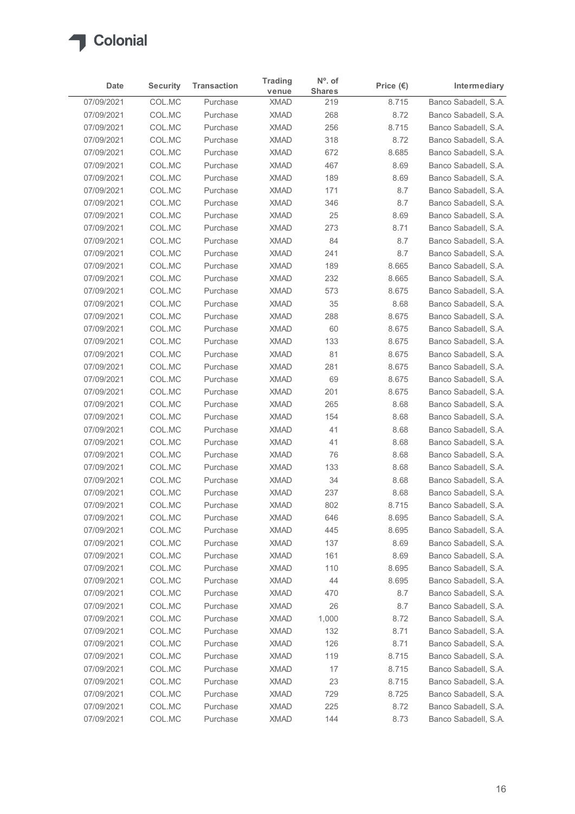

| Date                     | <b>Security</b>  | <b>Transaction</b>   | <b>Trading</b><br>venue    | N°. of<br><b>Shares</b> | Price $(\epsilon)$ | Intermediary                                 |
|--------------------------|------------------|----------------------|----------------------------|-------------------------|--------------------|----------------------------------------------|
| 07/09/2021               | COL.MC           | Purchase             | <b>XMAD</b>                | 219                     | 8.715              | Banco Sabadell, S.A.                         |
| 07/09/2021               | COL.MC           | Purchase             | <b>XMAD</b>                | 268                     | 8.72               | Banco Sabadell, S.A.                         |
| 07/09/2021               | COL.MC           | Purchase             | <b>XMAD</b>                | 256                     | 8.715              | Banco Sabadell, S.A.                         |
| 07/09/2021               | COL.MC           | Purchase             | <b>XMAD</b>                | 318                     | 8.72               | Banco Sabadell, S.A.                         |
| 07/09/2021               | COL.MC           | Purchase             | <b>XMAD</b>                | 672                     | 8.685              | Banco Sabadell, S.A.                         |
| 07/09/2021               | COL.MC           | Purchase             | <b>XMAD</b>                | 467                     | 8.69               | Banco Sabadell, S.A.                         |
| 07/09/2021<br>07/09/2021 | COL.MC<br>COL.MC | Purchase<br>Purchase | <b>XMAD</b><br><b>XMAD</b> | 189<br>171              | 8.69<br>8.7        | Banco Sabadell, S.A.<br>Banco Sabadell, S.A. |
| 07/09/2021               | COL.MC           | Purchase             | <b>XMAD</b>                | 346                     | 8.7                | Banco Sabadell, S.A.                         |
| 07/09/2021               | COL.MC           | Purchase             | <b>XMAD</b>                | 25                      | 8.69               | Banco Sabadell, S.A.                         |
| 07/09/2021               | COL.MC           | Purchase             | <b>XMAD</b>                | 273                     | 8.71               | Banco Sabadell, S.A.                         |
| 07/09/2021               | COL.MC           | Purchase             | <b>XMAD</b>                | 84                      | 8.7                | Banco Sabadell, S.A.                         |
| 07/09/2021               | COL.MC           | Purchase             | <b>XMAD</b>                | 241                     | 8.7                | Banco Sabadell, S.A.                         |
| 07/09/2021               | COL.MC           | Purchase             | <b>XMAD</b>                | 189                     | 8.665              | Banco Sabadell, S.A.                         |
| 07/09/2021               | COL.MC           | Purchase             | <b>XMAD</b>                | 232                     | 8.665              | Banco Sabadell, S.A.                         |
| 07/09/2021               | COL.MC           | Purchase             | <b>XMAD</b>                | 573                     | 8.675              | Banco Sabadell, S.A.                         |
| 07/09/2021<br>07/09/2021 | COL.MC           | Purchase<br>Purchase | <b>XMAD</b>                | 35                      | 8.68               | Banco Sabadell, S.A.                         |
| 07/09/2021               | COL.MC<br>COL.MC | Purchase             | <b>XMAD</b><br><b>XMAD</b> | 288<br>60               | 8.675<br>8.675     | Banco Sabadell, S.A.<br>Banco Sabadell, S.A. |
| 07/09/2021               | COL.MC           | Purchase             | <b>XMAD</b>                | 133                     | 8.675              | Banco Sabadell, S.A.                         |
| 07/09/2021               | COL.MC           | Purchase             | <b>XMAD</b>                | 81                      | 8.675              | Banco Sabadell, S.A.                         |
| 07/09/2021               | COL.MC           | Purchase             | <b>XMAD</b>                | 281                     | 8.675              | Banco Sabadell, S.A.                         |
| 07/09/2021               | COL.MC           | Purchase             | <b>XMAD</b>                | 69                      | 8.675              | Banco Sabadell, S.A.                         |
| 07/09/2021               | COL.MC           | Purchase             | <b>XMAD</b>                | 201                     | 8.675              | Banco Sabadell, S.A.                         |
| 07/09/2021               | COL.MC           | Purchase             | <b>XMAD</b>                | 265                     | 8.68               | Banco Sabadell, S.A.                         |
| 07/09/2021               | COL.MC           | Purchase             | <b>XMAD</b>                | 154                     | 8.68               | Banco Sabadell, S.A.                         |
| 07/09/2021               | COL.MC           | Purchase             | <b>XMAD</b>                | 41                      | 8.68               | Banco Sabadell, S.A.                         |
| 07/09/2021               | COL.MC           | Purchase             | <b>XMAD</b>                | 41                      | 8.68               | Banco Sabadell, S.A.                         |
| 07/09/2021<br>07/09/2021 | COL.MC<br>COL.MC | Purchase<br>Purchase | <b>XMAD</b><br><b>XMAD</b> | 76<br>133               | 8.68<br>8.68       | Banco Sabadell, S.A.<br>Banco Sabadell, S.A. |
| 07/09/2021               | COL.MC           | Purchase             | <b>XMAD</b>                | 34                      | 8.68               | Banco Sabadell, S.A.                         |
| 07/09/2021               | COL.MC           | Purchase             | <b>XMAD</b>                | 237                     | 8.68               | Banco Sabadell, S.A.                         |
| 07/09/2021               | COL.MC           | Purchase             | <b>XMAD</b>                | 802                     | 8.715              | Banco Sabadell, S.A.                         |
| 07/09/2021               | COL.MC           | Purchase             | <b>XMAD</b>                | 646                     | 8.695              | Banco Sabadell, S.A.                         |
| 07/09/2021               | COL.MC           | Purchase             | <b>XMAD</b>                | 445                     | 8.695              | Banco Sabadell, S.A.                         |
| 07/09/2021               | COL.MC           | Purchase             | <b>XMAD</b>                | 137                     | 8.69               | Banco Sabadell, S.A.                         |
| 07/09/2021               | COL.MC           | Purchase             | <b>XMAD</b>                | 161                     | 8.69               | Banco Sabadell, S.A.                         |
| 07/09/2021               | COL.MC           | Purchase             | <b>XMAD</b>                | 110                     | 8.695              | Banco Sabadell, S.A.                         |
| 07/09/2021               | COL.MC           | Purchase             | <b>XMAD</b>                | 44                      | 8.695              | Banco Sabadell, S.A.                         |
| 07/09/2021<br>07/09/2021 | COL.MC<br>COL.MC | Purchase             | <b>XMAD</b><br><b>XMAD</b> | 470<br>26               | 8.7<br>8.7         | Banco Sabadell, S.A.<br>Banco Sabadell, S.A. |
| 07/09/2021               | COL.MC           | Purchase<br>Purchase | <b>XMAD</b>                | 1,000                   | 8.72               | Banco Sabadell, S.A.                         |
| 07/09/2021               | COL.MC           | Purchase             | <b>XMAD</b>                | 132                     | 8.71               | Banco Sabadell, S.A.                         |
| 07/09/2021               | COL.MC           | Purchase             | <b>XMAD</b>                | 126                     | 8.71               | Banco Sabadell, S.A.                         |
| 07/09/2021               | COL.MC           | Purchase             | <b>XMAD</b>                | 119                     | 8.715              | Banco Sabadell, S.A.                         |
| 07/09/2021               | COL.MC           | Purchase             | <b>XMAD</b>                | 17                      | 8.715              | Banco Sabadell, S.A.                         |
| 07/09/2021               | COL.MC           | Purchase             | <b>XMAD</b>                | 23                      | 8.715              | Banco Sabadell, S.A.                         |
| 07/09/2021               | COL.MC           | Purchase             | <b>XMAD</b>                | 729                     | 8.725              | Banco Sabadell, S.A.                         |
| 07/09/2021<br>07/09/2021 | COL.MC           | Purchase             | <b>XMAD</b>                | 225                     | 8.72               | Banco Sabadell, S.A.                         |
|                          | COL.MC           | Purchase             | <b>XMAD</b>                | 144                     | 8.73               | Banco Sabadell, S.A.                         |